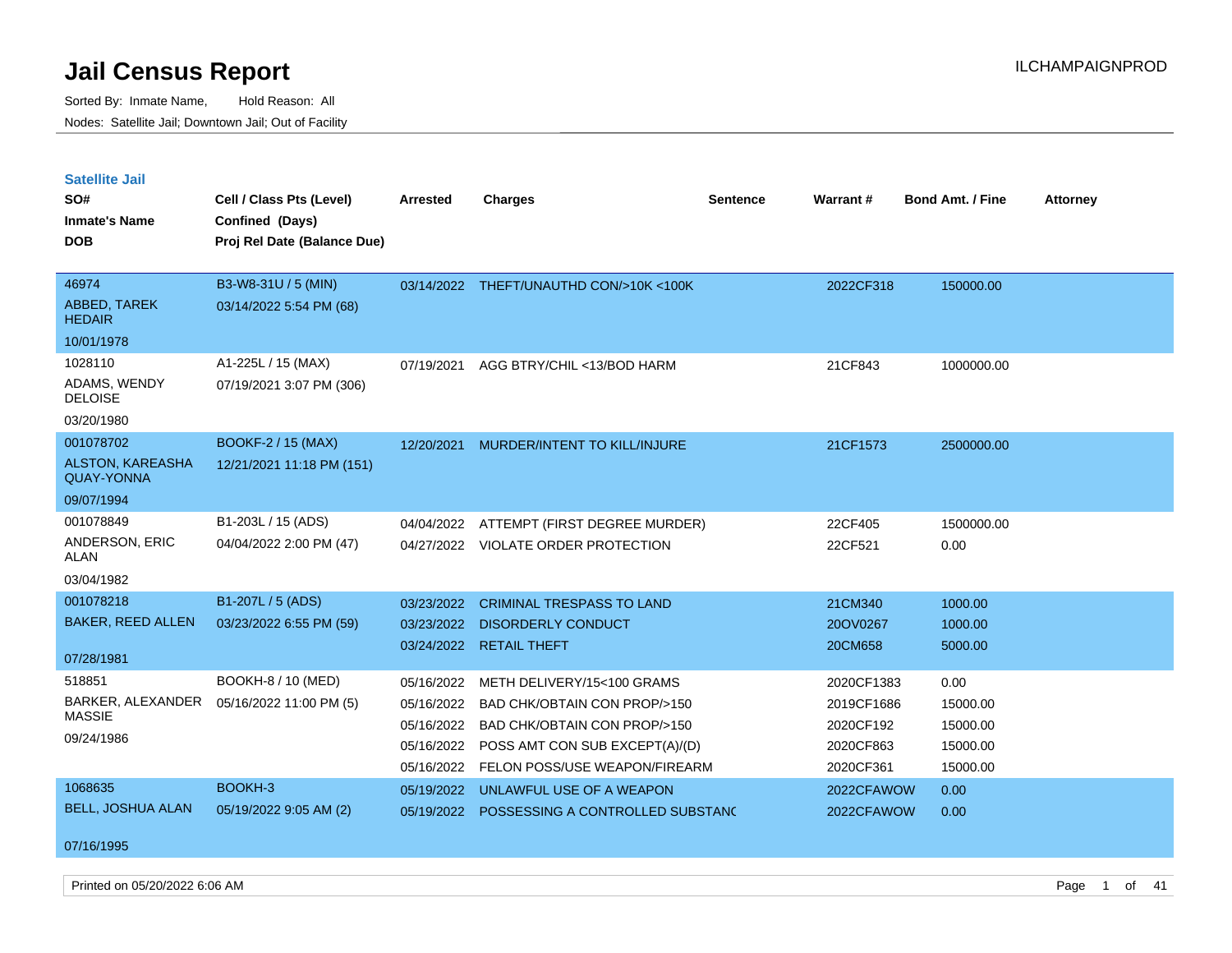Sorted By: Inmate Name, Hold Reason: All Nodes: Satellite Jail; Downtown Jail; Out of Facility

| <b>Satellite Jail</b><br>SO#<br><b>Inmate's Name</b><br><b>DOB</b> | Cell / Class Pts (Level)<br>Confined (Days)<br>Proj Rel Date (Balance Due) | <b>Arrested</b> | <b>Charges</b>                          | <b>Sentence</b> | Warrant #  | <b>Bond Amt. / Fine</b> | <b>Attorney</b> |
|--------------------------------------------------------------------|----------------------------------------------------------------------------|-----------------|-----------------------------------------|-----------------|------------|-------------------------|-----------------|
| 46974                                                              | B3-W8-31U / 5 (MIN)                                                        |                 | 03/14/2022 THEFT/UNAUTHD CON/>10K <100K |                 | 2022CF318  | 150000.00               |                 |
| ABBED, TAREK<br><b>HEDAIR</b>                                      | 03/14/2022 5:54 PM (68)                                                    |                 |                                         |                 |            |                         |                 |
| 10/01/1978                                                         |                                                                            |                 |                                         |                 |            |                         |                 |
| 1028110                                                            | A1-225L / 15 (MAX)                                                         | 07/19/2021      | AGG BTRY/CHIL <13/BOD HARM              |                 | 21CF843    | 1000000.00              |                 |
| ADAMS, WENDY<br><b>DELOISE</b>                                     | 07/19/2021 3:07 PM (306)                                                   |                 |                                         |                 |            |                         |                 |
| 03/20/1980                                                         |                                                                            |                 |                                         |                 |            |                         |                 |
| 001078702                                                          | <b>BOOKF-2 / 15 (MAX)</b>                                                  | 12/20/2021      | MURDER/INTENT TO KILL/INJURE            |                 | 21CF1573   | 2500000.00              |                 |
| <b>ALSTON, KAREASHA</b><br><b>QUAY-YONNA</b>                       | 12/21/2021 11:18 PM (151)                                                  |                 |                                         |                 |            |                         |                 |
| 09/07/1994                                                         |                                                                            |                 |                                         |                 |            |                         |                 |
| 001078849                                                          | B1-203L / 15 (ADS)                                                         | 04/04/2022      | ATTEMPT (FIRST DEGREE MURDER)           |                 | 22CF405    | 1500000.00              |                 |
| ANDERSON, ERIC<br><b>ALAN</b>                                      | 04/04/2022 2:00 PM (47)                                                    |                 | 04/27/2022 VIOLATE ORDER PROTECTION     |                 | 22CF521    | 0.00                    |                 |
| 03/04/1982                                                         |                                                                            |                 |                                         |                 |            |                         |                 |
| 001078218                                                          | B1-207L / 5 (ADS)                                                          | 03/23/2022      | <b>CRIMINAL TRESPASS TO LAND</b>        |                 | 21CM340    | 1000.00                 |                 |
| <b>BAKER, REED ALLEN</b>                                           | 03/23/2022 6:55 PM (59)                                                    | 03/23/2022      | <b>DISORDERLY CONDUCT</b>               |                 | 20OV0267   | 1000.00                 |                 |
| 07/28/1981                                                         |                                                                            |                 | 03/24/2022 RETAIL THEFT                 |                 | 20CM658    | 5000.00                 |                 |
| 518851                                                             | BOOKH-8 / 10 (MED)                                                         | 05/16/2022      | METH DELIVERY/15<100 GRAMS              |                 | 2020CF1383 | 0.00                    |                 |
| BARKER, ALEXANDER<br><b>MASSIE</b>                                 | 05/16/2022 11:00 PM (5)                                                    | 05/16/2022      | <b>BAD CHK/OBTAIN CON PROP/&gt;150</b>  |                 | 2019CF1686 | 15000.00                |                 |
| 09/24/1986                                                         |                                                                            | 05/16/2022      | BAD CHK/OBTAIN CON PROP/>150            |                 | 2020CF192  | 15000.00                |                 |
|                                                                    |                                                                            | 05/16/2022      | POSS AMT CON SUB EXCEPT(A)/(D)          |                 | 2020CF863  | 15000.00                |                 |
|                                                                    |                                                                            | 05/16/2022      | FELON POSS/USE WEAPON/FIREARM           |                 | 2020CF361  | 15000.00                |                 |
| 1068635                                                            | BOOKH-3                                                                    | 05/19/2022      | UNLAWFUL USE OF A WEAPON                |                 | 2022CFAWOW | 0.00                    |                 |

05/19/2022 POSSESSING A CONTROLLED SUBSTANCE 2022CFAWOW 0.00

07/16/1995

BELL, JOSHUA ALAN

Printed on 05/20/2022 6:06 AM Page 1 of 41

05/19/2022 9:05 AM (2)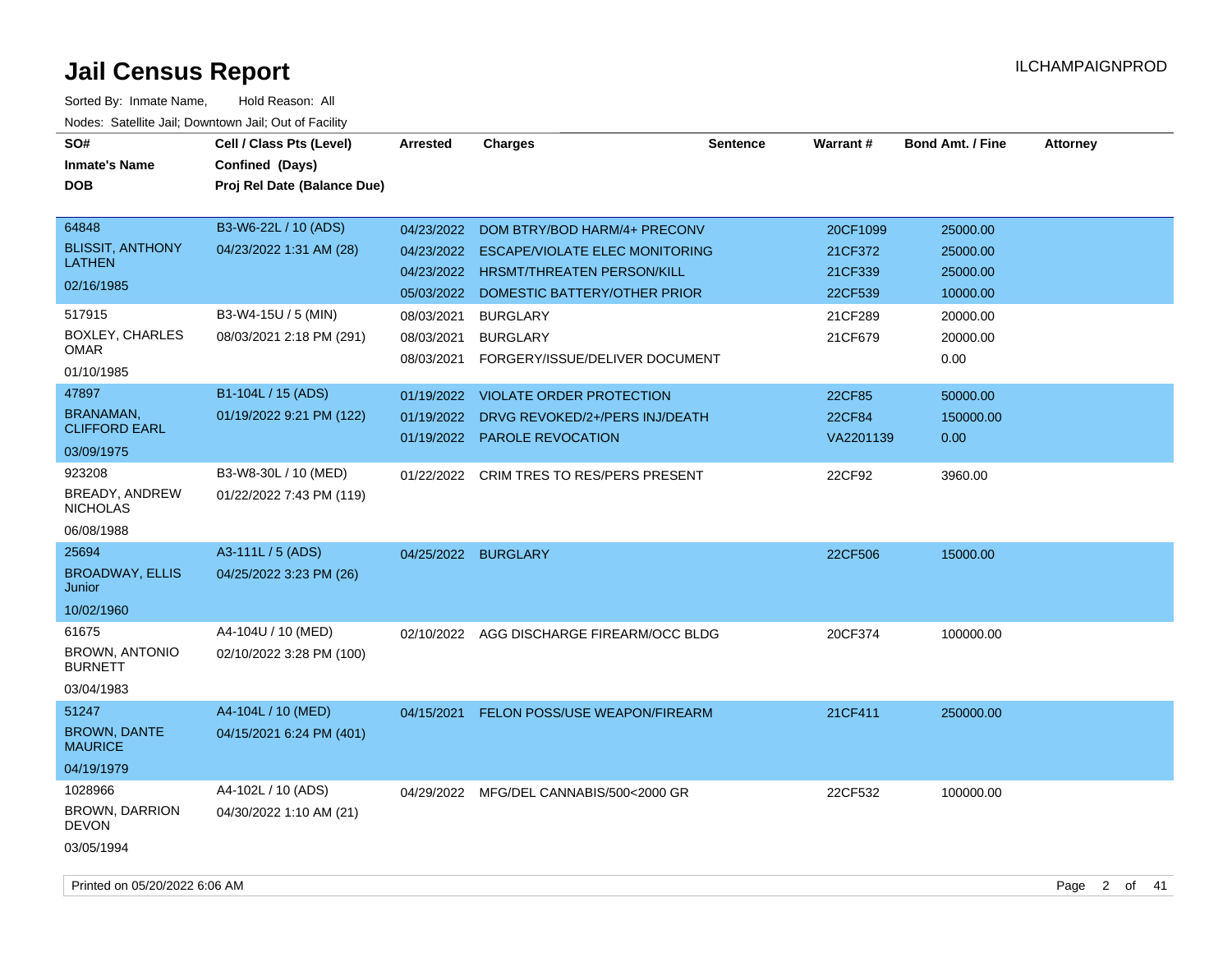| SO#<br><b>Inmate's Name</b><br><b>DOB</b>                       | Cell / Class Pts (Level)<br>Confined (Days)<br>Proj Rel Date (Balance Due) | Arrested                                             | <b>Charges</b>                                                                                                                             | <b>Sentence</b> | <b>Warrant#</b>                           | <b>Bond Amt. / Fine</b>                      | <b>Attorney</b> |
|-----------------------------------------------------------------|----------------------------------------------------------------------------|------------------------------------------------------|--------------------------------------------------------------------------------------------------------------------------------------------|-----------------|-------------------------------------------|----------------------------------------------|-----------------|
| 64848<br><b>BLISSIT, ANTHONY</b><br><b>LATHEN</b><br>02/16/1985 | B3-W6-22L / 10 (ADS)<br>04/23/2022 1:31 AM (28)                            | 04/23/2022<br>04/23/2022<br>04/23/2022<br>05/03/2022 | DOM BTRY/BOD HARM/4+ PRECONV<br><b>ESCAPE/VIOLATE ELEC MONITORING</b><br><b>HRSMT/THREATEN PERSON/KILL</b><br>DOMESTIC BATTERY/OTHER PRIOR |                 | 20CF1099<br>21CF372<br>21CF339<br>22CF539 | 25000.00<br>25000.00<br>25000.00<br>10000.00 |                 |
| 517915<br><b>BOXLEY, CHARLES</b><br>OMAR<br>01/10/1985          | B3-W4-15U / 5 (MIN)<br>08/03/2021 2:18 PM (291)                            | 08/03/2021<br>08/03/2021                             | <b>BURGLARY</b><br><b>BURGLARY</b><br>08/03/2021 FORGERY/ISSUE/DELIVER DOCUMENT                                                            |                 | 21CF289<br>21CF679                        | 20000.00<br>20000.00<br>0.00                 |                 |
| 47897<br><b>BRANAMAN,</b><br><b>CLIFFORD EARL</b><br>03/09/1975 | B1-104L / 15 (ADS)<br>01/19/2022 9:21 PM (122)                             | 01/19/2022<br>01/19/2022                             | <b>VIOLATE ORDER PROTECTION</b><br>DRVG REVOKED/2+/PERS INJ/DEATH<br>01/19/2022 PAROLE REVOCATION                                          |                 | 22CF85<br>22CF84<br>VA2201139             | 50000.00<br>150000.00<br>0.00                |                 |
| 923208<br>BREADY, ANDREW<br><b>NICHOLAS</b><br>06/08/1988       | B3-W8-30L / 10 (MED)<br>01/22/2022 7:43 PM (119)                           | 01/22/2022                                           | CRIM TRES TO RES/PERS PRESENT                                                                                                              |                 | 22CF92                                    | 3960.00                                      |                 |
| 25694<br><b>BROADWAY, ELLIS</b><br>Junior<br>10/02/1960         | A3-111L / 5 (ADS)<br>04/25/2022 3:23 PM (26)                               |                                                      | 04/25/2022 BURGLARY                                                                                                                        |                 | 22CF506                                   | 15000.00                                     |                 |
| 61675<br><b>BROWN, ANTONIO</b><br><b>BURNETT</b><br>03/04/1983  | A4-104U / 10 (MED)<br>02/10/2022 3:28 PM (100)                             | 02/10/2022                                           | AGG DISCHARGE FIREARM/OCC BLDG                                                                                                             |                 | 20CF374                                   | 100000.00                                    |                 |
| 51247<br><b>BROWN, DANTE</b><br><b>MAURICE</b><br>04/19/1979    | A4-104L / 10 (MED)<br>04/15/2021 6:24 PM (401)                             | 04/15/2021                                           | <b>FELON POSS/USE WEAPON/FIREARM</b>                                                                                                       |                 | 21CF411                                   | 250000.00                                    |                 |
| 1028966<br>BROWN, DARRION<br><b>DEVON</b><br>03/05/1994         | A4-102L / 10 (ADS)<br>04/30/2022 1:10 AM (21)                              |                                                      | 04/29/2022 MFG/DEL CANNABIS/500<2000 GR                                                                                                    |                 | 22CF532                                   | 100000.00                                    |                 |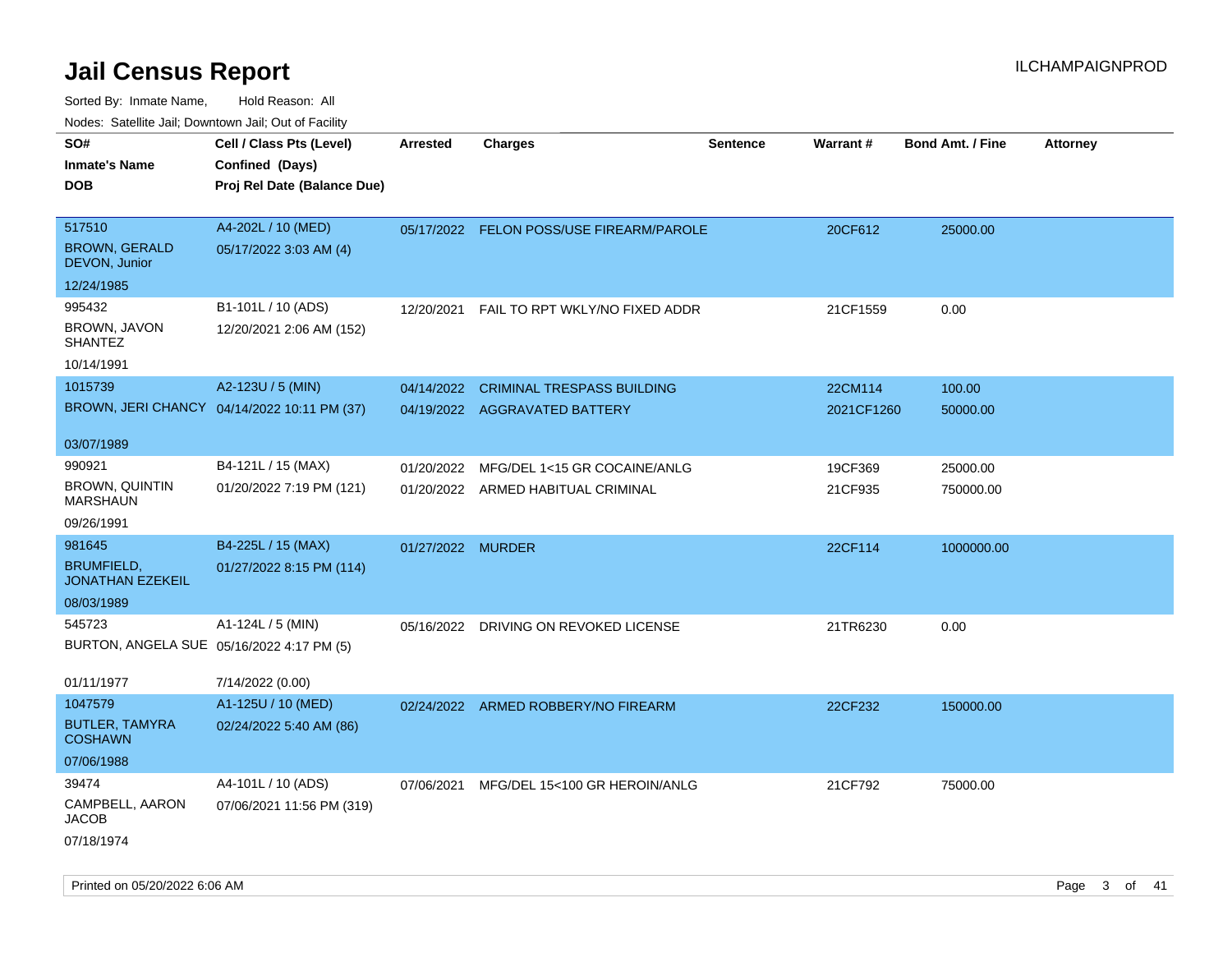| ivouss. Satellite Jali, Downtown Jali, Out of Facility |                                             |                   |                                          |                 |                 |                         |                 |
|--------------------------------------------------------|---------------------------------------------|-------------------|------------------------------------------|-----------------|-----------------|-------------------------|-----------------|
| SO#                                                    | Cell / Class Pts (Level)                    | <b>Arrested</b>   | <b>Charges</b>                           | <b>Sentence</b> | <b>Warrant#</b> | <b>Bond Amt. / Fine</b> | <b>Attorney</b> |
| <b>Inmate's Name</b>                                   | Confined (Days)                             |                   |                                          |                 |                 |                         |                 |
| <b>DOB</b>                                             | Proj Rel Date (Balance Due)                 |                   |                                          |                 |                 |                         |                 |
|                                                        |                                             |                   |                                          |                 |                 |                         |                 |
| 517510                                                 | A4-202L / 10 (MED)                          |                   | 05/17/2022 FELON POSS/USE FIREARM/PAROLE |                 | 20CF612         | 25000.00                |                 |
| <b>BROWN, GERALD</b><br>DEVON, Junior                  | 05/17/2022 3:03 AM (4)                      |                   |                                          |                 |                 |                         |                 |
| 12/24/1985                                             |                                             |                   |                                          |                 |                 |                         |                 |
| 995432                                                 | B1-101L / 10 (ADS)                          | 12/20/2021        | FAIL TO RPT WKLY/NO FIXED ADDR           |                 | 21CF1559        | 0.00                    |                 |
| BROWN, JAVON<br>SHANTEZ                                | 12/20/2021 2:06 AM (152)                    |                   |                                          |                 |                 |                         |                 |
| 10/14/1991                                             |                                             |                   |                                          |                 |                 |                         |                 |
| 1015739                                                | A2-123U / 5 (MIN)                           | 04/14/2022        | <b>CRIMINAL TRESPASS BUILDING</b>        |                 | 22CM114         | 100.00                  |                 |
|                                                        | BROWN, JERI CHANCY 04/14/2022 10:11 PM (37) |                   | 04/19/2022 AGGRAVATED BATTERY            |                 | 2021CF1260      | 50000.00                |                 |
|                                                        |                                             |                   |                                          |                 |                 |                         |                 |
| 03/07/1989                                             |                                             |                   |                                          |                 |                 |                         |                 |
| 990921                                                 | B4-121L / 15 (MAX)                          | 01/20/2022        | MFG/DEL 1<15 GR COCAINE/ANLG             |                 | 19CF369         | 25000.00                |                 |
| BROWN, QUINTIN<br>MARSHAUN                             | 01/20/2022 7:19 PM (121)                    |                   | 01/20/2022 ARMED HABITUAL CRIMINAL       |                 | 21CF935         | 750000.00               |                 |
| 09/26/1991                                             |                                             |                   |                                          |                 |                 |                         |                 |
| 981645                                                 | B4-225L / 15 (MAX)                          | 01/27/2022 MURDER |                                          |                 | 22CF114         | 1000000.00              |                 |
| <b>BRUMFIELD,</b><br><b>JONATHAN EZEKEIL</b>           | 01/27/2022 8:15 PM (114)                    |                   |                                          |                 |                 |                         |                 |
| 08/03/1989                                             |                                             |                   |                                          |                 |                 |                         |                 |
| 545723                                                 | A1-124L / 5 (MIN)                           |                   | 05/16/2022 DRIVING ON REVOKED LICENSE    |                 | 21TR6230        | 0.00                    |                 |
| BURTON, ANGELA SUE 05/16/2022 4:17 PM (5)              |                                             |                   |                                          |                 |                 |                         |                 |
|                                                        |                                             |                   |                                          |                 |                 |                         |                 |
| 01/11/1977                                             | 7/14/2022 (0.00)                            |                   |                                          |                 |                 |                         |                 |
| 1047579                                                | A1-125U / 10 (MED)                          |                   | 02/24/2022 ARMED ROBBERY/NO FIREARM      |                 | 22CF232         | 150000.00               |                 |
| <b>BUTLER, TAMYRA</b><br><b>COSHAWN</b>                | 02/24/2022 5:40 AM (86)                     |                   |                                          |                 |                 |                         |                 |
| 07/06/1988                                             |                                             |                   |                                          |                 |                 |                         |                 |
| 39474                                                  | A4-101L / 10 (ADS)                          | 07/06/2021        | MFG/DEL 15<100 GR HEROIN/ANLG            |                 | 21CF792         | 75000.00                |                 |
| CAMPBELL, AARON<br>JACOB                               | 07/06/2021 11:56 PM (319)                   |                   |                                          |                 |                 |                         |                 |
| 07/18/1974                                             |                                             |                   |                                          |                 |                 |                         |                 |
|                                                        |                                             |                   |                                          |                 |                 |                         |                 |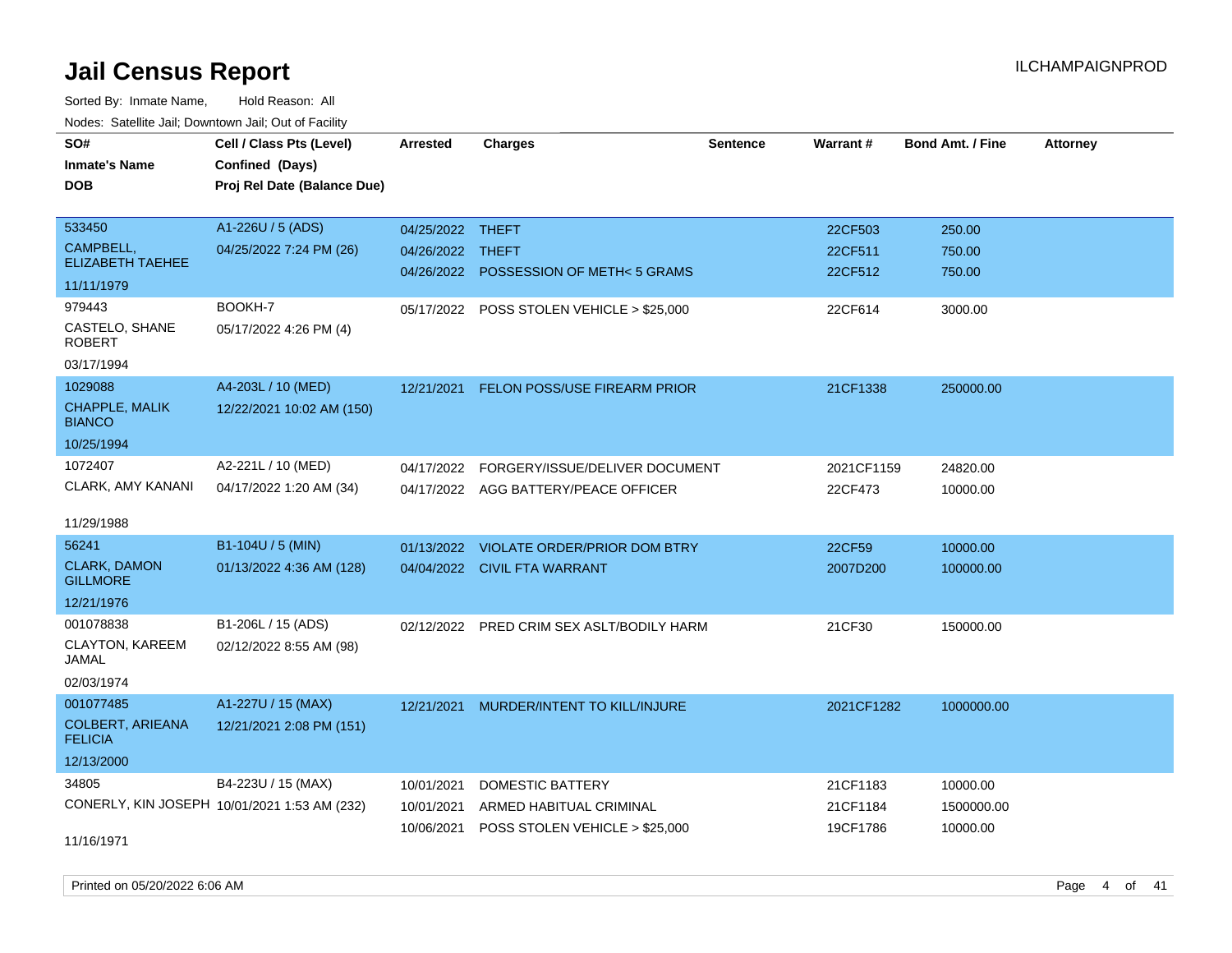Sorted By: Inmate Name, Hold Reason: All Nodes: Satellite Jail; Downtown Jail; Out of Facility

| vouco. Catolino cali, Downtown cali, Out of I dollity |                                              |                  |                                           |                 |            |                         |                 |
|-------------------------------------------------------|----------------------------------------------|------------------|-------------------------------------------|-----------------|------------|-------------------------|-----------------|
| SO#                                                   | Cell / Class Pts (Level)                     | Arrested         | <b>Charges</b>                            | <b>Sentence</b> | Warrant#   | <b>Bond Amt. / Fine</b> | <b>Attorney</b> |
| <b>Inmate's Name</b>                                  | Confined (Days)                              |                  |                                           |                 |            |                         |                 |
| <b>DOB</b>                                            | Proj Rel Date (Balance Due)                  |                  |                                           |                 |            |                         |                 |
|                                                       |                                              |                  |                                           |                 |            |                         |                 |
| 533450                                                | A1-226U / 5 (ADS)                            | 04/25/2022 THEFT |                                           |                 | 22CF503    | 250.00                  |                 |
| CAMPBELL,                                             | 04/25/2022 7:24 PM (26)                      | 04/26/2022 THEFT |                                           |                 | 22CF511    | 750.00                  |                 |
| <b>ELIZABETH TAEHEE</b>                               |                                              |                  | 04/26/2022 POSSESSION OF METH< 5 GRAMS    |                 | 22CF512    | 750.00                  |                 |
| 11/11/1979                                            |                                              |                  |                                           |                 |            |                         |                 |
| 979443                                                | BOOKH-7                                      |                  | 05/17/2022 POSS STOLEN VEHICLE > \$25,000 |                 | 22CF614    | 3000.00                 |                 |
| CASTELO, SHANE<br><b>ROBERT</b>                       | 05/17/2022 4:26 PM (4)                       |                  |                                           |                 |            |                         |                 |
| 03/17/1994                                            |                                              |                  |                                           |                 |            |                         |                 |
| 1029088                                               | A4-203L / 10 (MED)                           | 12/21/2021       | FELON POSS/USE FIREARM PRIOR              |                 | 21CF1338   | 250000.00               |                 |
| <b>CHAPPLE, MALIK</b><br><b>BIANCO</b>                | 12/22/2021 10:02 AM (150)                    |                  |                                           |                 |            |                         |                 |
| 10/25/1994                                            |                                              |                  |                                           |                 |            |                         |                 |
| 1072407                                               | A2-221L / 10 (MED)                           | 04/17/2022       | FORGERY/ISSUE/DELIVER DOCUMENT            |                 | 2021CF1159 | 24820.00                |                 |
| CLARK, AMY KANANI                                     | 04/17/2022 1:20 AM (34)                      |                  | 04/17/2022 AGG BATTERY/PEACE OFFICER      |                 | 22CF473    | 10000.00                |                 |
|                                                       |                                              |                  |                                           |                 |            |                         |                 |
| 11/29/1988                                            |                                              |                  |                                           |                 |            |                         |                 |
| 56241                                                 | B1-104U / 5 (MIN)                            | 01/13/2022       | <b>VIOLATE ORDER/PRIOR DOM BTRY</b>       |                 | 22CF59     | 10000.00                |                 |
| <b>CLARK, DAMON</b><br><b>GILLMORE</b>                | 01/13/2022 4:36 AM (128)                     |                  | 04/04/2022 CIVIL FTA WARRANT              |                 | 2007D200   | 100000.00               |                 |
| 12/21/1976                                            |                                              |                  |                                           |                 |            |                         |                 |
| 001078838                                             | B1-206L / 15 (ADS)                           |                  | 02/12/2022 PRED CRIM SEX ASLT/BODILY HARM |                 | 21CF30     | 150000.00               |                 |
| CLAYTON, KAREEM<br>JAMAL                              | 02/12/2022 8:55 AM (98)                      |                  |                                           |                 |            |                         |                 |
| 02/03/1974                                            |                                              |                  |                                           |                 |            |                         |                 |
| 001077485                                             | A1-227U / 15 (MAX)                           | 12/21/2021       | MURDER/INTENT TO KILL/INJURE              |                 | 2021CF1282 | 1000000.00              |                 |
| <b>COLBERT, ARIEANA</b><br><b>FELICIA</b>             | 12/21/2021 2:08 PM (151)                     |                  |                                           |                 |            |                         |                 |
| 12/13/2000                                            |                                              |                  |                                           |                 |            |                         |                 |
| 34805                                                 | B4-223U / 15 (MAX)                           | 10/01/2021       | <b>DOMESTIC BATTERY</b>                   |                 | 21CF1183   | 10000.00                |                 |
|                                                       | CONERLY, KIN JOSEPH 10/01/2021 1:53 AM (232) | 10/01/2021       | ARMED HABITUAL CRIMINAL                   |                 | 21CF1184   | 1500000.00              |                 |
|                                                       |                                              | 10/06/2021       | POSS STOLEN VEHICLE > \$25,000            |                 | 19CF1786   | 10000.00                |                 |
| 11/16/1971                                            |                                              |                  |                                           |                 |            |                         |                 |

Printed on 05/20/2022 6:06 AM Page 4 of 41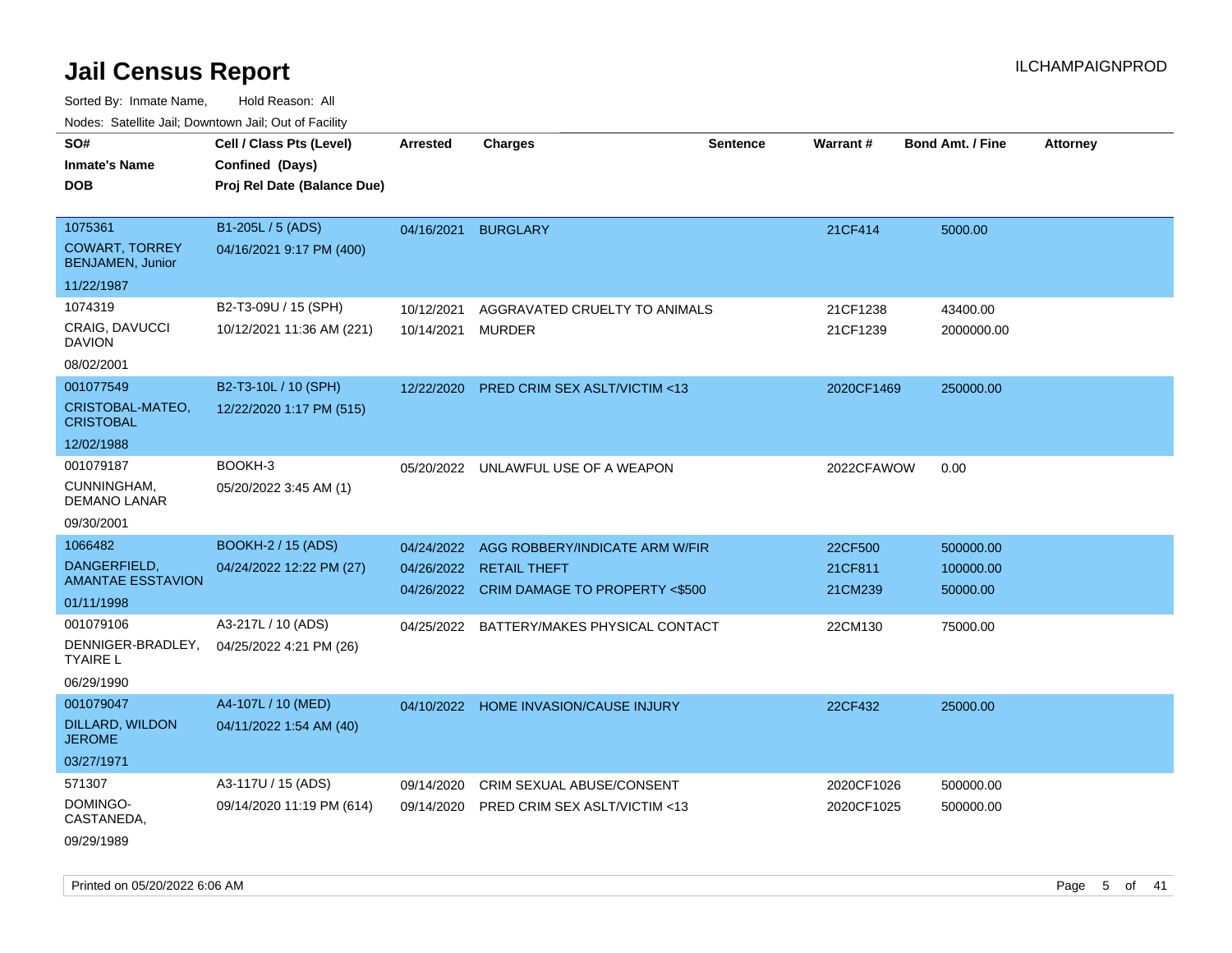| ivoues. Salellite Jali, Downtown Jali, Out of Facility                                                                               |                                                                                                        |                          |                                                                                                                                                            |                 |                                          |                                                |                 |
|--------------------------------------------------------------------------------------------------------------------------------------|--------------------------------------------------------------------------------------------------------|--------------------------|------------------------------------------------------------------------------------------------------------------------------------------------------------|-----------------|------------------------------------------|------------------------------------------------|-----------------|
| SO#<br><b>Inmate's Name</b><br><b>DOB</b>                                                                                            | Cell / Class Pts (Level)<br>Confined (Days)<br>Proj Rel Date (Balance Due)                             | <b>Arrested</b>          | <b>Charges</b>                                                                                                                                             | <b>Sentence</b> | Warrant#                                 | <b>Bond Amt. / Fine</b>                        | <b>Attorney</b> |
| 1075361<br><b>COWART, TORREY</b><br><b>BENJAMEN, Junior</b><br>11/22/1987                                                            | B1-205L / 5 (ADS)<br>04/16/2021 9:17 PM (400)                                                          | 04/16/2021               | <b>BURGLARY</b>                                                                                                                                            |                 | 21CF414                                  | 5000.00                                        |                 |
| 1074319<br>CRAIG, DAVUCCI<br><b>DAVION</b><br>08/02/2001                                                                             | B2-T3-09U / 15 (SPH)<br>10/12/2021 11:36 AM (221)                                                      | 10/12/2021<br>10/14/2021 | AGGRAVATED CRUELTY TO ANIMALS<br>MURDER                                                                                                                    |                 | 21CF1238<br>21CF1239                     | 43400.00<br>2000000.00                         |                 |
| 001077549<br>CRISTOBAL-MATEO,<br><b>CRISTOBAL</b><br>12/02/1988                                                                      | B2-T3-10L / 10 (SPH)<br>12/22/2020 1:17 PM (515)                                                       | 12/22/2020               | <b>PRED CRIM SEX ASLT/VICTIM &lt;13</b>                                                                                                                    |                 | 2020CF1469                               | 250000.00                                      |                 |
| 001079187<br>CUNNINGHAM,<br><b>DEMANO LANAR</b><br>09/30/2001                                                                        | BOOKH-3<br>05/20/2022 3:45 AM (1)                                                                      |                          | 05/20/2022 UNLAWFUL USE OF A WEAPON                                                                                                                        |                 | 2022CFAWOW                               | 0.00                                           |                 |
| 1066482<br>DANGERFIELD,<br><b>AMANTAE ESSTAVION</b><br>01/11/1998<br>001079106<br>DENNIGER-BRADLEY,<br><b>TYAIRE L</b><br>06/29/1990 | <b>BOOKH-2 / 15 (ADS)</b><br>04/24/2022 12:22 PM (27)<br>A3-217L / 10 (ADS)<br>04/25/2022 4:21 PM (26) | 04/26/2022               | 04/24/2022 AGG ROBBERY/INDICATE ARM W/FIR<br><b>RETAIL THEFT</b><br>04/26/2022 CRIM DAMAGE TO PROPERTY <\$500<br>04/25/2022 BATTERY/MAKES PHYSICAL CONTACT |                 | 22CF500<br>21CF811<br>21CM239<br>22CM130 | 500000.00<br>100000.00<br>50000.00<br>75000.00 |                 |
| 001079047<br>DILLARD, WILDON<br><b>JEROME</b><br>03/27/1971                                                                          | A4-107L / 10 (MED)<br>04/11/2022 1:54 AM (40)                                                          |                          | 04/10/2022 HOME INVASION/CAUSE INJURY                                                                                                                      |                 | 22CF432                                  | 25000.00                                       |                 |
| 571307<br>DOMINGO-<br>CASTANEDA,<br>09/29/1989                                                                                       | A3-117U / 15 (ADS)<br>09/14/2020 11:19 PM (614)                                                        | 09/14/2020<br>09/14/2020 | CRIM SEXUAL ABUSE/CONSENT<br><b>PRED CRIM SEX ASLT/VICTIM &lt;13</b>                                                                                       |                 | 2020CF1026<br>2020CF1025                 | 500000.00<br>500000.00                         |                 |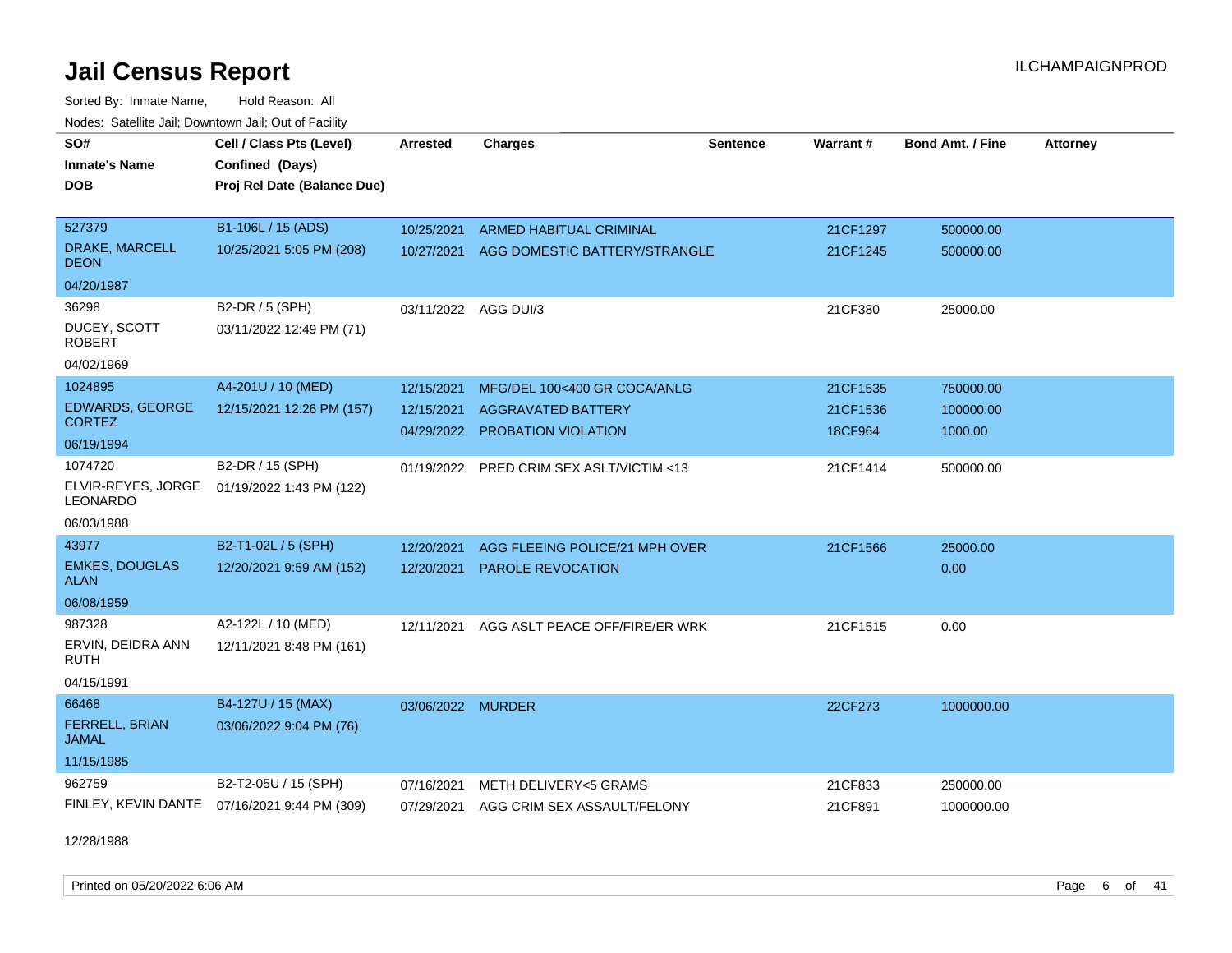Sorted By: Inmate Name, Hold Reason: All

| Nodes: Satellite Jail; Downtown Jail; Out of Facility |                                              |                   |                                        |                 |          |                         |                 |
|-------------------------------------------------------|----------------------------------------------|-------------------|----------------------------------------|-----------------|----------|-------------------------|-----------------|
| SO#                                                   | Cell / Class Pts (Level)                     | <b>Arrested</b>   | <b>Charges</b>                         | <b>Sentence</b> | Warrant# | <b>Bond Amt. / Fine</b> | <b>Attorney</b> |
| <b>Inmate's Name</b>                                  | Confined (Days)                              |                   |                                        |                 |          |                         |                 |
| <b>DOB</b>                                            | Proj Rel Date (Balance Due)                  |                   |                                        |                 |          |                         |                 |
|                                                       |                                              |                   |                                        |                 |          |                         |                 |
| 527379                                                | B1-106L / 15 (ADS)                           | 10/25/2021        | <b>ARMED HABITUAL CRIMINAL</b>         |                 | 21CF1297 | 500000.00               |                 |
| DRAKE, MARCELL<br><b>DEON</b>                         | 10/25/2021 5:05 PM (208)                     | 10/27/2021        | AGG DOMESTIC BATTERY/STRANGLE          |                 | 21CF1245 | 500000.00               |                 |
| 04/20/1987                                            |                                              |                   |                                        |                 |          |                         |                 |
| 36298                                                 | B2-DR / 5 (SPH)                              |                   | 03/11/2022 AGG DUI/3                   |                 | 21CF380  | 25000.00                |                 |
| DUCEY, SCOTT<br><b>ROBERT</b>                         | 03/11/2022 12:49 PM (71)                     |                   |                                        |                 |          |                         |                 |
| 04/02/1969                                            |                                              |                   |                                        |                 |          |                         |                 |
| 1024895                                               | A4-201U / 10 (MED)                           | 12/15/2021        | MFG/DEL 100<400 GR COCA/ANLG           |                 | 21CF1535 | 750000.00               |                 |
| EDWARDS, GEORGE                                       | 12/15/2021 12:26 PM (157)                    | 12/15/2021        | <b>AGGRAVATED BATTERY</b>              |                 | 21CF1536 | 100000.00               |                 |
| <b>CORTEZ</b>                                         |                                              | 04/29/2022        | PROBATION VIOLATION                    |                 | 18CF964  | 1000.00                 |                 |
| 06/19/1994                                            |                                              |                   |                                        |                 |          |                         |                 |
| 1074720                                               | B2-DR / 15 (SPH)                             | 01/19/2022        | PRED CRIM SEX ASLT/VICTIM <13          |                 | 21CF1414 | 500000.00               |                 |
| ELVIR-REYES, JORGE<br><b>LEONARDO</b>                 | 01/19/2022 1:43 PM (122)                     |                   |                                        |                 |          |                         |                 |
| 06/03/1988                                            |                                              |                   |                                        |                 |          |                         |                 |
| 43977                                                 | B2-T1-02L / 5 (SPH)                          | 12/20/2021        | AGG FLEEING POLICE/21 MPH OVER         |                 | 21CF1566 | 25000.00                |                 |
| <b>EMKES, DOUGLAS</b><br><b>ALAN</b>                  | 12/20/2021 9:59 AM (152)                     | 12/20/2021        | <b>PAROLE REVOCATION</b>               |                 |          | 0.00                    |                 |
| 06/08/1959                                            |                                              |                   |                                        |                 |          |                         |                 |
| 987328                                                | A2-122L / 10 (MED)                           | 12/11/2021        | AGG ASLT PEACE OFF/FIRE/ER WRK         |                 | 21CF1515 | 0.00                    |                 |
| ERVIN, DEIDRA ANN<br><b>RUTH</b>                      | 12/11/2021 8:48 PM (161)                     |                   |                                        |                 |          |                         |                 |
| 04/15/1991                                            |                                              |                   |                                        |                 |          |                         |                 |
| 66468                                                 | B4-127U / 15 (MAX)                           | 03/06/2022 MURDER |                                        |                 | 22CF273  | 1000000.00              |                 |
| FERRELL, BRIAN<br><b>JAMAL</b>                        | 03/06/2022 9:04 PM (76)                      |                   |                                        |                 |          |                         |                 |
| 11/15/1985                                            |                                              |                   |                                        |                 |          |                         |                 |
| 962759                                                | B2-T2-05U / 15 (SPH)                         | 07/16/2021        | <b>METH DELIVERY&lt;5 GRAMS</b>        |                 | 21CF833  | 250000.00               |                 |
|                                                       | FINLEY, KEVIN DANTE 07/16/2021 9:44 PM (309) |                   | 07/29/2021 AGG CRIM SEX ASSAULT/FELONY |                 | 21CF891  | 1000000.00              |                 |

12/28/1988

Printed on 05/20/2022 6:06 AM Page 6 of 41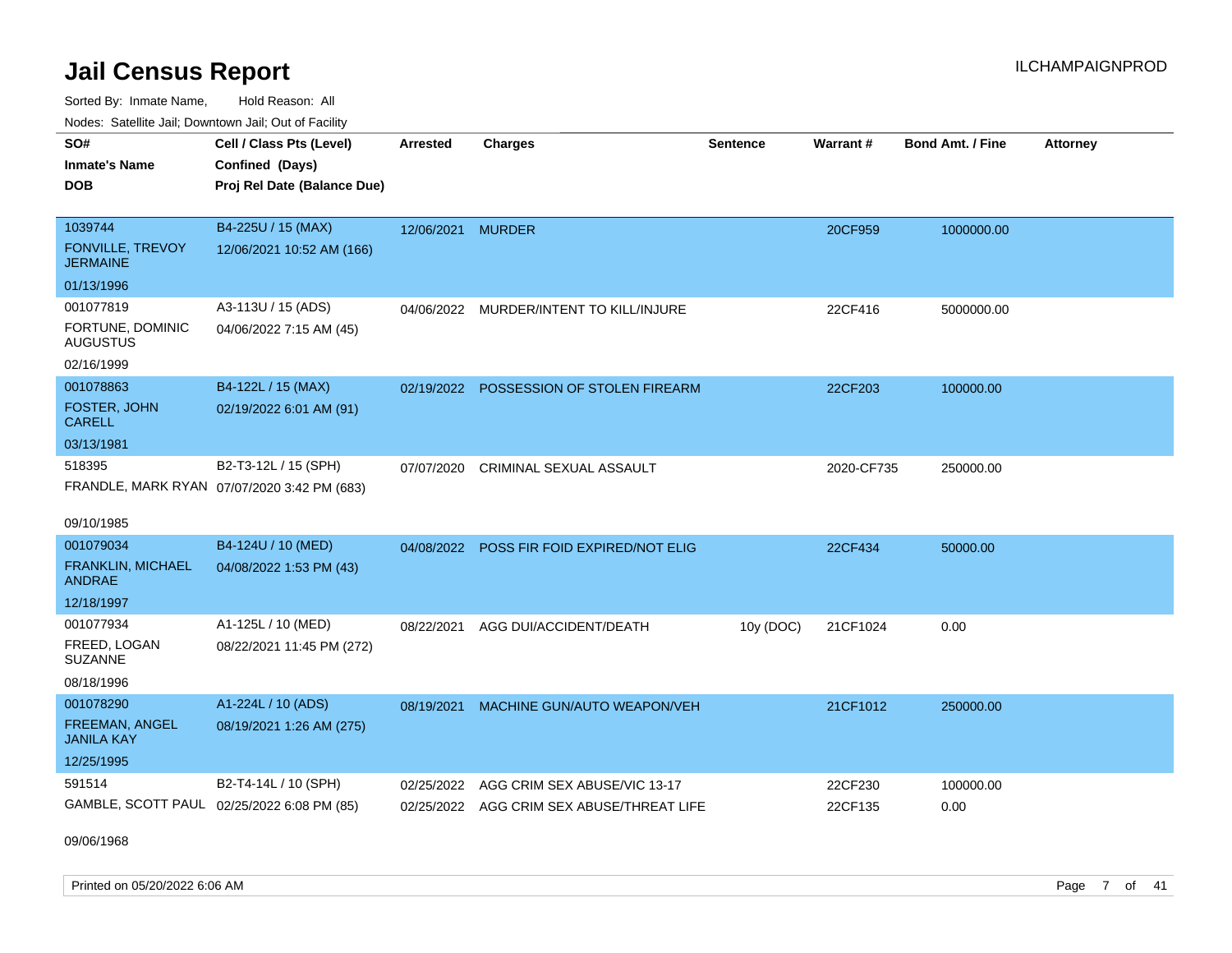Sorted By: Inmate Name, Hold Reason: All Nodes: Satellite Jail; Downtown Jail; Out of Facility

| Noues. Sateme Jan, Downtown Jan, Out or Facility |                                             |                   |                                           |                 |                 |                         |                 |
|--------------------------------------------------|---------------------------------------------|-------------------|-------------------------------------------|-----------------|-----------------|-------------------------|-----------------|
| SO#                                              | Cell / Class Pts (Level)                    | <b>Arrested</b>   | <b>Charges</b>                            | <b>Sentence</b> | <b>Warrant#</b> | <b>Bond Amt. / Fine</b> | <b>Attorney</b> |
| <b>Inmate's Name</b>                             | Confined (Days)                             |                   |                                           |                 |                 |                         |                 |
| <b>DOB</b>                                       | Proj Rel Date (Balance Due)                 |                   |                                           |                 |                 |                         |                 |
|                                                  |                                             |                   |                                           |                 |                 |                         |                 |
| 1039744                                          | B4-225U / 15 (MAX)                          | 12/06/2021 MURDER |                                           |                 | 20CF959         | 1000000.00              |                 |
| <b>FONVILLE, TREVOY</b><br><b>JERMAINE</b>       | 12/06/2021 10:52 AM (166)                   |                   |                                           |                 |                 |                         |                 |
| 01/13/1996                                       |                                             |                   |                                           |                 |                 |                         |                 |
| 001077819                                        | A3-113U / 15 (ADS)                          |                   | 04/06/2022 MURDER/INTENT TO KILL/INJURE   |                 | 22CF416         | 5000000.00              |                 |
| FORTUNE, DOMINIC<br><b>AUGUSTUS</b>              | 04/06/2022 7:15 AM (45)                     |                   |                                           |                 |                 |                         |                 |
| 02/16/1999                                       |                                             |                   |                                           |                 |                 |                         |                 |
| 001078863                                        | B4-122L / 15 (MAX)                          |                   | 02/19/2022 POSSESSION OF STOLEN FIREARM   |                 | 22CF203         | 100000.00               |                 |
| FOSTER, JOHN<br><b>CARELL</b>                    | 02/19/2022 6:01 AM (91)                     |                   |                                           |                 |                 |                         |                 |
| 03/13/1981                                       |                                             |                   |                                           |                 |                 |                         |                 |
| 518395                                           | B2-T3-12L / 15 (SPH)                        | 07/07/2020        | <b>CRIMINAL SEXUAL ASSAULT</b>            |                 | 2020-CF735      | 250000.00               |                 |
|                                                  | FRANDLE, MARK RYAN 07/07/2020 3:42 PM (683) |                   |                                           |                 |                 |                         |                 |
|                                                  |                                             |                   |                                           |                 |                 |                         |                 |
| 09/10/1985                                       |                                             |                   |                                           |                 |                 |                         |                 |
| 001079034                                        | B4-124U / 10 (MED)                          | 04/08/2022        | POSS FIR FOID EXPIRED/NOT ELIG            |                 | 22CF434         | 50000.00                |                 |
| <b>FRANKLIN, MICHAEL</b><br><b>ANDRAE</b>        | 04/08/2022 1:53 PM (43)                     |                   |                                           |                 |                 |                         |                 |
| 12/18/1997                                       |                                             |                   |                                           |                 |                 |                         |                 |
| 001077934                                        | A1-125L / 10 (MED)                          | 08/22/2021        | AGG DUI/ACCIDENT/DEATH                    | 10y (DOC)       | 21CF1024        | 0.00                    |                 |
| FREED, LOGAN<br><b>SUZANNE</b>                   | 08/22/2021 11:45 PM (272)                   |                   |                                           |                 |                 |                         |                 |
| 08/18/1996                                       |                                             |                   |                                           |                 |                 |                         |                 |
| 001078290                                        | A1-224L / 10 (ADS)                          | 08/19/2021        | MACHINE GUN/AUTO WEAPON/VEH               |                 | 21CF1012        | 250000.00               |                 |
| FREEMAN, ANGEL<br><b>JANILA KAY</b>              | 08/19/2021 1:26 AM (275)                    |                   |                                           |                 |                 |                         |                 |
| 12/25/1995                                       |                                             |                   |                                           |                 |                 |                         |                 |
| 591514                                           | B2-T4-14L / 10 (SPH)                        | 02/25/2022        | AGG CRIM SEX ABUSE/VIC 13-17              |                 | 22CF230         | 100000.00               |                 |
|                                                  | GAMBLE, SCOTT PAUL 02/25/2022 6:08 PM (85)  |                   | 02/25/2022 AGG CRIM SEX ABUSE/THREAT LIFE |                 | 22CF135         | 0.00                    |                 |

09/06/1968

Printed on 05/20/2022 6:06 AM Page 7 of 41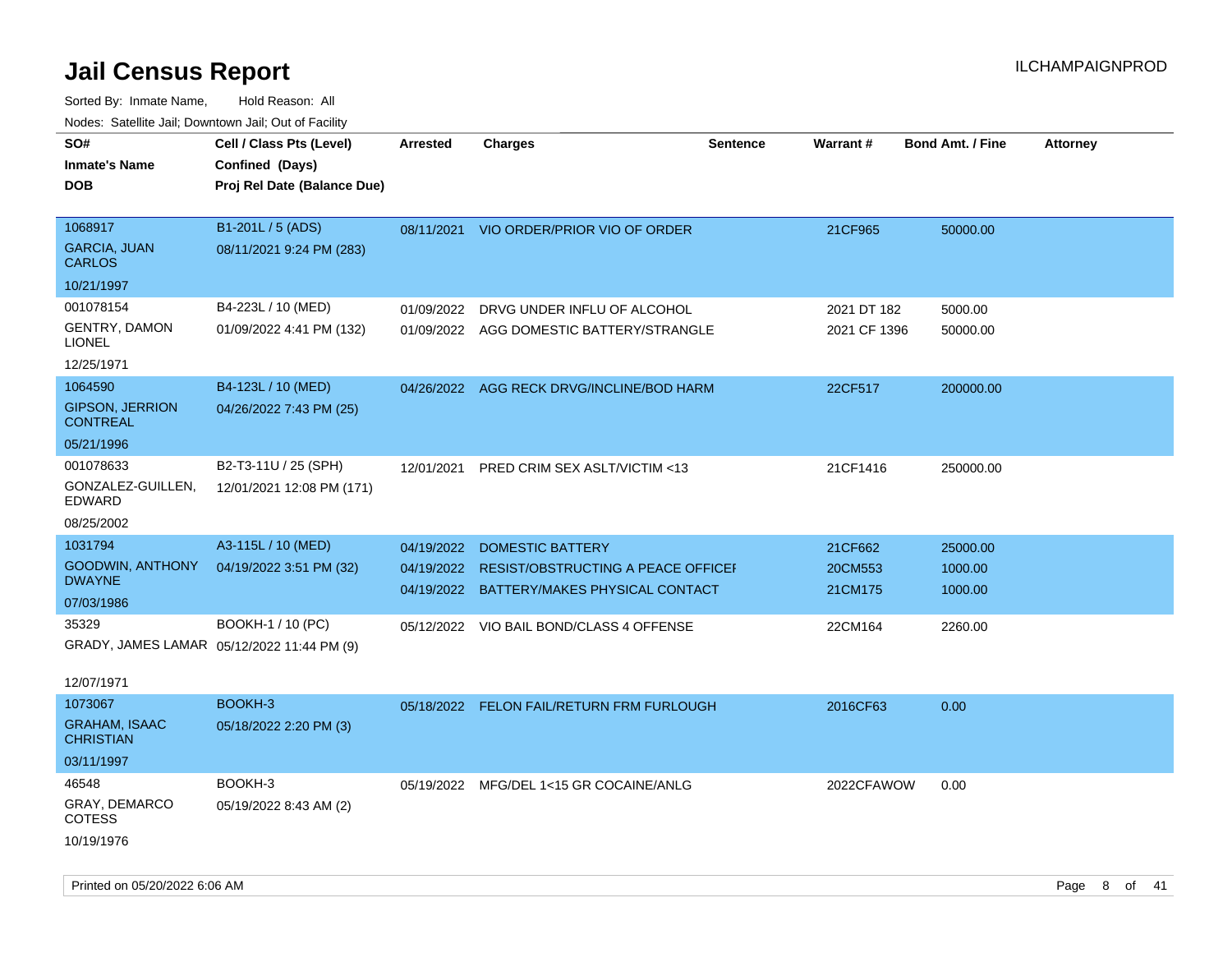| roaco. Calcinio dan, Downtown dan, Cal or Fability |                                             |                 |                                           |                 |              |                         |                 |
|----------------------------------------------------|---------------------------------------------|-----------------|-------------------------------------------|-----------------|--------------|-------------------------|-----------------|
| SO#<br>Inmate's Name                               | Cell / Class Pts (Level)<br>Confined (Days) | <b>Arrested</b> | <b>Charges</b>                            | <b>Sentence</b> | Warrant#     | <b>Bond Amt. / Fine</b> | <b>Attorney</b> |
| <b>DOB</b>                                         | Proj Rel Date (Balance Due)                 |                 |                                           |                 |              |                         |                 |
| 1068917                                            | B1-201L / 5 (ADS)                           | 08/11/2021      | VIO ORDER/PRIOR VIO OF ORDER              |                 | 21CF965      | 50000.00                |                 |
| <b>GARCIA, JUAN</b><br>CARLOS                      | 08/11/2021 9:24 PM (283)                    |                 |                                           |                 |              |                         |                 |
| 10/21/1997                                         |                                             |                 |                                           |                 |              |                         |                 |
| 001078154                                          | B4-223L / 10 (MED)                          | 01/09/2022      | DRVG UNDER INFLU OF ALCOHOL               |                 | 2021 DT 182  | 5000.00                 |                 |
| <b>GENTRY, DAMON</b><br>LIONEL                     | 01/09/2022 4:41 PM (132)                    |                 | 01/09/2022 AGG DOMESTIC BATTERY/STRANGLE  |                 | 2021 CF 1396 | 50000.00                |                 |
| 12/25/1971                                         |                                             |                 |                                           |                 |              |                         |                 |
| 1064590                                            | B4-123L / 10 (MED)                          | 04/26/2022      | AGG RECK DRVG/INCLINE/BOD HARM            |                 | 22CF517      | 200000.00               |                 |
| <b>GIPSON, JERRION</b><br>CONTREAL                 | 04/26/2022 7:43 PM (25)                     |                 |                                           |                 |              |                         |                 |
| 05/21/1996                                         |                                             |                 |                                           |                 |              |                         |                 |
| 001078633                                          | B2-T3-11U / 25 (SPH)                        | 12/01/2021      | PRED CRIM SEX ASLT/VICTIM <13             |                 | 21CF1416     | 250000.00               |                 |
| GONZALEZ-GUILLEN,<br>EDWARD                        | 12/01/2021 12:08 PM (171)                   |                 |                                           |                 |              |                         |                 |
| 08/25/2002                                         |                                             |                 |                                           |                 |              |                         |                 |
| 1031794                                            | A3-115L / 10 (MED)                          | 04/19/2022      | <b>DOMESTIC BATTERY</b>                   |                 | 21CF662      | 25000.00                |                 |
| GOODWIN, ANTHONY<br><b>DWAYNE</b>                  | 04/19/2022 3:51 PM (32)                     | 04/19/2022      | <b>RESIST/OBSTRUCTING A PEACE OFFICEF</b> |                 | 20CM553      | 1000.00                 |                 |
| 07/03/1986                                         |                                             |                 | 04/19/2022 BATTERY/MAKES PHYSICAL CONTACT |                 | 21CM175      | 1000.00                 |                 |
| 35329                                              | BOOKH-1 / 10 (PC)                           |                 | 05/12/2022 VIO BAIL BOND/CLASS 4 OFFENSE  |                 | 22CM164      | 2260.00                 |                 |
| GRADY, JAMES LAMAR 05/12/2022 11:44 PM (9)         |                                             |                 |                                           |                 |              |                         |                 |
|                                                    |                                             |                 |                                           |                 |              |                         |                 |
| 12/07/1971                                         |                                             |                 |                                           |                 |              |                         |                 |
| 1073067                                            | BOOKH-3                                     |                 | 05/18/2022 FELON FAIL/RETURN FRM FURLOUGH |                 | 2016CF63     | 0.00                    |                 |
| <b>GRAHAM, ISAAC</b><br><b>CHRISTIAN</b>           | 05/18/2022 2:20 PM (3)                      |                 |                                           |                 |              |                         |                 |
| 03/11/1997                                         |                                             |                 |                                           |                 |              |                         |                 |
| 46548                                              | BOOKH-3                                     |                 | 05/19/2022 MFG/DEL 1<15 GR COCAINE/ANLG   |                 | 2022CFAWOW   | 0.00                    |                 |
| GRAY, DEMARCO<br>COTESS                            | 05/19/2022 8:43 AM (2)                      |                 |                                           |                 |              |                         |                 |
| 10/19/1976                                         |                                             |                 |                                           |                 |              |                         |                 |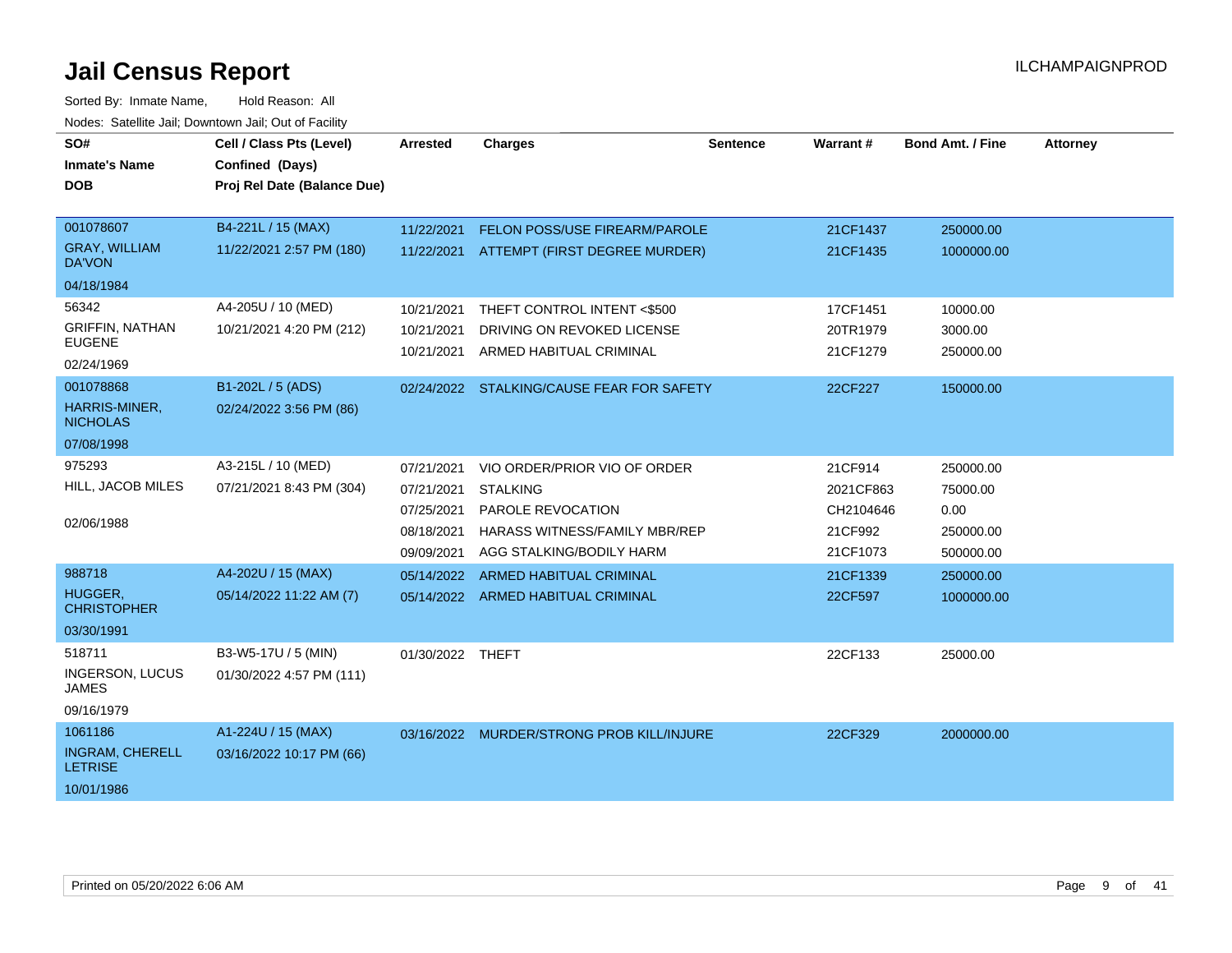| SO#<br><b>Inmate's Name</b>              | Cell / Class Pts (Level)<br>Confined (Days) | <b>Arrested</b>  | <b>Charges</b>                            | <b>Sentence</b> | <b>Warrant#</b> | <b>Bond Amt. / Fine</b> | <b>Attorney</b> |
|------------------------------------------|---------------------------------------------|------------------|-------------------------------------------|-----------------|-----------------|-------------------------|-----------------|
| <b>DOB</b>                               | Proj Rel Date (Balance Due)                 |                  |                                           |                 |                 |                         |                 |
| 001078607                                | B4-221L / 15 (MAX)                          | 11/22/2021       | FELON POSS/USE FIREARM/PAROLE             |                 | 21CF1437        | 250000.00               |                 |
| <b>GRAY, WILLIAM</b><br><b>DA'VON</b>    | 11/22/2021 2:57 PM (180)                    |                  | 11/22/2021 ATTEMPT (FIRST DEGREE MURDER)  |                 | 21CF1435        | 1000000.00              |                 |
| 04/18/1984                               |                                             |                  |                                           |                 |                 |                         |                 |
| 56342                                    | A4-205U / 10 (MED)                          | 10/21/2021       | THEFT CONTROL INTENT <\$500               |                 | 17CF1451        | 10000.00                |                 |
| <b>GRIFFIN, NATHAN</b>                   | 10/21/2021 4:20 PM (212)                    | 10/21/2021       | DRIVING ON REVOKED LICENSE                |                 | 20TR1979        | 3000.00                 |                 |
| <b>EUGENE</b><br>02/24/1969              |                                             | 10/21/2021       | ARMED HABITUAL CRIMINAL                   |                 | 21CF1279        | 250000.00               |                 |
| 001078868                                | B1-202L / 5 (ADS)                           |                  | 02/24/2022 STALKING/CAUSE FEAR FOR SAFETY |                 | 22CF227         | 150000.00               |                 |
| HARRIS-MINER,<br><b>NICHOLAS</b>         | 02/24/2022 3:56 PM (86)                     |                  |                                           |                 |                 |                         |                 |
| 07/08/1998                               |                                             |                  |                                           |                 |                 |                         |                 |
| 975293                                   | A3-215L / 10 (MED)                          | 07/21/2021       | VIO ORDER/PRIOR VIO OF ORDER              |                 | 21CF914         | 250000.00               |                 |
| HILL, JACOB MILES                        | 07/21/2021 8:43 PM (304)                    | 07/21/2021       | <b>STALKING</b>                           |                 | 2021CF863       | 75000.00                |                 |
|                                          |                                             | 07/25/2021       | PAROLE REVOCATION                         |                 | CH2104646       | 0.00                    |                 |
| 02/06/1988                               |                                             | 08/18/2021       | <b>HARASS WITNESS/FAMILY MBR/REP</b>      |                 | 21CF992         | 250000.00               |                 |
|                                          |                                             | 09/09/2021       | AGG STALKING/BODILY HARM                  |                 | 21CF1073        | 500000.00               |                 |
| 988718                                   | A4-202U / 15 (MAX)                          | 05/14/2022       | <b>ARMED HABITUAL CRIMINAL</b>            |                 | 21CF1339        | 250000.00               |                 |
| HUGGER,<br><b>CHRISTOPHER</b>            | 05/14/2022 11:22 AM (7)                     |                  | 05/14/2022 ARMED HABITUAL CRIMINAL        |                 | 22CF597         | 1000000.00              |                 |
| 03/30/1991                               |                                             |                  |                                           |                 |                 |                         |                 |
| 518711                                   | B3-W5-17U / 5 (MIN)                         | 01/30/2022 THEFT |                                           |                 | 22CF133         | 25000.00                |                 |
| INGERSON, LUCUS<br><b>JAMES</b>          | 01/30/2022 4:57 PM (111)                    |                  |                                           |                 |                 |                         |                 |
| 09/16/1979                               |                                             |                  |                                           |                 |                 |                         |                 |
| 1061186                                  | A1-224U / 15 (MAX)                          |                  | 03/16/2022 MURDER/STRONG PROB KILL/INJURE |                 | 22CF329         | 2000000.00              |                 |
| <b>INGRAM, CHERELL</b><br><b>LETRISE</b> | 03/16/2022 10:17 PM (66)                    |                  |                                           |                 |                 |                         |                 |
| 10/01/1986                               |                                             |                  |                                           |                 |                 |                         |                 |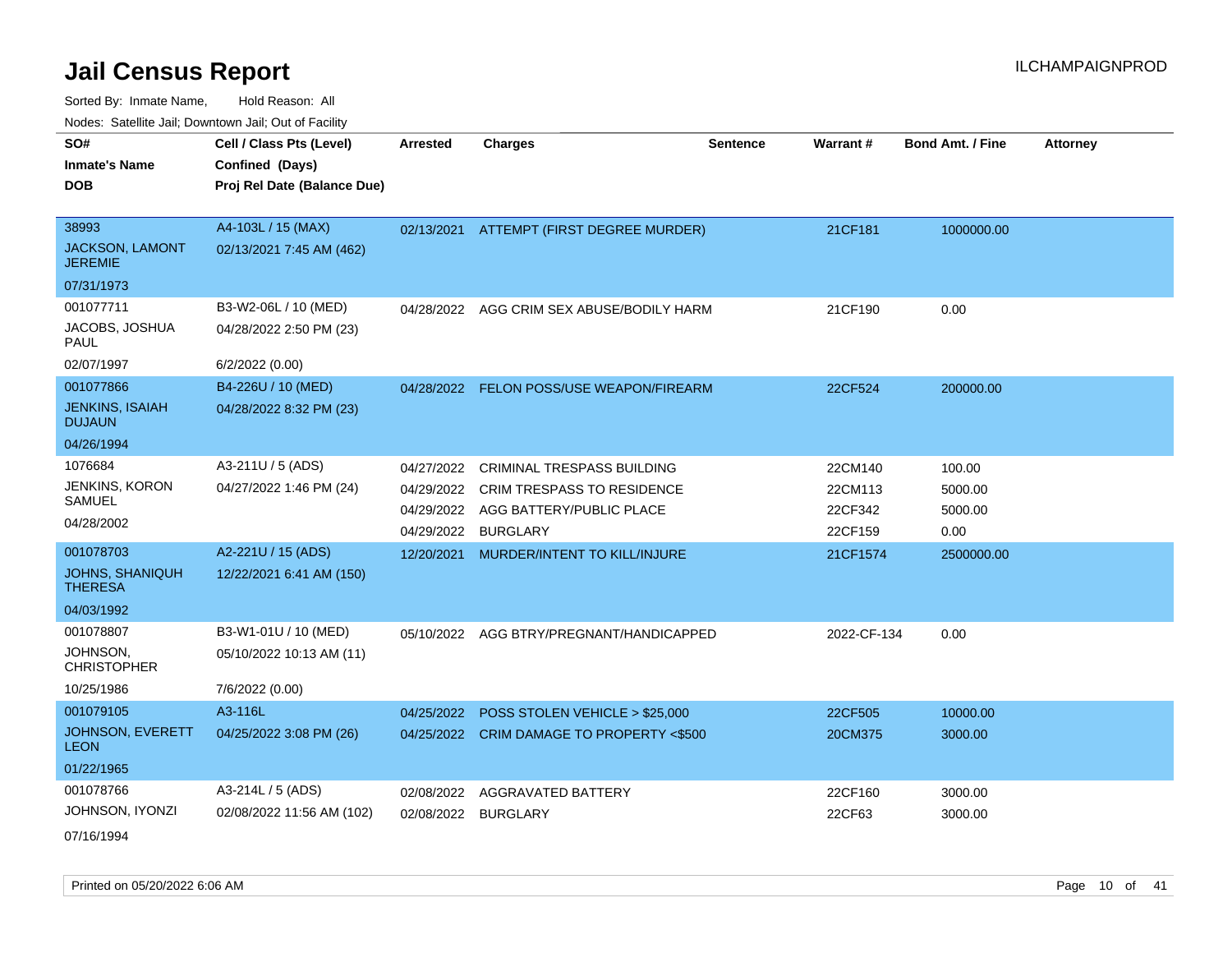| SO#                                     | Cell / Class Pts (Level)    | <b>Arrested</b> | <b>Charges</b>                            | <b>Sentence</b> | <b>Warrant#</b> | <b>Bond Amt. / Fine</b> | <b>Attorney</b> |
|-----------------------------------------|-----------------------------|-----------------|-------------------------------------------|-----------------|-----------------|-------------------------|-----------------|
| <b>Inmate's Name</b>                    | Confined (Days)             |                 |                                           |                 |                 |                         |                 |
| <b>DOB</b>                              | Proj Rel Date (Balance Due) |                 |                                           |                 |                 |                         |                 |
|                                         |                             |                 |                                           |                 |                 |                         |                 |
| 38993                                   | A4-103L / 15 (MAX)          |                 | 02/13/2021 ATTEMPT (FIRST DEGREE MURDER)  |                 | 21CF181         | 1000000.00              |                 |
| JACKSON, LAMONT<br><b>JEREMIE</b>       | 02/13/2021 7:45 AM (462)    |                 |                                           |                 |                 |                         |                 |
| 07/31/1973                              |                             |                 |                                           |                 |                 |                         |                 |
| 001077711                               | B3-W2-06L / 10 (MED)        | 04/28/2022      | AGG CRIM SEX ABUSE/BODILY HARM            |                 | 21CF190         | 0.00                    |                 |
| JACOBS, JOSHUA<br><b>PAUL</b>           | 04/28/2022 2:50 PM (23)     |                 |                                           |                 |                 |                         |                 |
| 02/07/1997                              | 6/2/2022 (0.00)             |                 |                                           |                 |                 |                         |                 |
| 001077866                               | B4-226U / 10 (MED)          |                 | 04/28/2022 FELON POSS/USE WEAPON/FIREARM  |                 | 22CF524         | 200000.00               |                 |
| <b>JENKINS, ISAIAH</b><br><b>DUJAUN</b> | 04/28/2022 8:32 PM (23)     |                 |                                           |                 |                 |                         |                 |
| 04/26/1994                              |                             |                 |                                           |                 |                 |                         |                 |
| 1076684                                 | A3-211U / 5 (ADS)           | 04/27/2022      | <b>CRIMINAL TRESPASS BUILDING</b>         |                 | 22CM140         | 100.00                  |                 |
| JENKINS, KORON                          | 04/27/2022 1:46 PM (24)     |                 | 04/29/2022 CRIM TRESPASS TO RESIDENCE     |                 | 22CM113         | 5000.00                 |                 |
| SAMUEL                                  |                             |                 | 04/29/2022 AGG BATTERY/PUBLIC PLACE       |                 | 22CF342         | 5000.00                 |                 |
| 04/28/2002                              |                             | 04/29/2022      | <b>BURGLARY</b>                           |                 | 22CF159         | 0.00                    |                 |
| 001078703                               | A2-221U / 15 (ADS)          | 12/20/2021      | MURDER/INTENT TO KILL/INJURE              |                 | 21CF1574        | 2500000.00              |                 |
| JOHNS, SHANIQUH<br><b>THERESA</b>       | 12/22/2021 6:41 AM (150)    |                 |                                           |                 |                 |                         |                 |
| 04/03/1992                              |                             |                 |                                           |                 |                 |                         |                 |
| 001078807                               | B3-W1-01U / 10 (MED)        | 05/10/2022      | AGG BTRY/PREGNANT/HANDICAPPED             |                 | 2022-CF-134     | 0.00                    |                 |
| JOHNSON,<br><b>CHRISTOPHER</b>          | 05/10/2022 10:13 AM (11)    |                 |                                           |                 |                 |                         |                 |
| 10/25/1986                              | 7/6/2022 (0.00)             |                 |                                           |                 |                 |                         |                 |
| 001079105                               | A3-116L                     | 04/25/2022      | POSS STOLEN VEHICLE > \$25,000            |                 | 22CF505         | 10000.00                |                 |
| JOHNSON, EVERETT<br><b>LEON</b>         | 04/25/2022 3:08 PM (26)     |                 | 04/25/2022 CRIM DAMAGE TO PROPERTY <\$500 |                 | 20CM375         | 3000.00                 |                 |
| 01/22/1965                              |                             |                 |                                           |                 |                 |                         |                 |
| 001078766                               | A3-214L / 5 (ADS)           | 02/08/2022      | AGGRAVATED BATTERY                        |                 | 22CF160         | 3000.00                 |                 |
| JOHNSON, IYONZI                         | 02/08/2022 11:56 AM (102)   | 02/08/2022      | <b>BURGLARY</b>                           |                 | 22CF63          | 3000.00                 |                 |
| 07/16/1994                              |                             |                 |                                           |                 |                 |                         |                 |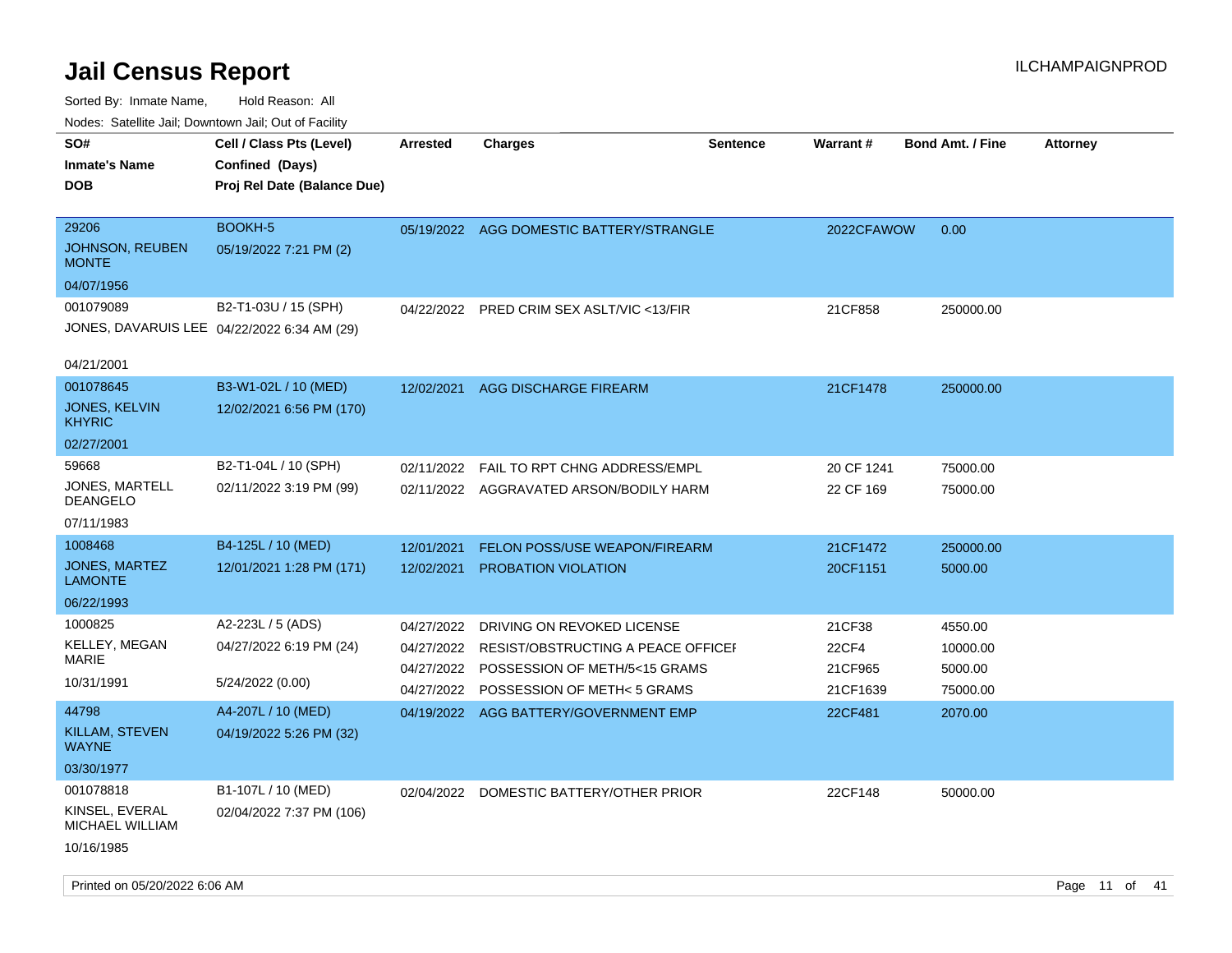| ivouss. Saleline Jali, Downtown Jali, Out of Facility  |                                             |                 |                                          |                 |                 |                         |                 |
|--------------------------------------------------------|---------------------------------------------|-----------------|------------------------------------------|-----------------|-----------------|-------------------------|-----------------|
| SO#                                                    | Cell / Class Pts (Level)                    | <b>Arrested</b> | Charges                                  | <b>Sentence</b> | <b>Warrant#</b> | <b>Bond Amt. / Fine</b> | <b>Attorney</b> |
| <b>Inmate's Name</b>                                   | Confined (Days)                             |                 |                                          |                 |                 |                         |                 |
| <b>DOB</b>                                             | Proj Rel Date (Balance Due)                 |                 |                                          |                 |                 |                         |                 |
|                                                        |                                             |                 |                                          |                 |                 |                         |                 |
| 29206                                                  | BOOKH-5                                     |                 | 05/19/2022 AGG DOMESTIC BATTERY/STRANGLE |                 | 2022CFAWOW      | 0.00                    |                 |
| <b>JOHNSON, REUBEN</b><br><b>MONTE</b>                 | 05/19/2022 7:21 PM (2)                      |                 |                                          |                 |                 |                         |                 |
| 04/07/1956                                             |                                             |                 |                                          |                 |                 |                         |                 |
| 001079089                                              | B2-T1-03U / 15 (SPH)                        | 04/22/2022      | PRED CRIM SEX ASLT/VIC <13/FIR           |                 | 21CF858         | 250000.00               |                 |
|                                                        | JONES, DAVARUIS LEE 04/22/2022 6:34 AM (29) |                 |                                          |                 |                 |                         |                 |
| 04/21/2001                                             |                                             |                 |                                          |                 |                 |                         |                 |
| 001078645                                              | B3-W1-02L / 10 (MED)                        | 12/02/2021      | AGG DISCHARGE FIREARM                    |                 | 21CF1478        | 250000.00               |                 |
| <b>JONES, KELVIN</b><br><b>KHYRIC</b>                  | 12/02/2021 6:56 PM (170)                    |                 |                                          |                 |                 |                         |                 |
| 02/27/2001                                             |                                             |                 |                                          |                 |                 |                         |                 |
| 59668                                                  | B2-T1-04L / 10 (SPH)                        | 02/11/2022      | FAIL TO RPT CHNG ADDRESS/EMPL            |                 | 20 CF 1241      | 75000.00                |                 |
| <b>JONES, MARTELL</b><br>DEANGELO                      | 02/11/2022 3:19 PM (99)                     |                 | 02/11/2022 AGGRAVATED ARSON/BODILY HARM  |                 | 22 CF 169       | 75000.00                |                 |
| 07/11/1983                                             |                                             |                 |                                          |                 |                 |                         |                 |
| 1008468                                                | B4-125L / 10 (MED)                          | 12/01/2021      | <b>FELON POSS/USE WEAPON/FIREARM</b>     |                 | 21CF1472        | 250000.00               |                 |
| <b>JONES, MARTEZ</b><br><b>LAMONTE</b>                 | 12/01/2021 1:28 PM (171)                    | 12/02/2021      | PROBATION VIOLATION                      |                 | 20CF1151        | 5000.00                 |                 |
| 06/22/1993                                             |                                             |                 |                                          |                 |                 |                         |                 |
| 1000825                                                | A2-223L / 5 (ADS)                           | 04/27/2022      | DRIVING ON REVOKED LICENSE               |                 | 21CF38          | 4550.00                 |                 |
| <b>KELLEY, MEGAN</b>                                   | 04/27/2022 6:19 PM (24)                     | 04/27/2022      | RESIST/OBSTRUCTING A PEACE OFFICER       |                 | 22CF4           | 10000.00                |                 |
| MARIE                                                  |                                             | 04/27/2022      | POSSESSION OF METH/5<15 GRAMS            |                 | 21CF965         | 5000.00                 |                 |
| 10/31/1991                                             | 5/24/2022 (0.00)                            | 04/27/2022      | POSSESSION OF METH< 5 GRAMS              |                 | 21CF1639        | 75000.00                |                 |
| 44798                                                  | A4-207L / 10 (MED)                          |                 | 04/19/2022 AGG BATTERY/GOVERNMENT EMP    |                 | 22CF481         | 2070.00                 |                 |
| <b>KILLAM, STEVEN</b><br>WAYNE                         | 04/19/2022 5:26 PM (32)                     |                 |                                          |                 |                 |                         |                 |
| 03/30/1977                                             |                                             |                 |                                          |                 |                 |                         |                 |
| 001078818                                              | B1-107L / 10 (MED)                          | 02/04/2022      | DOMESTIC BATTERY/OTHER PRIOR             |                 | 22CF148         | 50000.00                |                 |
| KINSEL, EVERAL<br><b>MICHAEL WILLIAM</b><br>10/16/1985 | 02/04/2022 7:37 PM (106)                    |                 |                                          |                 |                 |                         |                 |
|                                                        |                                             |                 |                                          |                 |                 |                         |                 |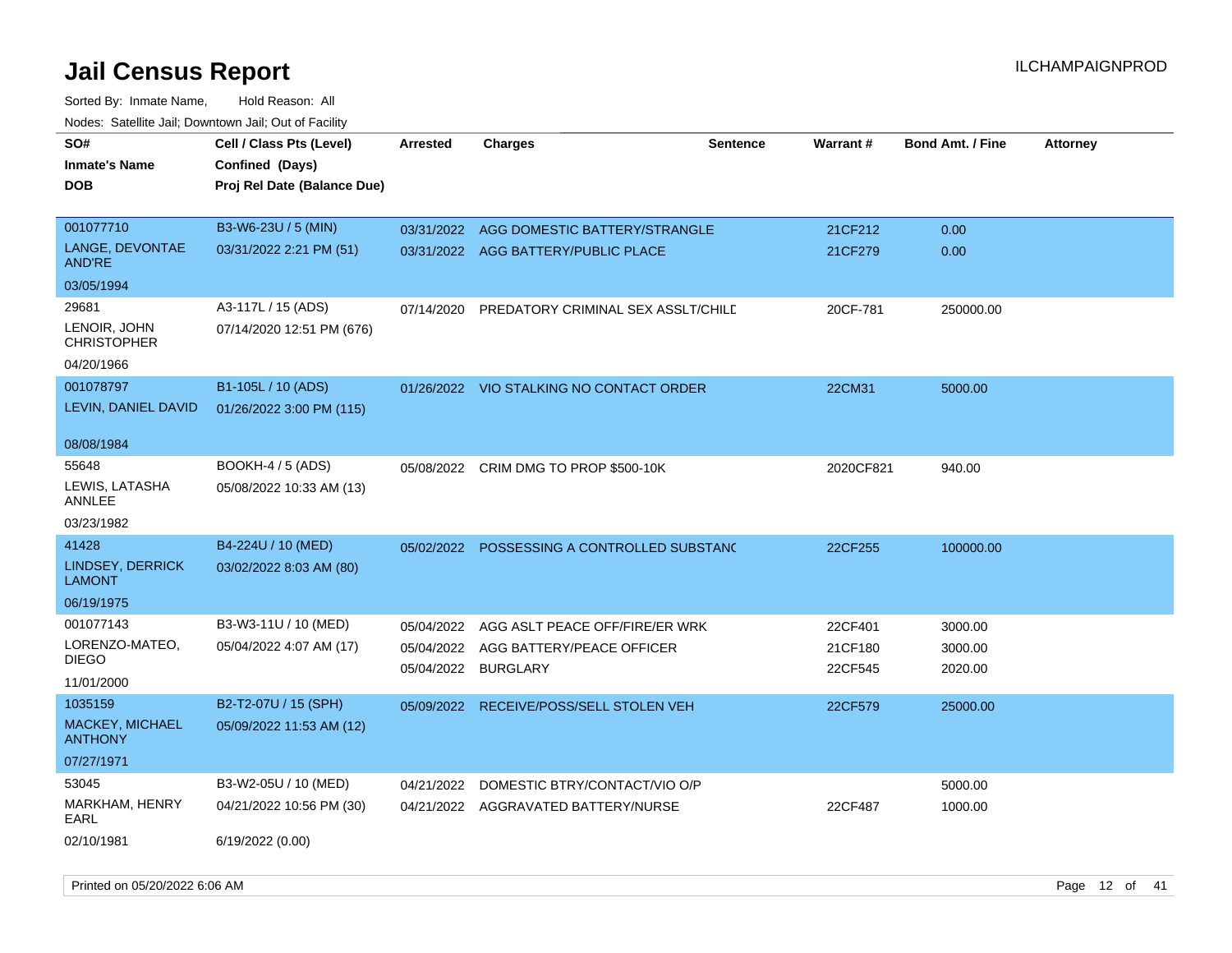| Todoo. Catolino can, Bowritown can, Oat or I domt<br>SO#<br><b>Inmate's Name</b><br><b>DOB</b> | Cell / Class Pts (Level)<br>Confined (Days)<br>Proj Rel Date (Balance Due) | <b>Arrested</b>                                 | <b>Charges</b>                                                       | <b>Sentence</b> | Warrant#                      | <b>Bond Amt. / Fine</b>       | <b>Attorney</b> |
|------------------------------------------------------------------------------------------------|----------------------------------------------------------------------------|-------------------------------------------------|----------------------------------------------------------------------|-----------------|-------------------------------|-------------------------------|-----------------|
| 001077710<br>LANGE, DEVONTAE<br>AND'RE<br>03/05/1994                                           | B3-W6-23U / 5 (MIN)<br>03/31/2022 2:21 PM (51)                             | 03/31/2022                                      | AGG DOMESTIC BATTERY/STRANGLE<br>03/31/2022 AGG BATTERY/PUBLIC PLACE |                 | 21CF212<br>21CF279            | 0.00<br>0.00                  |                 |
| 29681<br>LENOIR, JOHN<br><b>CHRISTOPHER</b><br>04/20/1966                                      | A3-117L / 15 (ADS)<br>07/14/2020 12:51 PM (676)                            | 07/14/2020                                      | PREDATORY CRIMINAL SEX ASSLT/CHILE                                   |                 | 20CF-781                      | 250000.00                     |                 |
| 001078797<br>LEVIN, DANIEL DAVID                                                               | B1-105L / 10 (ADS)<br>01/26/2022 3:00 PM (115)                             |                                                 | 01/26/2022 VIO STALKING NO CONTACT ORDER                             |                 | 22CM31                        | 5000.00                       |                 |
| 08/08/1984<br>55648<br>LEWIS, LATASHA<br>ANNLEE<br>03/23/1982                                  | <b>BOOKH-4 / 5 (ADS)</b><br>05/08/2022 10:33 AM (13)                       | 05/08/2022                                      | CRIM DMG TO PROP \$500-10K                                           |                 | 2020CF821                     | 940.00                        |                 |
| 41428<br><b>LINDSEY, DERRICK</b><br><b>LAMONT</b><br>06/19/1975                                | B4-224U / 10 (MED)<br>03/02/2022 8:03 AM (80)                              | 05/02/2022                                      | POSSESSING A CONTROLLED SUBSTANC                                     |                 | 22CF255                       | 100000.00                     |                 |
| 001077143<br>LORENZO-MATEO,<br><b>DIEGO</b><br>11/01/2000                                      | B3-W3-11U / 10 (MED)<br>05/04/2022 4:07 AM (17)                            | 05/04/2022<br>05/04/2022<br>05/04/2022 BURGLARY | AGG ASLT PEACE OFF/FIRE/ER WRK<br>AGG BATTERY/PEACE OFFICER          |                 | 22CF401<br>21CF180<br>22CF545 | 3000.00<br>3000.00<br>2020.00 |                 |
| 1035159<br><b>MACKEY, MICHAEL</b><br><b>ANTHONY</b><br>07/27/1971                              | B2-T2-07U / 15 (SPH)<br>05/09/2022 11:53 AM (12)                           | 05/09/2022                                      | RECEIVE/POSS/SELL STOLEN VEH                                         |                 | 22CF579                       | 25000.00                      |                 |
| 53045<br>MARKHAM, HENRY<br>EARL<br>02/10/1981                                                  | B3-W2-05U / 10 (MED)<br>04/21/2022 10:56 PM (30)<br>6/19/2022 (0.00)       | 04/21/2022                                      | DOMESTIC BTRY/CONTACT/VIO O/P<br>04/21/2022 AGGRAVATED BATTERY/NURSE |                 | 22CF487                       | 5000.00<br>1000.00            |                 |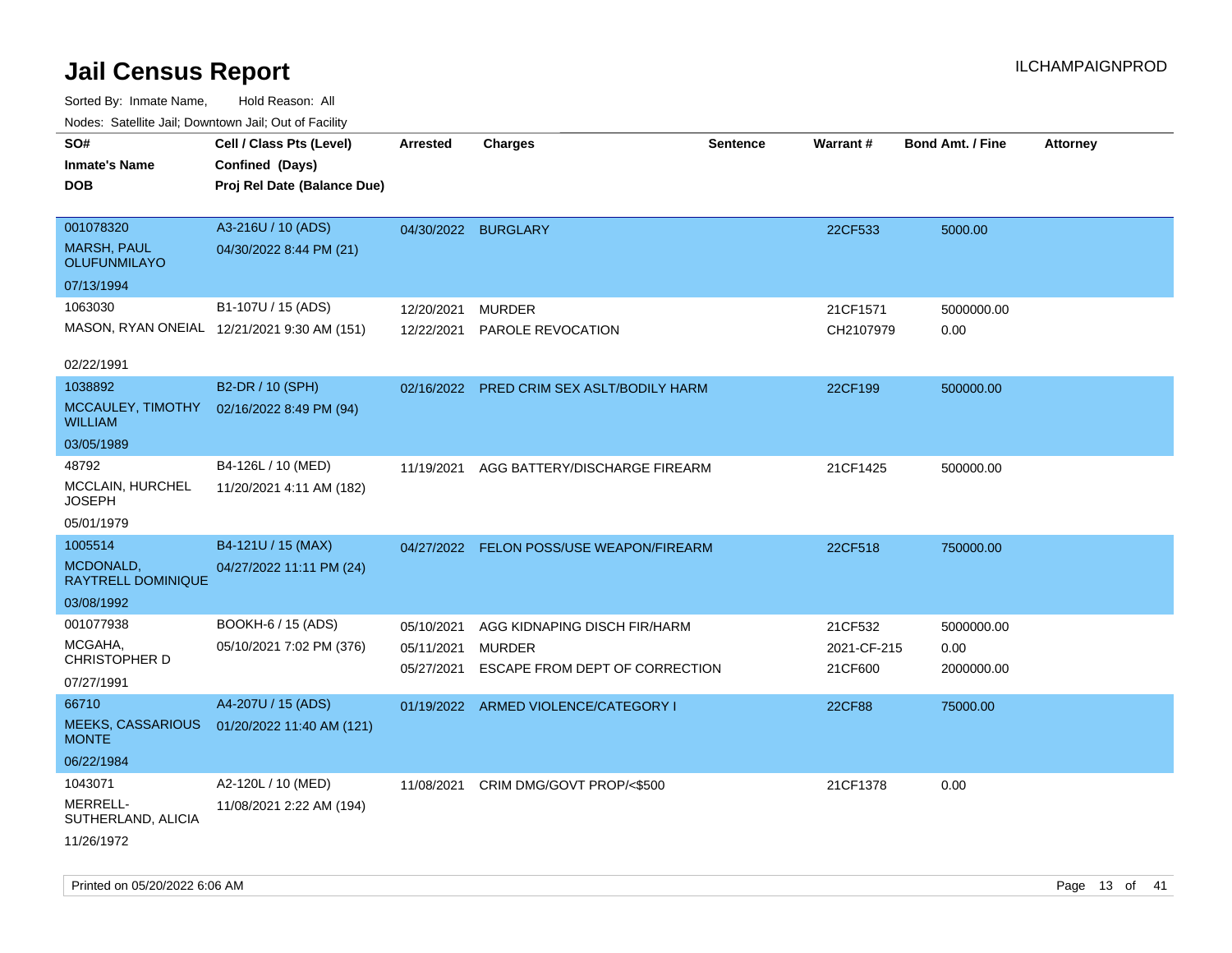| ivuutos. Saltiilit Jali, Duwilluwii Jali, Oul of Facility |                                             |                     |                                           |                 |             |                         |                 |
|-----------------------------------------------------------|---------------------------------------------|---------------------|-------------------------------------------|-----------------|-------------|-------------------------|-----------------|
| SO#                                                       | Cell / Class Pts (Level)                    | Arrested            | <b>Charges</b>                            | <b>Sentence</b> | Warrant#    | <b>Bond Amt. / Fine</b> | <b>Attorney</b> |
| <b>Inmate's Name</b>                                      | Confined (Days)                             |                     |                                           |                 |             |                         |                 |
| <b>DOB</b>                                                | Proj Rel Date (Balance Due)                 |                     |                                           |                 |             |                         |                 |
|                                                           |                                             |                     |                                           |                 |             |                         |                 |
| 001078320                                                 | A3-216U / 10 (ADS)                          | 04/30/2022 BURGLARY |                                           |                 | 22CF533     | 5000.00                 |                 |
| <b>MARSH, PAUL</b><br>OLUFUNMILAYO                        | 04/30/2022 8:44 PM (21)                     |                     |                                           |                 |             |                         |                 |
| 07/13/1994                                                |                                             |                     |                                           |                 |             |                         |                 |
| 1063030                                                   | B1-107U / 15 (ADS)                          | 12/20/2021          | <b>MURDER</b>                             |                 | 21CF1571    | 5000000.00              |                 |
|                                                           | MASON, RYAN ONEIAL 12/21/2021 9:30 AM (151) | 12/22/2021          | PAROLE REVOCATION                         |                 | CH2107979   | 0.00                    |                 |
|                                                           |                                             |                     |                                           |                 |             |                         |                 |
| 02/22/1991                                                |                                             |                     |                                           |                 |             |                         |                 |
| 1038892                                                   | B2-DR / 10 (SPH)                            |                     | 02/16/2022 PRED CRIM SEX ASLT/BODILY HARM |                 | 22CF199     | 500000.00               |                 |
| MCCAULEY, TIMOTHY<br><b>WILLIAM</b>                       | 02/16/2022 8:49 PM (94)                     |                     |                                           |                 |             |                         |                 |
| 03/05/1989                                                |                                             |                     |                                           |                 |             |                         |                 |
| 48792                                                     | B4-126L / 10 (MED)                          | 11/19/2021          | AGG BATTERY/DISCHARGE FIREARM             |                 | 21CF1425    | 500000.00               |                 |
| <b>MCCLAIN, HURCHEL</b><br>JOSEPH                         | 11/20/2021 4:11 AM (182)                    |                     |                                           |                 |             |                         |                 |
| 05/01/1979                                                |                                             |                     |                                           |                 |             |                         |                 |
| 1005514                                                   | B4-121U / 15 (MAX)                          |                     | 04/27/2022 FELON POSS/USE WEAPON/FIREARM  |                 | 22CF518     | 750000.00               |                 |
| MCDONALD,<br><b>RAYTRELL DOMINIQUE</b>                    | 04/27/2022 11:11 PM (24)                    |                     |                                           |                 |             |                         |                 |
| 03/08/1992                                                |                                             |                     |                                           |                 |             |                         |                 |
| 001077938                                                 | BOOKH-6 / 15 (ADS)                          | 05/10/2021          | AGG KIDNAPING DISCH FIR/HARM              |                 | 21CF532     | 5000000.00              |                 |
| MCGAHA,                                                   | 05/10/2021 7:02 PM (376)                    | 05/11/2021          | <b>MURDER</b>                             |                 | 2021-CF-215 | 0.00                    |                 |
| <b>CHRISTOPHER D</b>                                      |                                             | 05/27/2021          | ESCAPE FROM DEPT OF CORRECTION            |                 | 21CF600     | 2000000.00              |                 |
| 07/27/1991                                                |                                             |                     |                                           |                 |             |                         |                 |
| 66710                                                     | A4-207U / 15 (ADS)                          |                     | 01/19/2022 ARMED VIOLENCE/CATEGORY I      |                 | 22CF88      | 75000.00                |                 |
| <b>MEEKS, CASSARIOUS</b><br><b>MONTE</b>                  | 01/20/2022 11:40 AM (121)                   |                     |                                           |                 |             |                         |                 |
| 06/22/1984                                                |                                             |                     |                                           |                 |             |                         |                 |
| 1043071                                                   | A2-120L / 10 (MED)                          | 11/08/2021          | CRIM DMG/GOVT PROP/<\$500                 |                 | 21CF1378    | 0.00                    |                 |
| MERRELL-<br>SUTHERLAND, ALICIA                            | 11/08/2021 2:22 AM (194)                    |                     |                                           |                 |             |                         |                 |
| 11/26/1972                                                |                                             |                     |                                           |                 |             |                         |                 |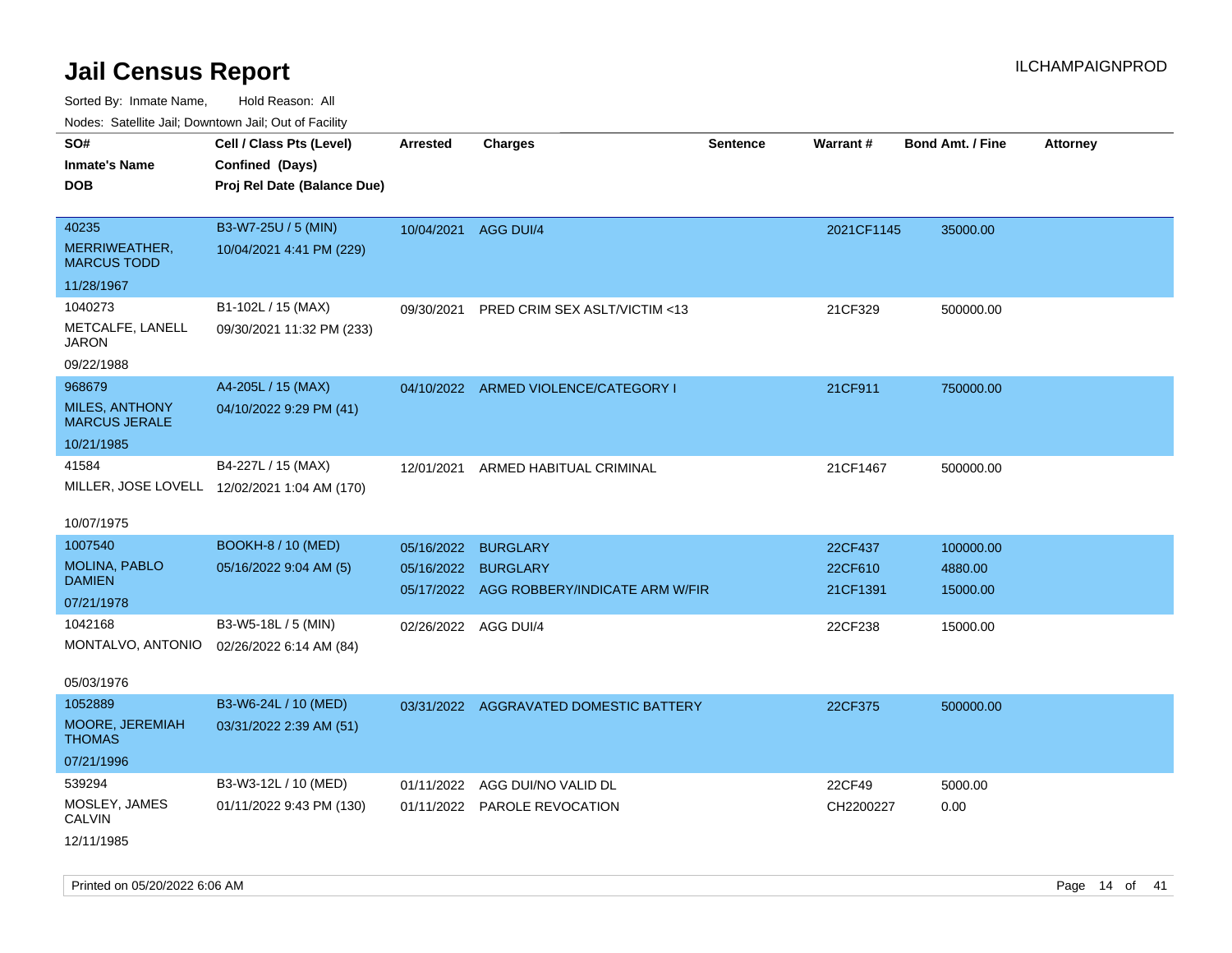| ivodes. Satellite Jali, Downtown Jali, Out of Facility |                                              |                      |                                           |                 |                 |                         |                 |
|--------------------------------------------------------|----------------------------------------------|----------------------|-------------------------------------------|-----------------|-----------------|-------------------------|-----------------|
| SO#                                                    | Cell / Class Pts (Level)                     | Arrested             | <b>Charges</b>                            | <b>Sentence</b> | <b>Warrant#</b> | <b>Bond Amt. / Fine</b> | <b>Attorney</b> |
| <b>Inmate's Name</b>                                   | Confined (Days)                              |                      |                                           |                 |                 |                         |                 |
| <b>DOB</b>                                             | Proj Rel Date (Balance Due)                  |                      |                                           |                 |                 |                         |                 |
|                                                        |                                              |                      |                                           |                 |                 |                         |                 |
| 40235                                                  | B3-W7-25U / 5 (MIN)                          | 10/04/2021 AGG DUI/4 |                                           |                 | 2021CF1145      | 35000.00                |                 |
| MERRIWEATHER,<br><b>MARCUS TODD</b>                    | 10/04/2021 4:41 PM (229)                     |                      |                                           |                 |                 |                         |                 |
| 11/28/1967                                             |                                              |                      |                                           |                 |                 |                         |                 |
| 1040273                                                | B1-102L / 15 (MAX)                           | 09/30/2021           | PRED CRIM SEX ASLT/VICTIM <13             |                 | 21CF329         | 500000.00               |                 |
| METCALFE, LANELL<br>JARON                              | 09/30/2021 11:32 PM (233)                    |                      |                                           |                 |                 |                         |                 |
| 09/22/1988                                             |                                              |                      |                                           |                 |                 |                         |                 |
| 968679                                                 | A4-205L / 15 (MAX)                           |                      | 04/10/2022 ARMED VIOLENCE/CATEGORY I      |                 | 21CF911         | 750000.00               |                 |
| <b>MILES, ANTHONY</b><br><b>MARCUS JERALE</b>          | 04/10/2022 9:29 PM (41)                      |                      |                                           |                 |                 |                         |                 |
| 10/21/1985                                             |                                              |                      |                                           |                 |                 |                         |                 |
| 41584                                                  | B4-227L / 15 (MAX)                           | 12/01/2021           | ARMED HABITUAL CRIMINAL                   |                 | 21CF1467        | 500000.00               |                 |
|                                                        | MILLER, JOSE LOVELL 12/02/2021 1:04 AM (170) |                      |                                           |                 |                 |                         |                 |
|                                                        |                                              |                      |                                           |                 |                 |                         |                 |
| 10/07/1975                                             |                                              |                      |                                           |                 |                 |                         |                 |
| 1007540                                                | <b>BOOKH-8 / 10 (MED)</b>                    | 05/16/2022           | <b>BURGLARY</b>                           |                 | 22CF437         | 100000.00               |                 |
| <b>MOLINA, PABLO</b>                                   | 05/16/2022 9:04 AM (5)                       | 05/16/2022           | <b>BURGLARY</b>                           |                 | 22CF610         | 4880.00                 |                 |
| <b>DAMIEN</b>                                          |                                              |                      | 05/17/2022 AGG ROBBERY/INDICATE ARM W/FIR |                 | 21CF1391        | 15000.00                |                 |
| 07/21/1978                                             |                                              |                      |                                           |                 |                 |                         |                 |
| 1042168                                                | B3-W5-18L / 5 (MIN)                          | 02/26/2022 AGG DUI/4 |                                           |                 | 22CF238         | 15000.00                |                 |
| MONTALVO, ANTONIO                                      | 02/26/2022 6:14 AM (84)                      |                      |                                           |                 |                 |                         |                 |
| 05/03/1976                                             |                                              |                      |                                           |                 |                 |                         |                 |
| 1052889                                                | B3-W6-24L / 10 (MED)                         |                      | 03/31/2022 AGGRAVATED DOMESTIC BATTERY    |                 | 22CF375         | 500000.00               |                 |
| MOORE, JEREMIAH<br><b>THOMAS</b>                       | 03/31/2022 2:39 AM (51)                      |                      |                                           |                 |                 |                         |                 |
| 07/21/1996                                             |                                              |                      |                                           |                 |                 |                         |                 |
| 539294                                                 | B3-W3-12L / 10 (MED)                         | 01/11/2022           | AGG DUI/NO VALID DL                       |                 | 22CF49          | 5000.00                 |                 |
| MOSLEY, JAMES<br><b>CALVIN</b>                         | 01/11/2022 9:43 PM (130)                     |                      | 01/11/2022 PAROLE REVOCATION              |                 | CH2200227       | 0.00                    |                 |
| 12/11/1985                                             |                                              |                      |                                           |                 |                 |                         |                 |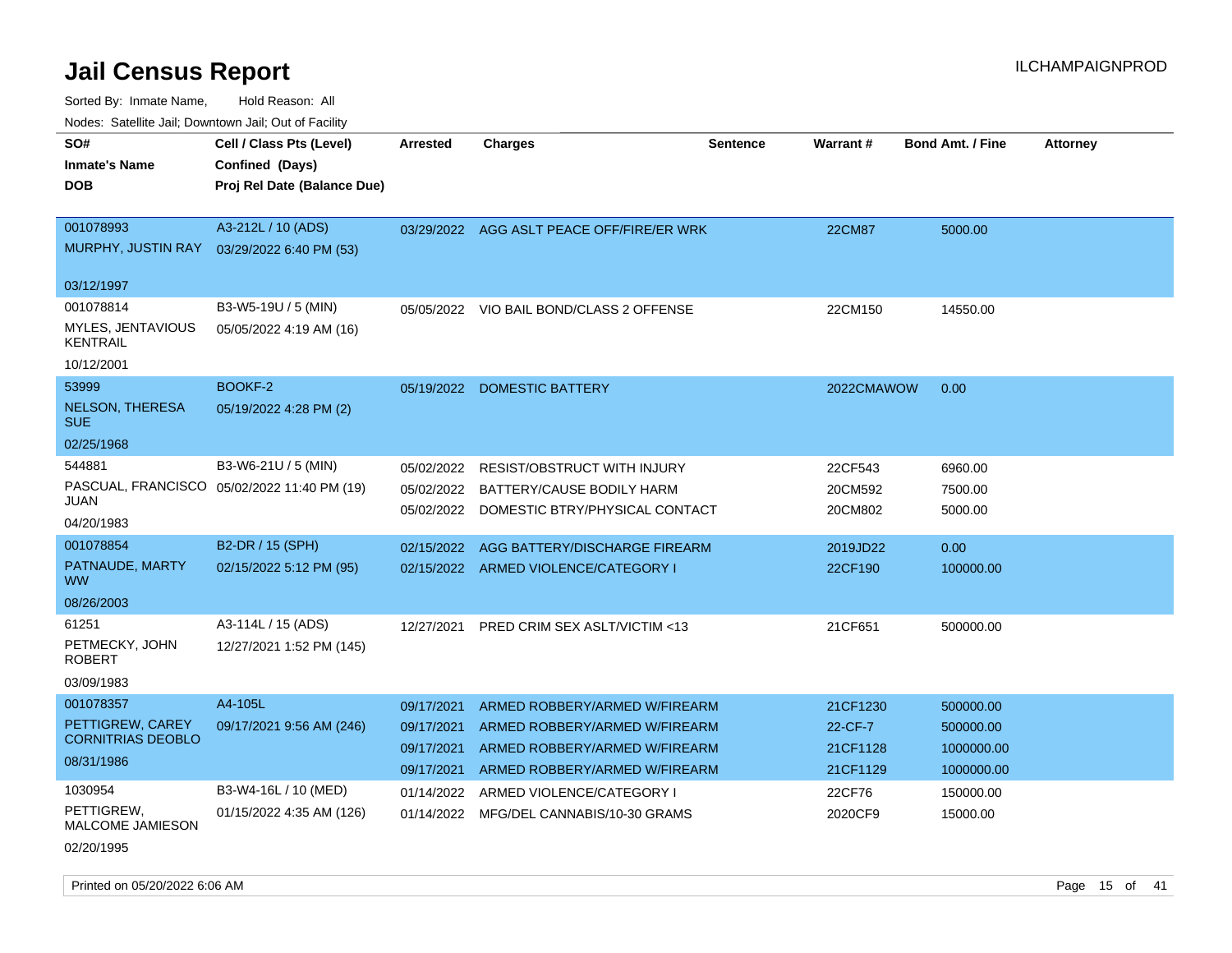Sorted By: Inmate Name, Hold Reason: All

|  |  | Nodes: Satellite Jail; Downtown Jail; Out of Facility |  |
|--|--|-------------------------------------------------------|--|
|--|--|-------------------------------------------------------|--|

| SO#<br><b>Inmate's Name</b><br><b>DOB</b>                               | Cell / Class Pts (Level)<br>Confined (Days)<br>Proj Rel Date (Balance Due) | <b>Arrested</b>                                      | <b>Charges</b>                                                                                                                   | <b>Sentence</b> | Warrant#                                    | <b>Bond Amt. / Fine</b>                            | <b>Attorney</b> |
|-------------------------------------------------------------------------|----------------------------------------------------------------------------|------------------------------------------------------|----------------------------------------------------------------------------------------------------------------------------------|-----------------|---------------------------------------------|----------------------------------------------------|-----------------|
| 001078993<br>MURPHY, JUSTIN RAY<br>03/12/1997                           | A3-212L / 10 (ADS)<br>03/29/2022 6:40 PM (53)                              |                                                      | 03/29/2022 AGG ASLT PEACE OFF/FIRE/ER WRK                                                                                        |                 | <b>22CM87</b>                               | 5000.00                                            |                 |
| 001078814<br>MYLES, JENTAVIOUS<br><b>KENTRAIL</b><br>10/12/2001         | B3-W5-19U / 5 (MIN)<br>05/05/2022 4:19 AM (16)                             |                                                      | 05/05/2022 VIO BAIL BOND/CLASS 2 OFFENSE                                                                                         |                 | 22CM150                                     | 14550.00                                           |                 |
| 53999<br><b>NELSON, THERESA</b><br><b>SUE</b><br>02/25/1968             | BOOKF-2<br>05/19/2022 4:28 PM (2)                                          |                                                      | 05/19/2022 DOMESTIC BATTERY                                                                                                      |                 | 2022CMAWOW                                  | 0.00                                               |                 |
| 544881<br><b>JUAN</b><br>04/20/1983                                     | B3-W6-21U / 5 (MIN)<br>PASCUAL, FRANCISCO 05/02/2022 11:40 PM (19)         | 05/02/2022<br>05/02/2022<br>05/02/2022               | <b>RESIST/OBSTRUCT WITH INJURY</b><br>BATTERY/CAUSE BODILY HARM<br>DOMESTIC BTRY/PHYSICAL CONTACT                                |                 | 22CF543<br>20CM592<br>20CM802               | 6960.00<br>7500.00<br>5000.00                      |                 |
| 001078854<br>PATNAUDE, MARTY<br><b>WW</b><br>08/26/2003                 | B2-DR / 15 (SPH)<br>02/15/2022 5:12 PM (95)                                | 02/15/2022                                           | AGG BATTERY/DISCHARGE FIREARM<br>02/15/2022 ARMED VIOLENCE/CATEGORY I                                                            |                 | 2019JD22<br>22CF190                         | 0.00<br>100000.00                                  |                 |
| 61251<br>PETMECKY, JOHN<br><b>ROBERT</b><br>03/09/1983                  | A3-114L / 15 (ADS)<br>12/27/2021 1:52 PM (145)                             | 12/27/2021                                           | PRED CRIM SEX ASLT/VICTIM <13                                                                                                    |                 | 21CF651                                     | 500000.00                                          |                 |
| 001078357<br>PETTIGREW, CAREY<br><b>CORNITRIAS DEOBLO</b><br>08/31/1986 | A4-105L<br>09/17/2021 9:56 AM (246)                                        | 09/17/2021<br>09/17/2021<br>09/17/2021<br>09/17/2021 | ARMED ROBBERY/ARMED W/FIREARM<br>ARMED ROBBERY/ARMED W/FIREARM<br>ARMED ROBBERY/ARMED W/FIREARM<br>ARMED ROBBERY/ARMED W/FIREARM |                 | 21CF1230<br>22-CF-7<br>21CF1128<br>21CF1129 | 500000.00<br>500000.00<br>1000000.00<br>1000000.00 |                 |
| 1030954<br>PETTIGREW,<br><b>MALCOME JAMIESON</b><br>02/20/1995          | B3-W4-16L / 10 (MED)<br>01/15/2022 4:35 AM (126)                           | 01/14/2022<br>01/14/2022                             | ARMED VIOLENCE/CATEGORY I<br>MFG/DEL CANNABIS/10-30 GRAMS                                                                        |                 | 22CF76<br>2020CF9                           | 150000.00<br>15000.00                              |                 |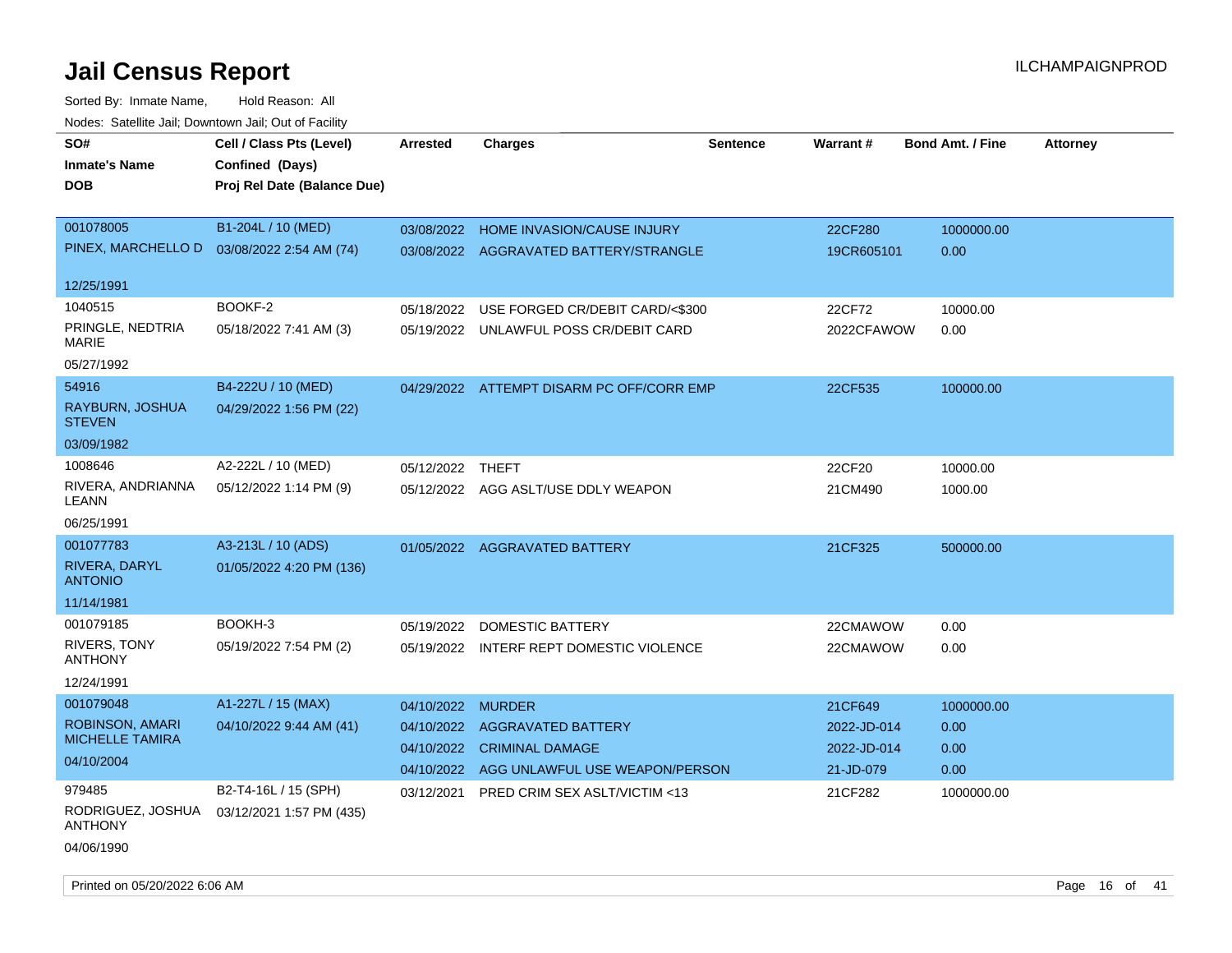| SO#                                 | Cell / Class Pts (Level)                    | <b>Arrested</b>  | <b>Charges</b>                            | <b>Sentence</b> | <b>Warrant#</b> | <b>Bond Amt. / Fine</b> | <b>Attorney</b> |
|-------------------------------------|---------------------------------------------|------------------|-------------------------------------------|-----------------|-----------------|-------------------------|-----------------|
| <b>Inmate's Name</b>                | Confined (Days)                             |                  |                                           |                 |                 |                         |                 |
| <b>DOB</b>                          | Proj Rel Date (Balance Due)                 |                  |                                           |                 |                 |                         |                 |
|                                     |                                             |                  |                                           |                 |                 |                         |                 |
| 001078005                           | B1-204L / 10 (MED)                          | 03/08/2022       | <b>HOME INVASION/CAUSE INJURY</b>         |                 | 22CF280         | 1000000.00              |                 |
|                                     | PINEX, MARCHELLO D  03/08/2022 2:54 AM (74) |                  | 03/08/2022 AGGRAVATED BATTERY/STRANGLE    |                 | 19CR605101      | 0.00                    |                 |
|                                     |                                             |                  |                                           |                 |                 |                         |                 |
| 12/25/1991                          |                                             |                  |                                           |                 |                 |                         |                 |
| 1040515                             | BOOKF-2                                     | 05/18/2022       | USE FORGED CR/DEBIT CARD/<\$300           |                 | 22CF72          | 10000.00                |                 |
| PRINGLE, NEDTRIA<br>MARIE           | 05/18/2022 7:41 AM (3)                      |                  | 05/19/2022 UNLAWFUL POSS CR/DEBIT CARD    |                 | 2022CFAWOW      | 0.00                    |                 |
| 05/27/1992                          |                                             |                  |                                           |                 |                 |                         |                 |
| 54916                               | B4-222U / 10 (MED)                          |                  | 04/29/2022 ATTEMPT DISARM PC OFF/CORR EMP |                 | 22CF535         | 100000.00               |                 |
| RAYBURN, JOSHUA<br><b>STEVEN</b>    | 04/29/2022 1:56 PM (22)                     |                  |                                           |                 |                 |                         |                 |
| 03/09/1982                          |                                             |                  |                                           |                 |                 |                         |                 |
| 1008646                             | A2-222L / 10 (MED)                          | 05/12/2022 THEFT |                                           |                 | 22CF20          | 10000.00                |                 |
| RIVERA, ANDRIANNA<br>LEANN          | 05/12/2022 1:14 PM (9)                      |                  | 05/12/2022 AGG ASLT/USE DDLY WEAPON       |                 | 21CM490         | 1000.00                 |                 |
| 06/25/1991                          |                                             |                  |                                           |                 |                 |                         |                 |
| 001077783                           | A3-213L / 10 (ADS)                          | 01/05/2022       | <b>AGGRAVATED BATTERY</b>                 |                 | 21CF325         | 500000.00               |                 |
| RIVERA, DARYL<br><b>ANTONIO</b>     | 01/05/2022 4:20 PM (136)                    |                  |                                           |                 |                 |                         |                 |
| 11/14/1981                          |                                             |                  |                                           |                 |                 |                         |                 |
| 001079185                           | BOOKH-3                                     | 05/19/2022       | DOMESTIC BATTERY                          |                 | 22CMAWOW        | 0.00                    |                 |
| RIVERS, TONY<br><b>ANTHONY</b>      | 05/19/2022 7:54 PM (2)                      |                  | 05/19/2022 INTERF REPT DOMESTIC VIOLENCE  |                 | 22CMAWOW        | 0.00                    |                 |
| 12/24/1991                          |                                             |                  |                                           |                 |                 |                         |                 |
| 001079048                           | A1-227L / 15 (MAX)                          | 04/10/2022       | <b>MURDER</b>                             |                 | 21CF649         | 1000000.00              |                 |
| ROBINSON, AMARI                     | 04/10/2022 9:44 AM (41)                     | 04/10/2022       | <b>AGGRAVATED BATTERY</b>                 |                 | 2022-JD-014     | 0.00                    |                 |
| <b>MICHELLE TAMIRA</b>              |                                             | 04/10/2022       | <b>CRIMINAL DAMAGE</b>                    |                 | 2022-JD-014     | 0.00                    |                 |
| 04/10/2004                          |                                             |                  | 04/10/2022 AGG UNLAWFUL USE WEAPON/PERSON |                 | 21-JD-079       | 0.00                    |                 |
| 979485                              | B2-T4-16L / 15 (SPH)                        | 03/12/2021       | PRED CRIM SEX ASLT/VICTIM <13             |                 | 21CF282         | 1000000.00              |                 |
| RODRIGUEZ, JOSHUA<br><b>ANTHONY</b> | 03/12/2021 1:57 PM (435)                    |                  |                                           |                 |                 |                         |                 |
| 04/06/1990                          |                                             |                  |                                           |                 |                 |                         |                 |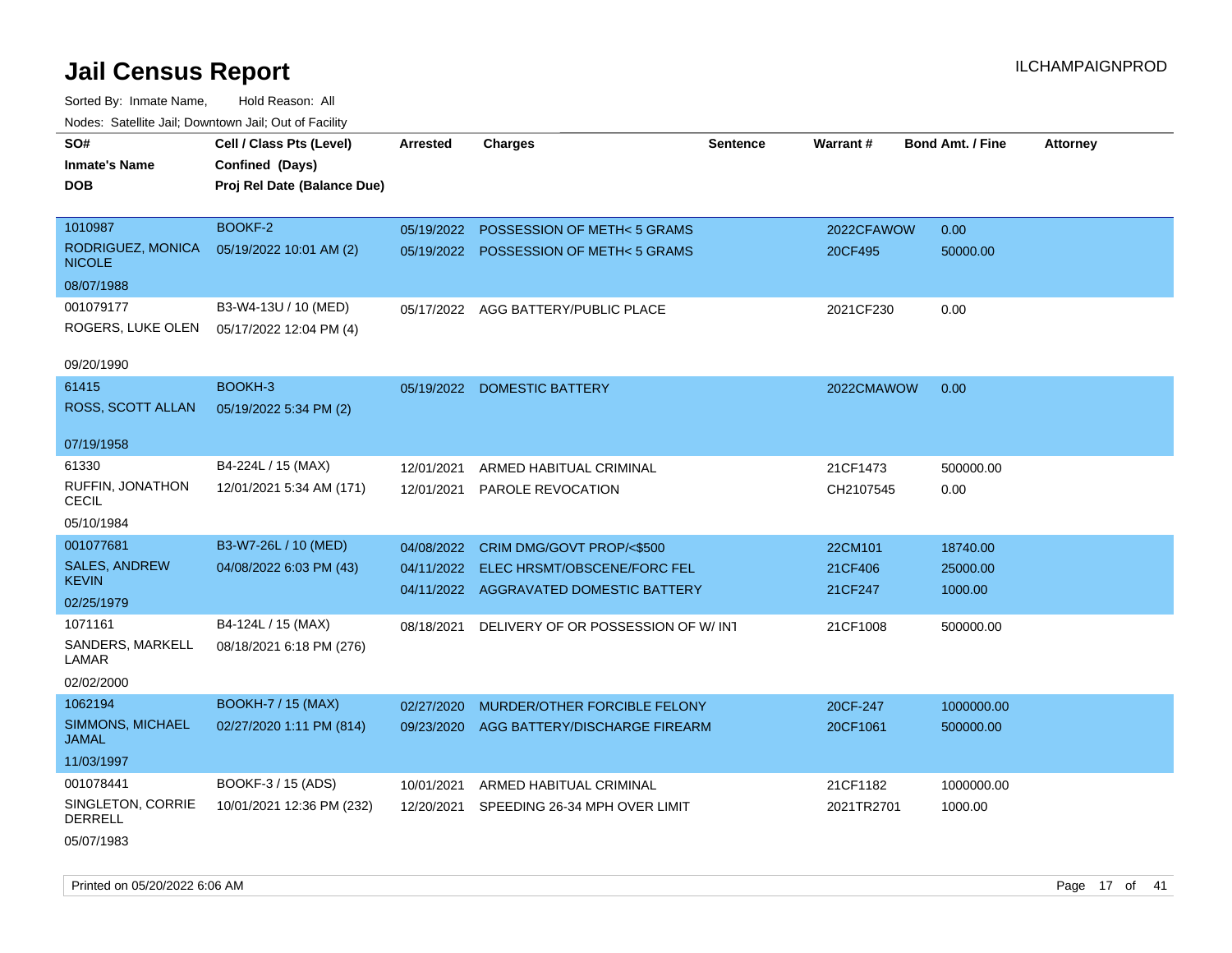Sorted By: Inmate Name, Hold Reason: All Nodes: Satellite Jail; Downtown Jail; Out of Facility

| SO#                                 | Cell / Class Pts (Level)    | Arrested   | <b>Charges</b>                           | Sentence | <b>Warrant#</b> | <b>Bond Amt. / Fine</b> | <b>Attorney</b> |
|-------------------------------------|-----------------------------|------------|------------------------------------------|----------|-----------------|-------------------------|-----------------|
| <b>Inmate's Name</b>                | Confined (Days)             |            |                                          |          |                 |                         |                 |
| <b>DOB</b>                          | Proj Rel Date (Balance Due) |            |                                          |          |                 |                         |                 |
|                                     |                             |            |                                          |          |                 |                         |                 |
| 1010987                             | BOOKF-2                     |            | 05/19/2022 POSSESSION OF METH< 5 GRAMS   |          | 2022CFAWOW      | 0.00                    |                 |
| RODRIGUEZ, MONICA<br><b>NICOLE</b>  | 05/19/2022 10:01 AM (2)     |            | 05/19/2022 POSSESSION OF METH< 5 GRAMS   |          | 20CF495         | 50000.00                |                 |
| 08/07/1988                          |                             |            |                                          |          |                 |                         |                 |
| 001079177                           | B3-W4-13U / 10 (MED)        |            | 05/17/2022 AGG BATTERY/PUBLIC PLACE      |          | 2021CF230       | 0.00                    |                 |
| ROGERS, LUKE OLEN                   | 05/17/2022 12:04 PM (4)     |            |                                          |          |                 |                         |                 |
|                                     |                             |            |                                          |          |                 |                         |                 |
| 09/20/1990                          |                             |            |                                          |          |                 |                         |                 |
| 61415                               | BOOKH-3                     |            | 05/19/2022 DOMESTIC BATTERY              |          | 2022CMAWOW      | 0.00                    |                 |
| ROSS, SCOTT ALLAN                   | 05/19/2022 5:34 PM (2)      |            |                                          |          |                 |                         |                 |
| 07/19/1958                          |                             |            |                                          |          |                 |                         |                 |
| 61330                               | B4-224L / 15 (MAX)          | 12/01/2021 | ARMED HABITUAL CRIMINAL                  |          | 21CF1473        | 500000.00               |                 |
| RUFFIN, JONATHON<br>CECIL           | 12/01/2021 5:34 AM (171)    |            | 12/01/2021 PAROLE REVOCATION             |          | CH2107545       | 0.00                    |                 |
| 05/10/1984                          |                             |            |                                          |          |                 |                         |                 |
| 001077681                           | B3-W7-26L / 10 (MED)        | 04/08/2022 | CRIM DMG/GOVT PROP/<\$500                |          | 22CM101         | 18740.00                |                 |
| <b>SALES, ANDREW</b>                | 04/08/2022 6:03 PM (43)     | 04/11/2022 | ELEC HRSMT/OBSCENE/FORC FEL              |          | 21CF406         | 25000.00                |                 |
| <b>KEVIN</b>                        |                             |            | 04/11/2022 AGGRAVATED DOMESTIC BATTERY   |          | 21CF247         | 1000.00                 |                 |
| 02/25/1979                          |                             |            |                                          |          |                 |                         |                 |
| 1071161                             | B4-124L / 15 (MAX)          | 08/18/2021 | DELIVERY OF OR POSSESSION OF W/ INT      |          | 21CF1008        | 500000.00               |                 |
| SANDERS, MARKELL<br>LAMAR           | 08/18/2021 6:18 PM (276)    |            |                                          |          |                 |                         |                 |
| 02/02/2000                          |                             |            |                                          |          |                 |                         |                 |
| 1062194                             | <b>BOOKH-7 / 15 (MAX)</b>   | 02/27/2020 | MURDER/OTHER FORCIBLE FELONY             |          | 20CF-247        | 1000000.00              |                 |
| SIMMONS, MICHAEL<br><b>JAMAL</b>    | 02/27/2020 1:11 PM (814)    |            | 09/23/2020 AGG BATTERY/DISCHARGE FIREARM |          | 20CF1061        | 500000.00               |                 |
| 11/03/1997                          |                             |            |                                          |          |                 |                         |                 |
| 001078441                           | BOOKF-3 / 15 (ADS)          | 10/01/2021 | ARMED HABITUAL CRIMINAL                  |          | 21CF1182        | 1000000.00              |                 |
| SINGLETON, CORRIE<br><b>DERRELL</b> | 10/01/2021 12:36 PM (232)   | 12/20/2021 | SPEEDING 26-34 MPH OVER LIMIT            |          | 2021TR2701      | 1000.00                 |                 |
|                                     |                             |            |                                          |          |                 |                         |                 |

05/07/1983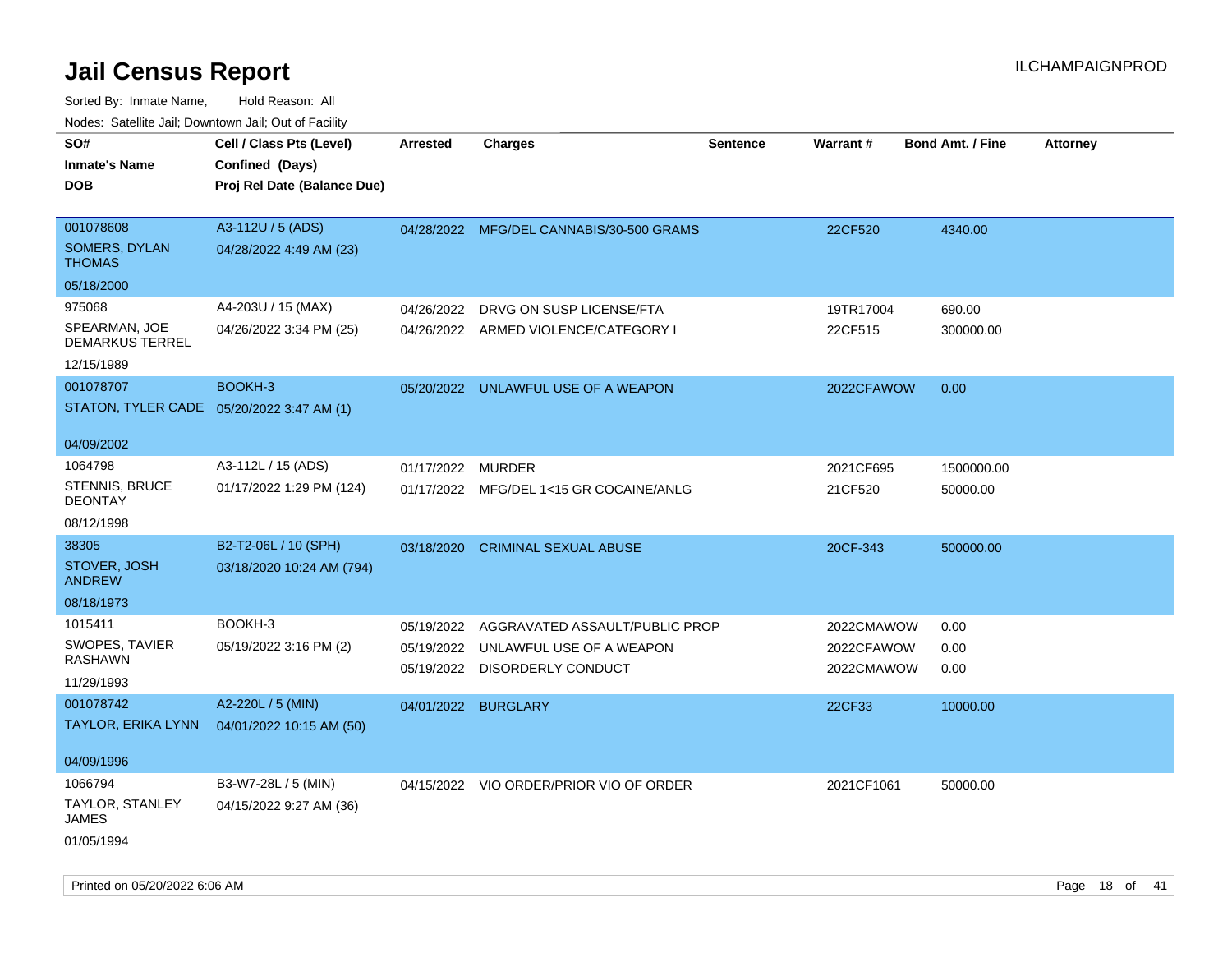| rouco. Calcinic Jan, Downtown Jan, Out of Facility |                                             |            |                                          |                 |            |                         |                 |
|----------------------------------------------------|---------------------------------------------|------------|------------------------------------------|-----------------|------------|-------------------------|-----------------|
| SO#                                                | Cell / Class Pts (Level)                    | Arrested   | <b>Charges</b>                           | <b>Sentence</b> | Warrant#   | <b>Bond Amt. / Fine</b> | <b>Attorney</b> |
| <b>Inmate's Name</b>                               | Confined (Days)                             |            |                                          |                 |            |                         |                 |
| DOB                                                | Proj Rel Date (Balance Due)                 |            |                                          |                 |            |                         |                 |
|                                                    |                                             |            |                                          |                 |            |                         |                 |
| 001078608                                          | A3-112U / 5 (ADS)                           |            | 04/28/2022 MFG/DEL CANNABIS/30-500 GRAMS |                 | 22CF520    | 4340.00                 |                 |
| SOMERS, DYLAN<br>THOMAS                            | 04/28/2022 4:49 AM (23)                     |            |                                          |                 |            |                         |                 |
| 05/18/2000                                         |                                             |            |                                          |                 |            |                         |                 |
| 975068                                             | A4-203U / 15 (MAX)                          | 04/26/2022 | DRVG ON SUSP LICENSE/FTA                 |                 | 19TR17004  | 690.00                  |                 |
| SPEARMAN, JOE<br><b>DEMARKUS TERREL</b>            | 04/26/2022 3:34 PM (25)                     |            | 04/26/2022 ARMED VIOLENCE/CATEGORY I     |                 | 22CF515    | 300000.00               |                 |
| 12/15/1989                                         |                                             |            |                                          |                 |            |                         |                 |
| 001078707                                          | BOOKH-3                                     |            | 05/20/2022 UNLAWFUL USE OF A WEAPON      |                 | 2022CFAWOW | 0.00                    |                 |
| STATON, TYLER CADE 05/20/2022 3:47 AM (1)          |                                             |            |                                          |                 |            |                         |                 |
| 04/09/2002                                         |                                             |            |                                          |                 |            |                         |                 |
| 1064798                                            | A3-112L / 15 (ADS)                          | 01/17/2022 | <b>MURDER</b>                            |                 | 2021CF695  | 1500000.00              |                 |
| STENNIS, BRUCE<br><b>DEONTAY</b>                   | 01/17/2022 1:29 PM (124)                    |            | 01/17/2022 MFG/DEL 1<15 GR COCAINE/ANLG  |                 | 21CF520    | 50000.00                |                 |
| 08/12/1998                                         |                                             |            |                                          |                 |            |                         |                 |
| 38305                                              | B2-T2-06L / 10 (SPH)                        | 03/18/2020 | CRIMINAL SEXUAL ABUSE                    |                 | 20CF-343   | 500000.00               |                 |
| STOVER, JOSH<br>ANDREW                             | 03/18/2020 10:24 AM (794)                   |            |                                          |                 |            |                         |                 |
| 08/18/1973                                         |                                             |            |                                          |                 |            |                         |                 |
| 1015411                                            | BOOKH-3                                     | 05/19/2022 | AGGRAVATED ASSAULT/PUBLIC PROP           |                 | 2022CMAWOW | 0.00                    |                 |
| <b>SWOPES, TAVIER</b>                              | 05/19/2022 3:16 PM (2)                      | 05/19/2022 | UNLAWFUL USE OF A WEAPON                 |                 | 2022CFAWOW | 0.00                    |                 |
| RASHAWN                                            |                                             | 05/19/2022 | DISORDERLY CONDUCT                       |                 | 2022CMAWOW | 0.00                    |                 |
| 11/29/1993                                         |                                             |            |                                          |                 |            |                         |                 |
| 001078742                                          | A2-220L / 5 (MIN)                           |            | 04/01/2022 BURGLARY                      |                 | 22CF33     | 10000.00                |                 |
|                                                    | TAYLOR, ERIKA LYNN 04/01/2022 10:15 AM (50) |            |                                          |                 |            |                         |                 |
| 04/09/1996                                         |                                             |            |                                          |                 |            |                         |                 |
| 1066794                                            | B3-W7-28L / 5 (MIN)                         |            | 04/15/2022 VIO ORDER/PRIOR VIO OF ORDER  |                 | 2021CF1061 | 50000.00                |                 |
| TAYLOR, STANLEY<br>JAMES                           | 04/15/2022 9:27 AM (36)                     |            |                                          |                 |            |                         |                 |
| 01/05/1994                                         |                                             |            |                                          |                 |            |                         |                 |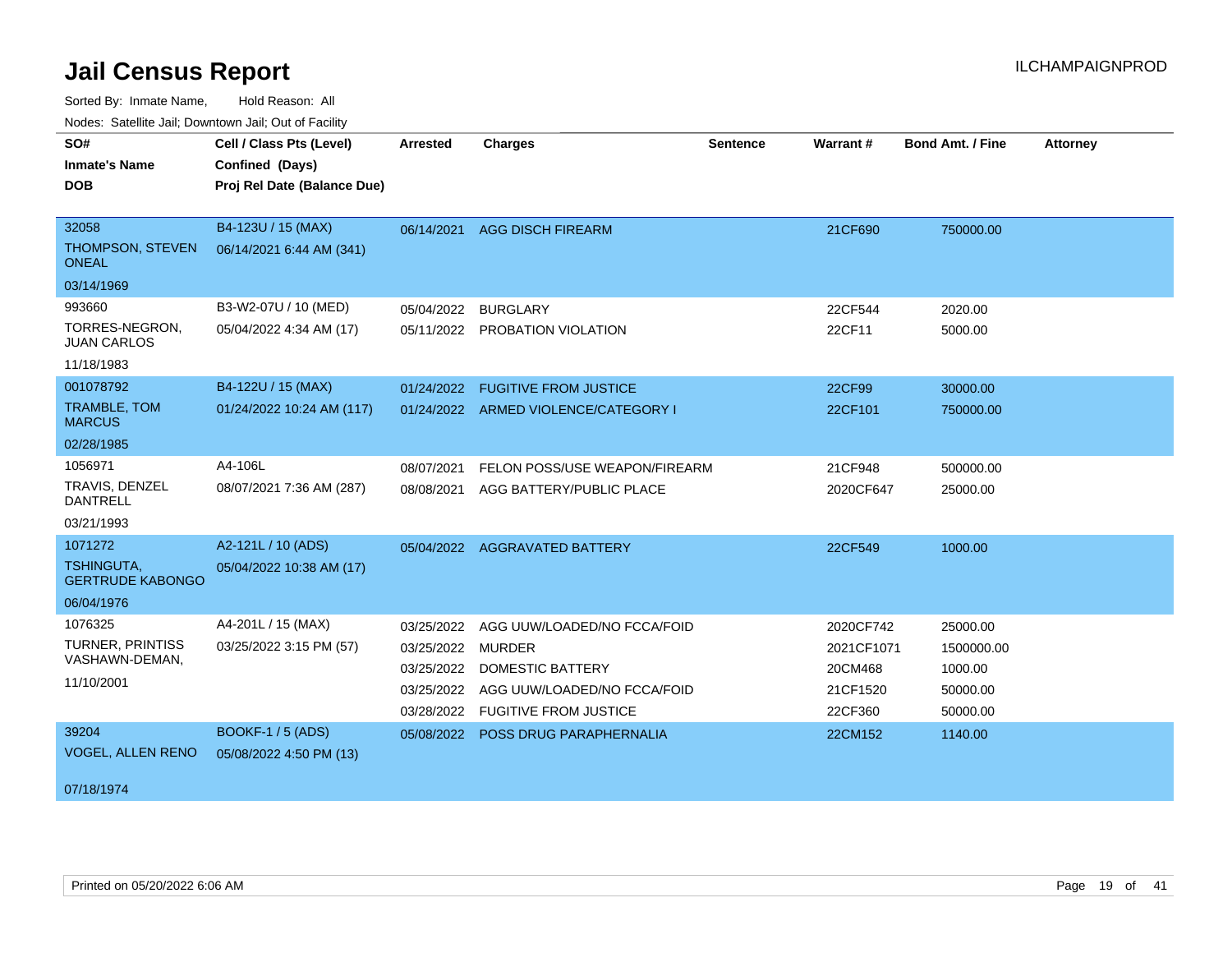Sorted By: Inmate Name, Hold Reason: All

| Nodes: Satellite Jail; Downtown Jail; Out of Facility |                             |                 |                                      |                 |                 |                         |                 |
|-------------------------------------------------------|-----------------------------|-----------------|--------------------------------------|-----------------|-----------------|-------------------------|-----------------|
| SO#                                                   | Cell / Class Pts (Level)    | <b>Arrested</b> | <b>Charges</b>                       | <b>Sentence</b> | <b>Warrant#</b> | <b>Bond Amt. / Fine</b> | <b>Attorney</b> |
| <b>Inmate's Name</b>                                  | Confined (Days)             |                 |                                      |                 |                 |                         |                 |
| <b>DOB</b>                                            | Proj Rel Date (Balance Due) |                 |                                      |                 |                 |                         |                 |
|                                                       |                             |                 |                                      |                 |                 |                         |                 |
| 32058                                                 | B4-123U / 15 (MAX)          | 06/14/2021      | <b>AGG DISCH FIREARM</b>             |                 | 21CF690         | 750000.00               |                 |
| THOMPSON, STEVEN<br><b>ONEAL</b>                      | 06/14/2021 6:44 AM (341)    |                 |                                      |                 |                 |                         |                 |
| 03/14/1969                                            |                             |                 |                                      |                 |                 |                         |                 |
| 993660                                                | B3-W2-07U / 10 (MED)        | 05/04/2022      | <b>BURGLARY</b>                      |                 | 22CF544         | 2020.00                 |                 |
| TORRES-NEGRON,<br><b>JUAN CARLOS</b>                  | 05/04/2022 4:34 AM (17)     |                 | 05/11/2022 PROBATION VIOLATION       |                 | 22CF11          | 5000.00                 |                 |
| 11/18/1983                                            |                             |                 |                                      |                 |                 |                         |                 |
| 001078792                                             | B4-122U / 15 (MAX)          |                 | 01/24/2022 FUGITIVE FROM JUSTICE     |                 | 22CF99          | 30000.00                |                 |
| <b>TRAMBLE, TOM</b><br><b>MARCUS</b>                  | 01/24/2022 10:24 AM (117)   |                 | 01/24/2022 ARMED VIOLENCE/CATEGORY I |                 | 22CF101         | 750000.00               |                 |
| 02/28/1985                                            |                             |                 |                                      |                 |                 |                         |                 |
| 1056971                                               | A4-106L                     | 08/07/2021      | FELON POSS/USE WEAPON/FIREARM        |                 | 21CF948         | 500000.00               |                 |
| TRAVIS, DENZEL<br><b>DANTRELL</b>                     | 08/07/2021 7:36 AM (287)    | 08/08/2021      | AGG BATTERY/PUBLIC PLACE             |                 | 2020CF647       | 25000.00                |                 |
| 03/21/1993                                            |                             |                 |                                      |                 |                 |                         |                 |
| 1071272                                               | A2-121L / 10 (ADS)          |                 | 05/04/2022 AGGRAVATED BATTERY        |                 | 22CF549         | 1000.00                 |                 |
| <b>TSHINGUTA,</b><br><b>GERTRUDE KABONGO</b>          | 05/04/2022 10:38 AM (17)    |                 |                                      |                 |                 |                         |                 |
| 06/04/1976                                            |                             |                 |                                      |                 |                 |                         |                 |
| 1076325                                               | A4-201L / 15 (MAX)          | 03/25/2022      | AGG UUW/LOADED/NO FCCA/FOID          |                 | 2020CF742       | 25000.00                |                 |
| <b>TURNER, PRINTISS</b>                               | 03/25/2022 3:15 PM (57)     | 03/25/2022      | <b>MURDER</b>                        |                 | 2021CF1071      | 1500000.00              |                 |
| VASHAWN-DEMAN,                                        |                             | 03/25/2022      | <b>DOMESTIC BATTERY</b>              |                 | 20CM468         | 1000.00                 |                 |
| 11/10/2001                                            |                             | 03/25/2022      | AGG UUW/LOADED/NO FCCA/FOID          |                 | 21CF1520        | 50000.00                |                 |
|                                                       |                             | 03/28/2022      | <b>FUGITIVE FROM JUSTICE</b>         |                 | 22CF360         | 50000.00                |                 |
| 39204                                                 | <b>BOOKF-1 / 5 (ADS)</b>    |                 | 05/08/2022 POSS DRUG PARAPHERNALIA   |                 | 22CM152         | 1140.00                 |                 |
| <b>VOGEL, ALLEN RENO</b>                              | 05/08/2022 4:50 PM (13)     |                 |                                      |                 |                 |                         |                 |
| 07/18/1974                                            |                             |                 |                                      |                 |                 |                         |                 |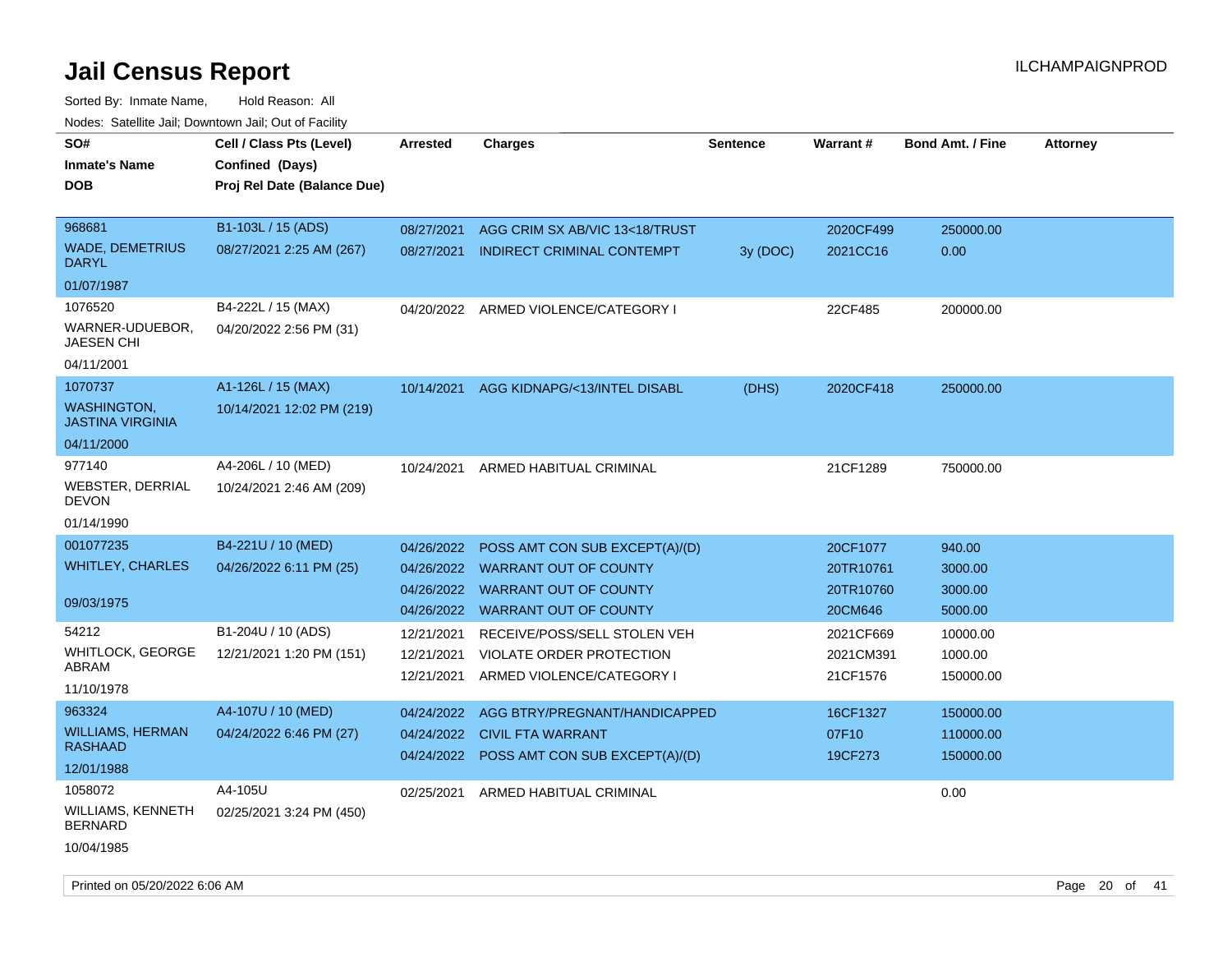| rouce. Calcillic Jali, Downtown Jali, Out of Facility |                             |            |                                           |          |           |                         |                 |
|-------------------------------------------------------|-----------------------------|------------|-------------------------------------------|----------|-----------|-------------------------|-----------------|
| SO#                                                   | Cell / Class Pts (Level)    | Arrested   | <b>Charges</b>                            | Sentence | Warrant#  | <b>Bond Amt. / Fine</b> | <b>Attorney</b> |
| <b>Inmate's Name</b>                                  | Confined (Days)             |            |                                           |          |           |                         |                 |
| <b>DOB</b>                                            | Proj Rel Date (Balance Due) |            |                                           |          |           |                         |                 |
|                                                       |                             |            |                                           |          |           |                         |                 |
| 968681                                                | B1-103L / 15 (ADS)          | 08/27/2021 | AGG CRIM SX AB/VIC 13<18/TRUST            |          | 2020CF499 | 250000.00               |                 |
| <b>WADE, DEMETRIUS</b><br><b>DARYL</b>                | 08/27/2021 2:25 AM (267)    | 08/27/2021 | INDIRECT CRIMINAL CONTEMPT                | 3y (DOC) | 2021CC16  | 0.00                    |                 |
| 01/07/1987                                            |                             |            |                                           |          |           |                         |                 |
| 1076520                                               | B4-222L / 15 (MAX)          |            | 04/20/2022 ARMED VIOLENCE/CATEGORY I      |          | 22CF485   | 200000.00               |                 |
| WARNER-UDUEBOR,<br><b>JAESEN CHI</b>                  | 04/20/2022 2:56 PM (31)     |            |                                           |          |           |                         |                 |
| 04/11/2001                                            |                             |            |                                           |          |           |                         |                 |
| 1070737                                               | A1-126L / 15 (MAX)          | 10/14/2021 | AGG KIDNAPG/<13/INTEL DISABL              | (DHS)    | 2020CF418 | 250000.00               |                 |
| <b>WASHINGTON,</b><br><b>JASTINA VIRGINIA</b>         | 10/14/2021 12:02 PM (219)   |            |                                           |          |           |                         |                 |
| 04/11/2000                                            |                             |            |                                           |          |           |                         |                 |
| 977140                                                | A4-206L / 10 (MED)          | 10/24/2021 | ARMED HABITUAL CRIMINAL                   |          | 21CF1289  | 750000.00               |                 |
| WEBSTER, DERRIAL<br><b>DEVON</b>                      | 10/24/2021 2:46 AM (209)    |            |                                           |          |           |                         |                 |
| 01/14/1990                                            |                             |            |                                           |          |           |                         |                 |
| 001077235                                             | B4-221U / 10 (MED)          | 04/26/2022 | POSS AMT CON SUB EXCEPT(A)/(D)            |          | 20CF1077  | 940.00                  |                 |
| <b>WHITLEY, CHARLES</b>                               | 04/26/2022 6:11 PM (25)     |            | 04/26/2022 WARRANT OUT OF COUNTY          |          | 20TR10761 | 3000.00                 |                 |
|                                                       |                             | 04/26/2022 | <b>WARRANT OUT OF COUNTY</b>              |          | 20TR10760 | 3000.00                 |                 |
| 09/03/1975                                            |                             |            | 04/26/2022 WARRANT OUT OF COUNTY          |          | 20CM646   | 5000.00                 |                 |
| 54212                                                 | B1-204U / 10 (ADS)          | 12/21/2021 | RECEIVE/POSS/SELL STOLEN VEH              |          | 2021CF669 | 10000.00                |                 |
| WHITLOCK, GEORGE                                      | 12/21/2021 1:20 PM (151)    | 12/21/2021 | VIOLATE ORDER PROTECTION                  |          | 2021CM391 | 1000.00                 |                 |
| ABRAM                                                 |                             | 12/21/2021 | ARMED VIOLENCE/CATEGORY I                 |          | 21CF1576  | 150000.00               |                 |
| 11/10/1978                                            |                             |            |                                           |          |           |                         |                 |
| 963324                                                | A4-107U / 10 (MED)          | 04/24/2022 | AGG BTRY/PREGNANT/HANDICAPPED             |          | 16CF1327  | 150000.00               |                 |
| <b>WILLIAMS, HERMAN</b>                               | 04/24/2022 6:46 PM (27)     | 04/24/2022 | <b>CIVIL FTA WARRANT</b>                  |          | 07F10     | 110000.00               |                 |
| <b>RASHAAD</b>                                        |                             |            | 04/24/2022 POSS AMT CON SUB EXCEPT(A)/(D) |          | 19CF273   | 150000.00               |                 |
| 12/01/1988                                            |                             |            |                                           |          |           |                         |                 |
| 1058072                                               | A4-105U                     | 02/25/2021 | ARMED HABITUAL CRIMINAL                   |          |           | 0.00                    |                 |
| WILLIAMS, KENNETH<br><b>BERNARD</b>                   | 02/25/2021 3:24 PM (450)    |            |                                           |          |           |                         |                 |
| 10/04/1985                                            |                             |            |                                           |          |           |                         |                 |
|                                                       |                             |            |                                           |          |           |                         |                 |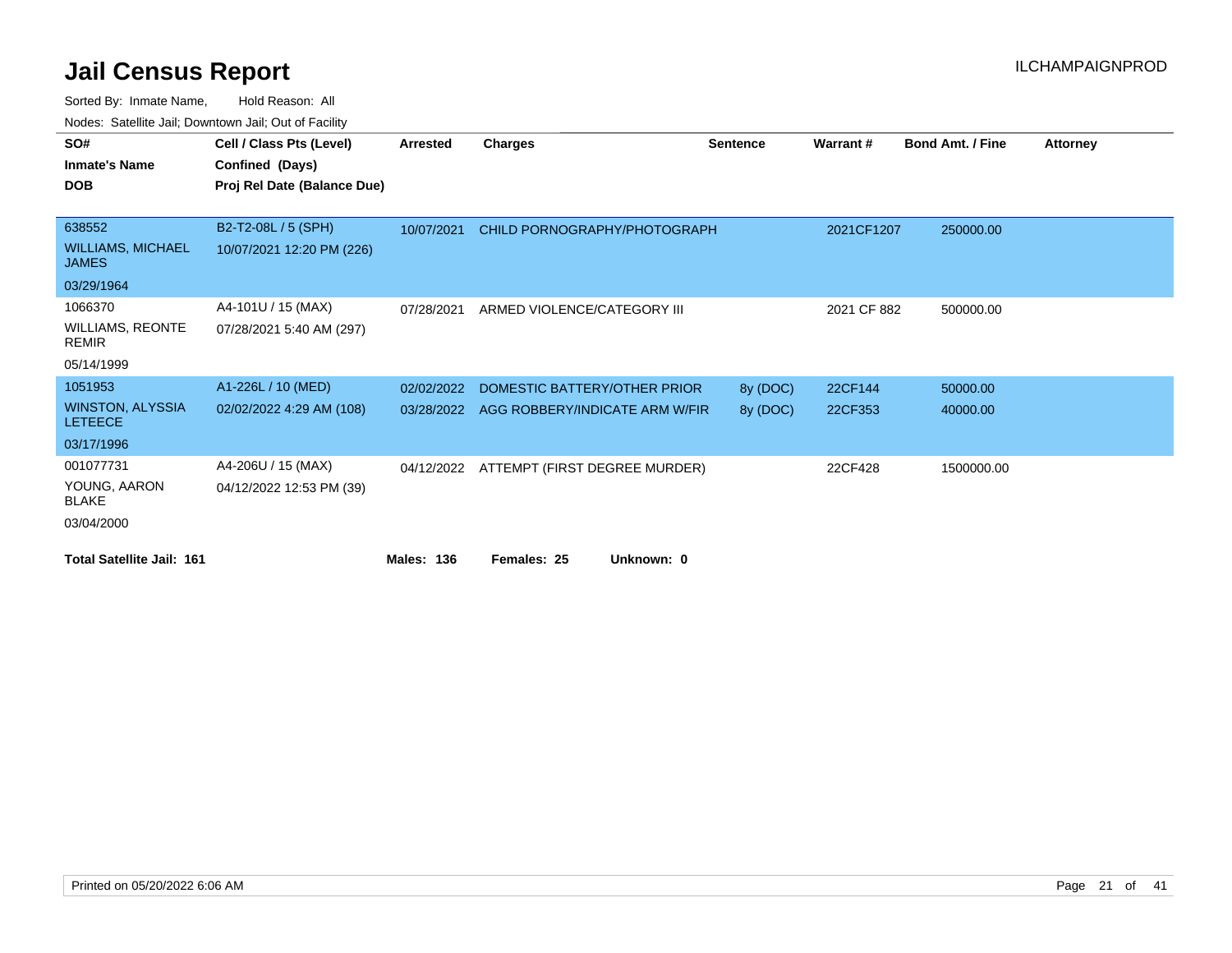| SO#                                       | Cell / Class Pts (Level)    | <b>Arrested</b>   | <b>Charges</b>                           | <b>Sentence</b> | Warrant#    | <b>Bond Amt. / Fine</b> | <b>Attorney</b> |
|-------------------------------------------|-----------------------------|-------------------|------------------------------------------|-----------------|-------------|-------------------------|-----------------|
| <b>Inmate's Name</b>                      | Confined (Days)             |                   |                                          |                 |             |                         |                 |
| <b>DOB</b>                                | Proj Rel Date (Balance Due) |                   |                                          |                 |             |                         |                 |
|                                           |                             |                   |                                          |                 |             |                         |                 |
| 638552                                    | B2-T2-08L / 5 (SPH)         | 10/07/2021        | CHILD PORNOGRAPHY/PHOTOGRAPH             |                 | 2021CF1207  | 250000.00               |                 |
| <b>WILLIAMS, MICHAEL</b><br><b>JAMES</b>  | 10/07/2021 12:20 PM (226)   |                   |                                          |                 |             |                         |                 |
| 03/29/1964                                |                             |                   |                                          |                 |             |                         |                 |
| 1066370                                   | A4-101U / 15 (MAX)          | 07/28/2021        | ARMED VIOLENCE/CATEGORY III              |                 | 2021 CF 882 | 500000.00               |                 |
| WILLIAMS, REONTE<br><b>REMIR</b>          | 07/28/2021 5:40 AM (297)    |                   |                                          |                 |             |                         |                 |
| 05/14/1999                                |                             |                   |                                          |                 |             |                         |                 |
| 1051953                                   | A1-226L / 10 (MED)          | 02/02/2022        | DOMESTIC BATTERY/OTHER PRIOR             | 8y (DOC)        | 22CF144     | 50000.00                |                 |
| <b>WINSTON, ALYSSIA</b><br><b>LETEECE</b> | 02/02/2022 4:29 AM (108)    | 03/28/2022        | AGG ROBBERY/INDICATE ARM W/FIR           | 8y (DOC)        | 22CF353     | 40000.00                |                 |
| 03/17/1996                                |                             |                   |                                          |                 |             |                         |                 |
| 001077731                                 | A4-206U / 15 (MAX)          |                   | 04/12/2022 ATTEMPT (FIRST DEGREE MURDER) |                 | 22CF428     | 1500000.00              |                 |
| YOUNG, AARON<br><b>BLAKE</b>              | 04/12/2022 12:53 PM (39)    |                   |                                          |                 |             |                         |                 |
| 03/04/2000                                |                             |                   |                                          |                 |             |                         |                 |
| <b>Total Satellite Jail: 161</b>          |                             | <b>Males: 136</b> | Unknown: 0<br>Females: 25                |                 |             |                         |                 |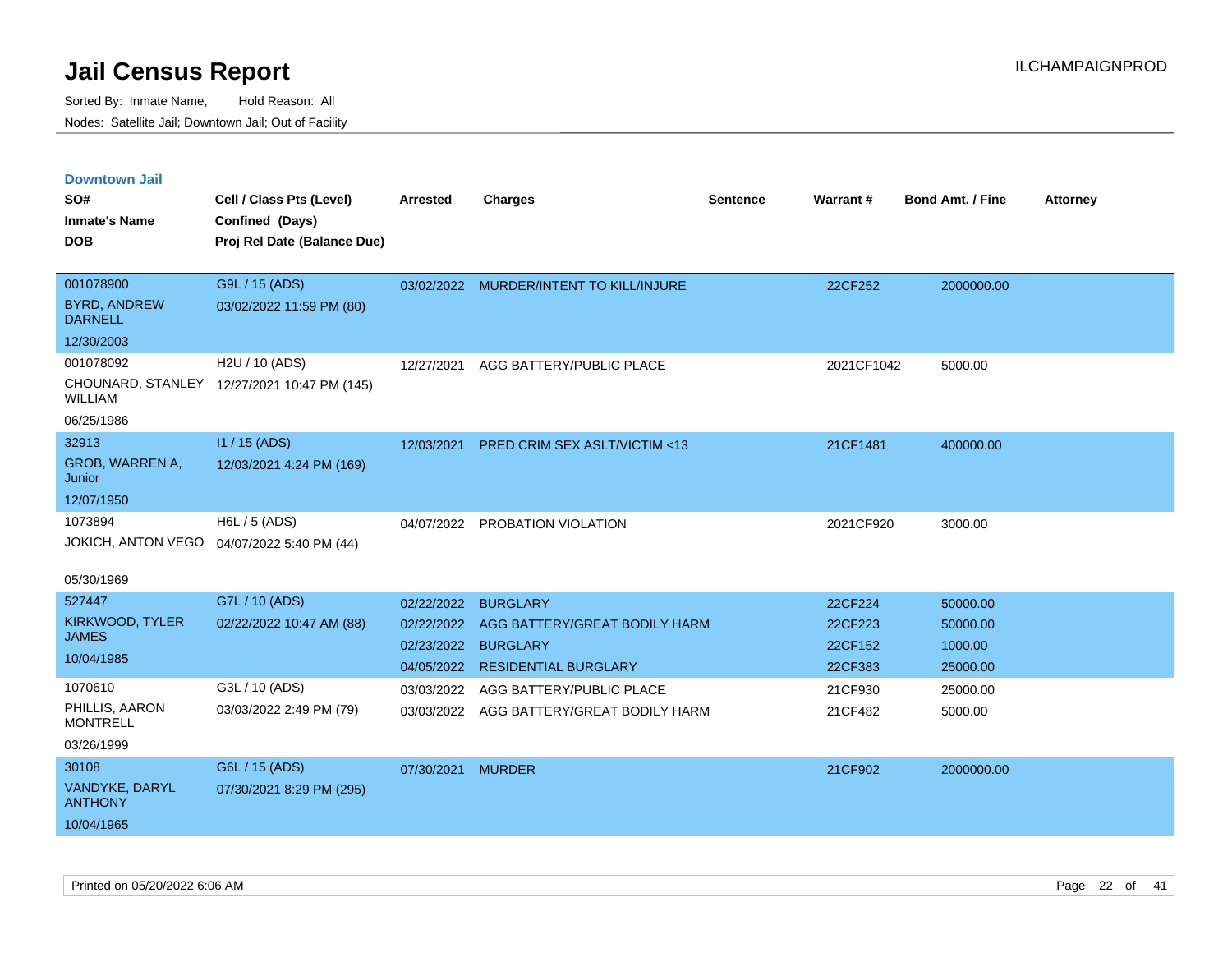| <b>Downtown Jail</b>                  |                                             |                   |                                          |                 |            |                         |                 |
|---------------------------------------|---------------------------------------------|-------------------|------------------------------------------|-----------------|------------|-------------------------|-----------------|
| SO#                                   | Cell / Class Pts (Level)                    | <b>Arrested</b>   | <b>Charges</b>                           | <b>Sentence</b> | Warrant#   | <b>Bond Amt. / Fine</b> | <b>Attorney</b> |
| <b>Inmate's Name</b>                  | Confined (Days)                             |                   |                                          |                 |            |                         |                 |
| <b>DOB</b>                            | Proj Rel Date (Balance Due)                 |                   |                                          |                 |            |                         |                 |
|                                       |                                             |                   |                                          |                 |            |                         |                 |
| 001078900                             | G9L / 15 (ADS)                              |                   | 03/02/2022 MURDER/INTENT TO KILL/INJURE  |                 | 22CF252    | 2000000.00              |                 |
| <b>BYRD, ANDREW</b><br><b>DARNELL</b> | 03/02/2022 11:59 PM (80)                    |                   |                                          |                 |            |                         |                 |
| 12/30/2003                            |                                             |                   |                                          |                 |            |                         |                 |
| 001078092                             | H2U / 10 (ADS)                              | 12/27/2021        | AGG BATTERY/PUBLIC PLACE                 |                 | 2021CF1042 | 5000.00                 |                 |
| <b>WILLIAM</b>                        | CHOUNARD, STANLEY 12/27/2021 10:47 PM (145) |                   |                                          |                 |            |                         |                 |
| 06/25/1986                            |                                             |                   |                                          |                 |            |                         |                 |
| 32913                                 | I1 / 15 (ADS)                               | 12/03/2021        | PRED CRIM SEX ASLT/VICTIM <13            |                 | 21CF1481   | 400000.00               |                 |
| GROB, WARREN A,<br>Junior             | 12/03/2021 4:24 PM (169)                    |                   |                                          |                 |            |                         |                 |
| 12/07/1950                            |                                             |                   |                                          |                 |            |                         |                 |
| 1073894                               | H6L / 5 (ADS)                               |                   | 04/07/2022 PROBATION VIOLATION           |                 | 2021CF920  | 3000.00                 |                 |
| JOKICH, ANTON VEGO                    | 04/07/2022 5:40 PM (44)                     |                   |                                          |                 |            |                         |                 |
| 05/30/1969                            |                                             |                   |                                          |                 |            |                         |                 |
| 527447                                | G7L / 10 (ADS)                              | 02/22/2022        | <b>BURGLARY</b>                          |                 | 22CF224    | 50000.00                |                 |
| KIRKWOOD, TYLER                       | 02/22/2022 10:47 AM (88)                    | 02/22/2022        | AGG BATTERY/GREAT BODILY HARM            |                 | 22CF223    | 50000.00                |                 |
| <b>JAMES</b>                          |                                             |                   | 02/23/2022 BURGLARY                      |                 | 22CF152    | 1000.00                 |                 |
| 10/04/1985                            |                                             |                   | 04/05/2022 RESIDENTIAL BURGLARY          |                 | 22CF383    | 25000.00                |                 |
| 1070610                               | G3L / 10 (ADS)                              | 03/03/2022        | AGG BATTERY/PUBLIC PLACE                 |                 | 21CF930    | 25000.00                |                 |
| PHILLIS, AARON<br><b>MONTRELL</b>     | 03/03/2022 2:49 PM (79)                     |                   | 03/03/2022 AGG BATTERY/GREAT BODILY HARM |                 | 21CF482    | 5000.00                 |                 |
| 03/26/1999                            |                                             |                   |                                          |                 |            |                         |                 |
| 30108                                 | G6L / 15 (ADS)                              | 07/30/2021 MURDER |                                          |                 | 21CF902    | 2000000.00              |                 |
| VANDYKE, DARYL<br><b>ANTHONY</b>      | 07/30/2021 8:29 PM (295)                    |                   |                                          |                 |            |                         |                 |
| 10/04/1965                            |                                             |                   |                                          |                 |            |                         |                 |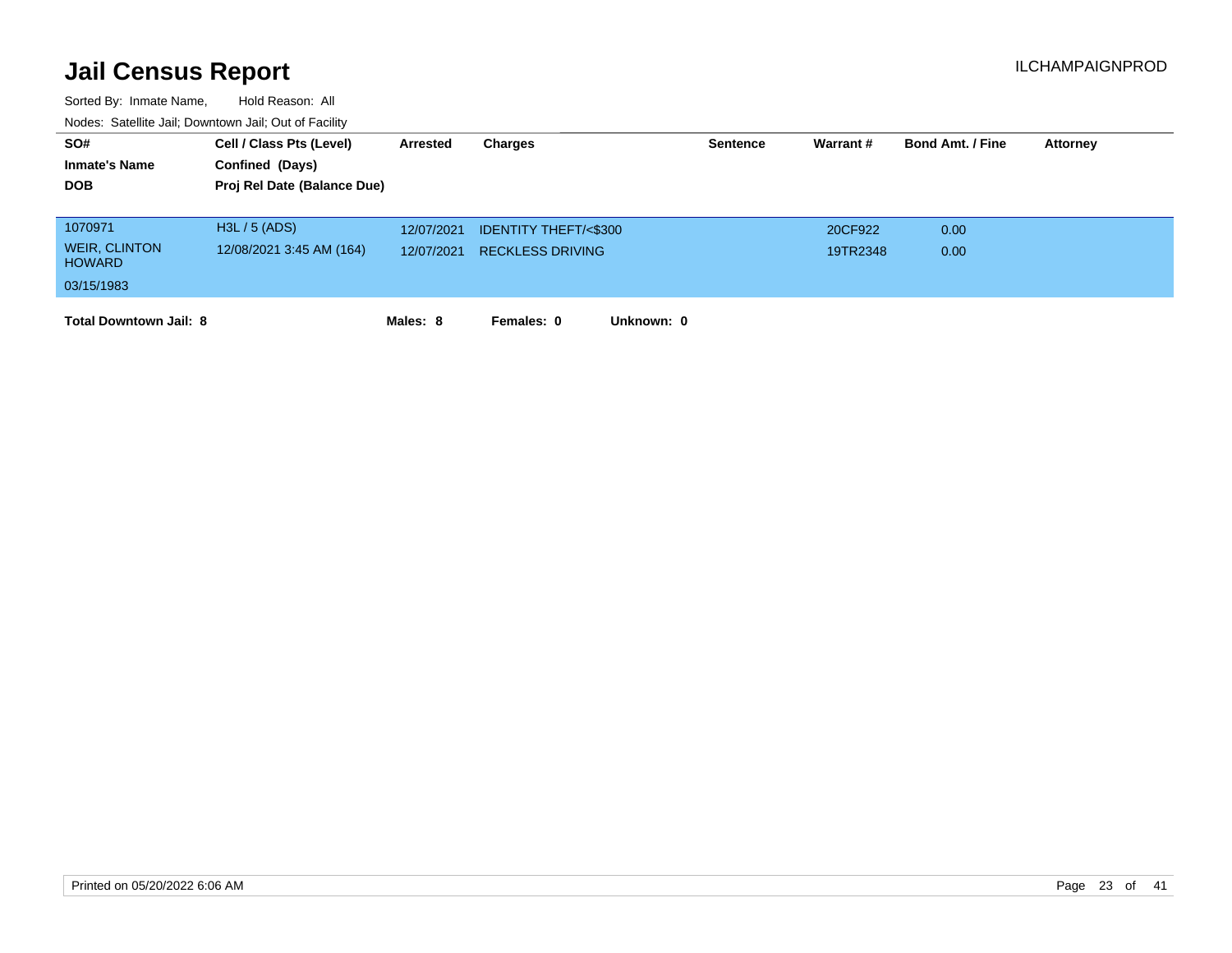| SO#                                   | Cell / Class Pts (Level)    | Arrested   | Charges                         | <b>Sentence</b> | Warrant# | <b>Bond Amt. / Fine</b> | <b>Attorney</b> |
|---------------------------------------|-----------------------------|------------|---------------------------------|-----------------|----------|-------------------------|-----------------|
| <b>Inmate's Name</b>                  | Confined (Days)             |            |                                 |                 |          |                         |                 |
| <b>DOB</b>                            | Proj Rel Date (Balance Due) |            |                                 |                 |          |                         |                 |
|                                       |                             |            |                                 |                 |          |                         |                 |
| 1070971                               | H3L / 5 (ADS)               | 12/07/2021 | <b>IDENTITY THEFT/&lt;\$300</b> |                 | 20CF922  | 0.00                    |                 |
| <b>WEIR, CLINTON</b><br><b>HOWARD</b> | 12/08/2021 3:45 AM (164)    | 12/07/2021 | <b>RECKLESS DRIVING</b>         |                 | 19TR2348 | 0.00                    |                 |
| 03/15/1983                            |                             |            |                                 |                 |          |                         |                 |
| <b>Total Downtown Jail: 8</b>         |                             | Males: 8   | Females: 0<br>Unknown: 0        |                 |          |                         |                 |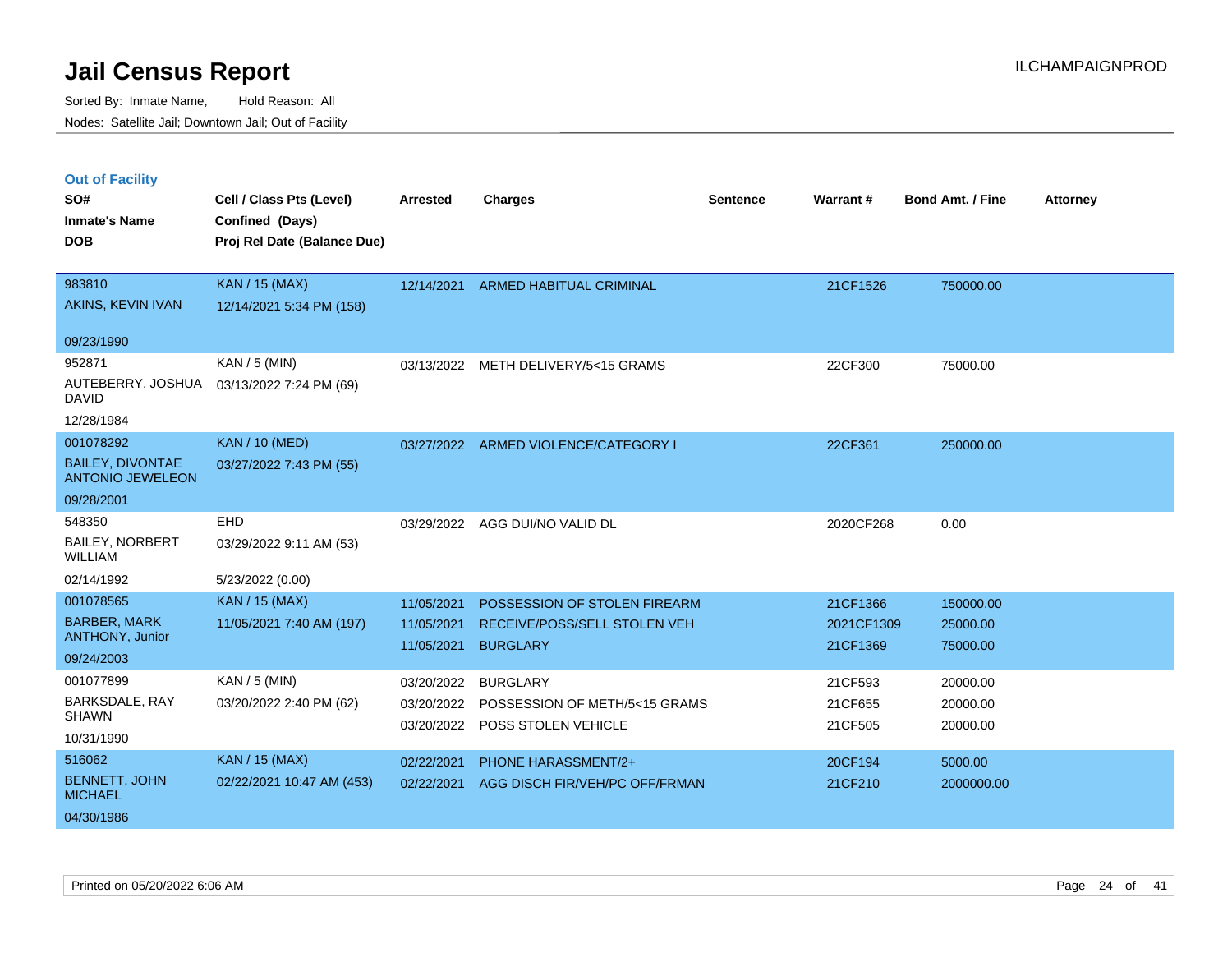Sorted By: Inmate Name, Hold Reason: All Nodes: Satellite Jail; Downtown Jail; Out of Facility

### **Out of Facility**

| SO#                                                | Cell / Class Pts (Level)    | <b>Arrested</b> | <b>Charges</b>                       | <b>Sentence</b> | Warrant#   | <b>Bond Amt. / Fine</b> | <b>Attorney</b> |
|----------------------------------------------------|-----------------------------|-----------------|--------------------------------------|-----------------|------------|-------------------------|-----------------|
| <b>Inmate's Name</b><br><b>DOB</b>                 | Confined (Days)             |                 |                                      |                 |            |                         |                 |
|                                                    | Proj Rel Date (Balance Due) |                 |                                      |                 |            |                         |                 |
| 983810                                             | <b>KAN / 15 (MAX)</b>       |                 | 12/14/2021 ARMED HABITUAL CRIMINAL   |                 | 21CF1526   | 750000.00               |                 |
| AKINS, KEVIN IVAN                                  | 12/14/2021 5:34 PM (158)    |                 |                                      |                 |            |                         |                 |
| 09/23/1990                                         |                             |                 |                                      |                 |            |                         |                 |
| 952871                                             | KAN / 5 (MIN)               |                 | 03/13/2022 METH DELIVERY/5<15 GRAMS  |                 | 22CF300    | 75000.00                |                 |
| AUTEBERRY, JOSHUA<br><b>DAVID</b>                  | 03/13/2022 7:24 PM (69)     |                 |                                      |                 |            |                         |                 |
| 12/28/1984                                         |                             |                 |                                      |                 |            |                         |                 |
| 001078292                                          | <b>KAN / 10 (MED)</b>       |                 | 03/27/2022 ARMED VIOLENCE/CATEGORY I |                 | 22CF361    | 250000.00               |                 |
| <b>BAILEY, DIVONTAE</b><br><b>ANTONIO JEWELEON</b> | 03/27/2022 7:43 PM (55)     |                 |                                      |                 |            |                         |                 |
| 09/28/2001                                         |                             |                 |                                      |                 |            |                         |                 |
| 548350                                             | EHD                         |                 | 03/29/2022 AGG DUI/NO VALID DL       |                 | 2020CF268  | 0.00                    |                 |
| <b>BAILEY, NORBERT</b><br><b>WILLIAM</b>           | 03/29/2022 9:11 AM (53)     |                 |                                      |                 |            |                         |                 |
| 02/14/1992                                         | 5/23/2022 (0.00)            |                 |                                      |                 |            |                         |                 |
| 001078565                                          | <b>KAN / 15 (MAX)</b>       | 11/05/2021      | POSSESSION OF STOLEN FIREARM         |                 | 21CF1366   | 150000.00               |                 |
| <b>BARBER, MARK</b>                                | 11/05/2021 7:40 AM (197)    | 11/05/2021      | RECEIVE/POSS/SELL STOLEN VEH         |                 | 2021CF1309 | 25000.00                |                 |
| ANTHONY, Junior<br>09/24/2003                      |                             | 11/05/2021      | <b>BURGLARY</b>                      |                 | 21CF1369   | 75000.00                |                 |
| 001077899                                          | $KAN / 5$ (MIN)             |                 |                                      |                 |            |                         |                 |
| BARKSDALE, RAY                                     |                             | 03/20/2022      | <b>BURGLARY</b>                      |                 | 21CF593    | 20000.00                |                 |
| <b>SHAWN</b>                                       | 03/20/2022 2:40 PM (62)     | 03/20/2022      | POSSESSION OF METH/5<15 GRAMS        |                 | 21CF655    | 20000.00                |                 |
| 10/31/1990                                         |                             | 03/20/2022      | POSS STOLEN VEHICLE                  |                 | 21CF505    | 20000.00                |                 |
| 516062                                             | <b>KAN / 15 (MAX)</b>       | 02/22/2021      | <b>PHONE HARASSMENT/2+</b>           |                 | 20CF194    | 5000.00                 |                 |
| <b>BENNETT, JOHN</b><br><b>MICHAEL</b>             | 02/22/2021 10:47 AM (453)   | 02/22/2021      | AGG DISCH FIR/VEH/PC OFF/FRMAN       |                 | 21CF210    | 2000000.00              |                 |
| 04/30/1986                                         |                             |                 |                                      |                 |            |                         |                 |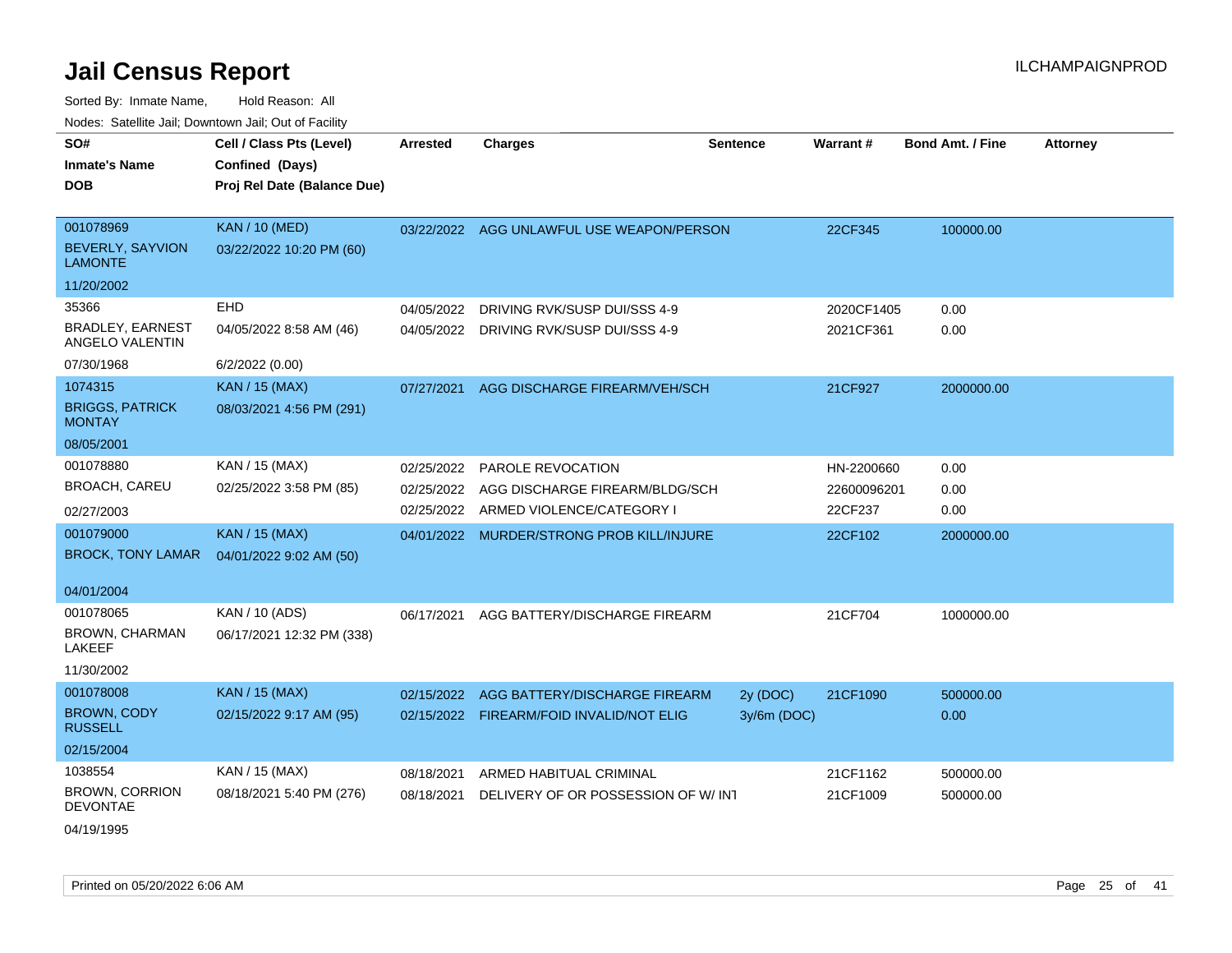| SO#                                        | Cell / Class Pts (Level)    | <b>Arrested</b> | <b>Charges</b>                            | <b>Sentence</b> | Warrant#    | <b>Bond Amt. / Fine</b> | <b>Attorney</b> |
|--------------------------------------------|-----------------------------|-----------------|-------------------------------------------|-----------------|-------------|-------------------------|-----------------|
| <b>Inmate's Name</b>                       | Confined (Days)             |                 |                                           |                 |             |                         |                 |
| <b>DOB</b>                                 | Proj Rel Date (Balance Due) |                 |                                           |                 |             |                         |                 |
|                                            |                             |                 |                                           |                 |             |                         |                 |
| 001078969                                  | <b>KAN / 10 (MED)</b>       |                 | 03/22/2022 AGG UNLAWFUL USE WEAPON/PERSON |                 | 22CF345     | 100000.00               |                 |
| <b>BEVERLY, SAYVION</b><br><b>LAMONTE</b>  | 03/22/2022 10:20 PM (60)    |                 |                                           |                 |             |                         |                 |
| 11/20/2002                                 |                             |                 |                                           |                 |             |                         |                 |
| 35366                                      | <b>EHD</b>                  | 04/05/2022      | DRIVING RVK/SUSP DUI/SSS 4-9              |                 | 2020CF1405  | 0.00                    |                 |
| <b>BRADLEY, EARNEST</b><br>ANGELO VALENTIN | 04/05/2022 8:58 AM (46)     | 04/05/2022      | DRIVING RVK/SUSP DUI/SSS 4-9              |                 | 2021CF361   | 0.00                    |                 |
| 07/30/1968                                 | 6/2/2022 (0.00)             |                 |                                           |                 |             |                         |                 |
| 1074315                                    | <b>KAN / 15 (MAX)</b>       | 07/27/2021      | AGG DISCHARGE FIREARM/VEH/SCH             |                 | 21CF927     | 2000000.00              |                 |
| <b>BRIGGS, PATRICK</b><br><b>MONTAY</b>    | 08/03/2021 4:56 PM (291)    |                 |                                           |                 |             |                         |                 |
| 08/05/2001                                 |                             |                 |                                           |                 |             |                         |                 |
| 001078880                                  | KAN / 15 (MAX)              | 02/25/2022      | <b>PAROLE REVOCATION</b>                  |                 | HN-2200660  | 0.00                    |                 |
| <b>BROACH, CAREU</b>                       | 02/25/2022 3:58 PM (85)     | 02/25/2022      | AGG DISCHARGE FIREARM/BLDG/SCH            |                 | 22600096201 | 0.00                    |                 |
| 02/27/2003                                 |                             |                 | 02/25/2022 ARMED VIOLENCE/CATEGORY I      |                 | 22CF237     | 0.00                    |                 |
| 001079000                                  | <b>KAN / 15 (MAX)</b>       |                 | 04/01/2022 MURDER/STRONG PROB KILL/INJURE |                 | 22CF102     | 2000000.00              |                 |
| <b>BROCK, TONY LAMAR</b>                   | 04/01/2022 9:02 AM (50)     |                 |                                           |                 |             |                         |                 |
|                                            |                             |                 |                                           |                 |             |                         |                 |
| 04/01/2004                                 |                             |                 |                                           |                 |             |                         |                 |
| 001078065                                  | KAN / 10 (ADS)              | 06/17/2021      | AGG BATTERY/DISCHARGE FIREARM             |                 | 21CF704     | 1000000.00              |                 |
| BROWN, CHARMAN<br>LAKEEF                   | 06/17/2021 12:32 PM (338)   |                 |                                           |                 |             |                         |                 |
| 11/30/2002                                 |                             |                 |                                           |                 |             |                         |                 |
| 001078008                                  | <b>KAN / 15 (MAX)</b>       |                 | 02/15/2022 AGG BATTERY/DISCHARGE FIREARM  | 2y (DOC)        | 21CF1090    | 500000.00               |                 |
| <b>BROWN, CODY</b><br><b>RUSSELL</b>       | 02/15/2022 9:17 AM (95)     |                 | 02/15/2022 FIREARM/FOID INVALID/NOT ELIG  | 3y/6m (DOC)     |             | 0.00                    |                 |
| 02/15/2004                                 |                             |                 |                                           |                 |             |                         |                 |
| 1038554                                    | KAN / 15 (MAX)              | 08/18/2021      | ARMED HABITUAL CRIMINAL                   |                 | 21CF1162    | 500000.00               |                 |
| <b>BROWN, CORRION</b><br><b>DEVONTAE</b>   | 08/18/2021 5:40 PM (276)    | 08/18/2021      | DELIVERY OF OR POSSESSION OF W/INT        |                 | 21CF1009    | 500000.00               |                 |
| 04/19/1995                                 |                             |                 |                                           |                 |             |                         |                 |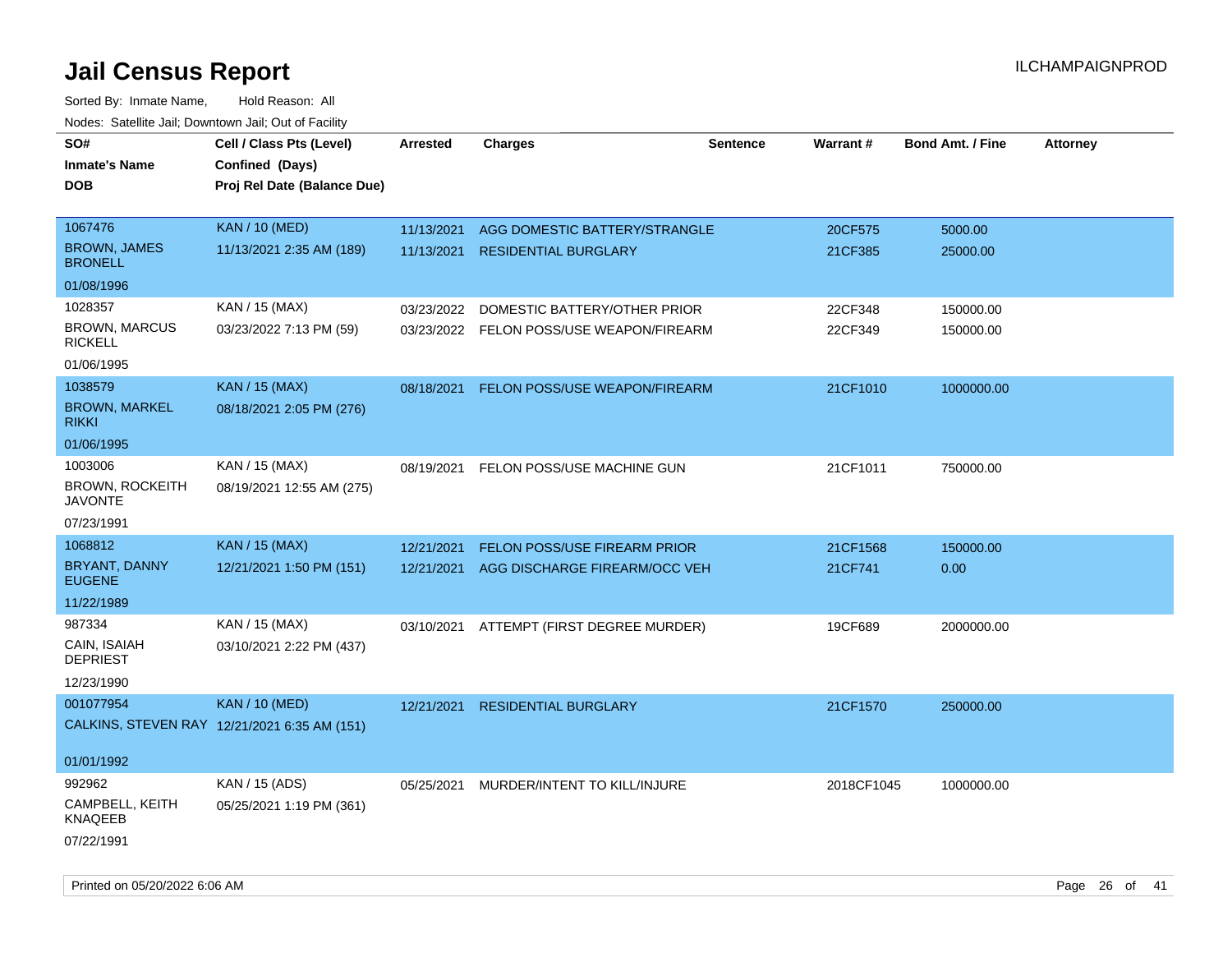| SO#<br><b>Inmate's Name</b>              | Cell / Class Pts (Level)<br>Confined (Days)  | Arrested   | <b>Charges</b>                           | <b>Sentence</b> | <b>Warrant#</b> | <b>Bond Amt. / Fine</b> | <b>Attorney</b> |
|------------------------------------------|----------------------------------------------|------------|------------------------------------------|-----------------|-----------------|-------------------------|-----------------|
| <b>DOB</b>                               | Proj Rel Date (Balance Due)                  |            |                                          |                 |                 |                         |                 |
| 1067476                                  | <b>KAN / 10 (MED)</b>                        | 11/13/2021 | AGG DOMESTIC BATTERY/STRANGLE            |                 | 20CF575         | 5000.00                 |                 |
| <b>BROWN, JAMES</b><br><b>BRONELL</b>    | 11/13/2021 2:35 AM (189)                     | 11/13/2021 | <b>RESIDENTIAL BURGLARY</b>              |                 | 21CF385         | 25000.00                |                 |
| 01/08/1996                               |                                              |            |                                          |                 |                 |                         |                 |
| 1028357                                  | KAN / 15 (MAX)                               | 03/23/2022 | DOMESTIC BATTERY/OTHER PRIOR             |                 | 22CF348         | 150000.00               |                 |
| <b>BROWN, MARCUS</b><br><b>RICKELL</b>   | 03/23/2022 7:13 PM (59)                      |            | 03/23/2022 FELON POSS/USE WEAPON/FIREARM |                 | 22CF349         | 150000.00               |                 |
| 01/06/1995                               |                                              |            |                                          |                 |                 |                         |                 |
| 1038579                                  | <b>KAN / 15 (MAX)</b>                        | 08/18/2021 | FELON POSS/USE WEAPON/FIREARM            |                 | 21CF1010        | 1000000.00              |                 |
| <b>BROWN, MARKEL</b><br><b>RIKKI</b>     | 08/18/2021 2:05 PM (276)                     |            |                                          |                 |                 |                         |                 |
| 01/06/1995                               |                                              |            |                                          |                 |                 |                         |                 |
| 1003006                                  | KAN / 15 (MAX)                               | 08/19/2021 | FELON POSS/USE MACHINE GUN               |                 | 21CF1011        | 750000.00               |                 |
| <b>BROWN, ROCKEITH</b><br><b>JAVONTE</b> | 08/19/2021 12:55 AM (275)                    |            |                                          |                 |                 |                         |                 |
| 07/23/1991                               |                                              |            |                                          |                 |                 |                         |                 |
| 1068812                                  | <b>KAN / 15 (MAX)</b>                        | 12/21/2021 | <b>FELON POSS/USE FIREARM PRIOR</b>      |                 | 21CF1568        | 150000.00               |                 |
| <b>BRYANT, DANNY</b><br><b>EUGENE</b>    | 12/21/2021 1:50 PM (151)                     | 12/21/2021 | AGG DISCHARGE FIREARM/OCC VEH            |                 | 21CF741         | 0.00                    |                 |
| 11/22/1989                               |                                              |            |                                          |                 |                 |                         |                 |
| 987334                                   | KAN / 15 (MAX)                               |            | 03/10/2021 ATTEMPT (FIRST DEGREE MURDER) |                 | 19CF689         | 2000000.00              |                 |
| CAIN, ISAIAH<br><b>DEPRIEST</b>          | 03/10/2021 2:22 PM (437)                     |            |                                          |                 |                 |                         |                 |
| 12/23/1990                               |                                              |            |                                          |                 |                 |                         |                 |
| 001077954                                | <b>KAN / 10 (MED)</b>                        | 12/21/2021 | <b>RESIDENTIAL BURGLARY</b>              |                 | 21CF1570        | 250000.00               |                 |
|                                          | CALKINS, STEVEN RAY 12/21/2021 6:35 AM (151) |            |                                          |                 |                 |                         |                 |
| 01/01/1992                               |                                              |            |                                          |                 |                 |                         |                 |
| 992962                                   | KAN / 15 (ADS)                               | 05/25/2021 | MURDER/INTENT TO KILL/INJURE             |                 | 2018CF1045      | 1000000.00              |                 |
| CAMPBELL, KEITH<br>KNAQEEB               | 05/25/2021 1:19 PM (361)                     |            |                                          |                 |                 |                         |                 |
| 07/22/1991                               |                                              |            |                                          |                 |                 |                         |                 |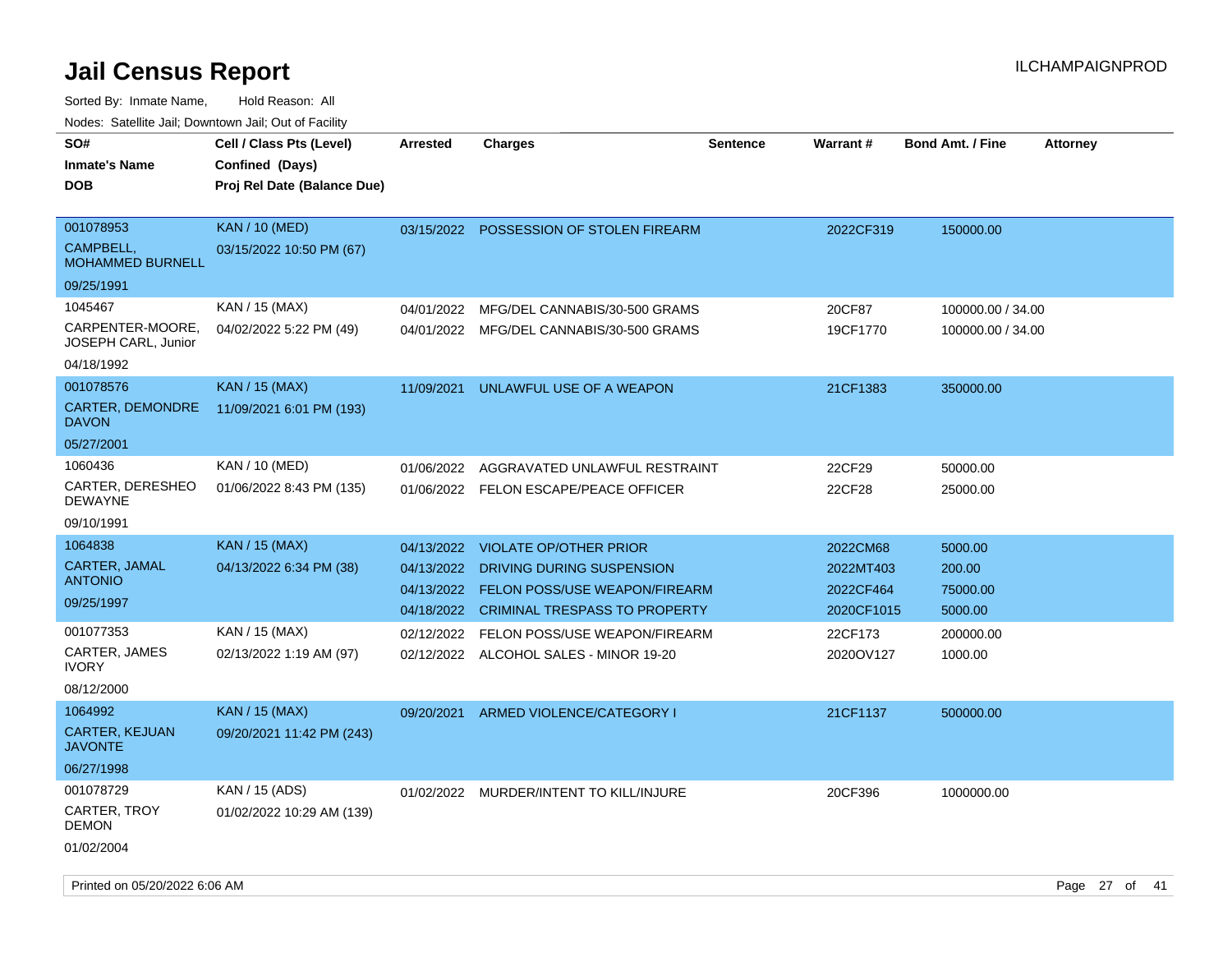| SO#                                     | Cell / Class Pts (Level)    | <b>Arrested</b> | <b>Charges</b>                           | <b>Sentence</b> | <b>Warrant#</b> | <b>Bond Amt. / Fine</b> | <b>Attorney</b> |
|-----------------------------------------|-----------------------------|-----------------|------------------------------------------|-----------------|-----------------|-------------------------|-----------------|
| <b>Inmate's Name</b>                    | Confined (Days)             |                 |                                          |                 |                 |                         |                 |
| <b>DOB</b>                              | Proj Rel Date (Balance Due) |                 |                                          |                 |                 |                         |                 |
|                                         |                             |                 |                                          |                 |                 |                         |                 |
| 001078953                               | <b>KAN / 10 (MED)</b>       |                 | 03/15/2022 POSSESSION OF STOLEN FIREARM  |                 | 2022CF319       | 150000.00               |                 |
| CAMPBELL.<br><b>MOHAMMED BURNELL</b>    | 03/15/2022 10:50 PM (67)    |                 |                                          |                 |                 |                         |                 |
| 09/25/1991                              |                             |                 |                                          |                 |                 |                         |                 |
| 1045467                                 | KAN / 15 (MAX)              | 04/01/2022      | MFG/DEL CANNABIS/30-500 GRAMS            |                 | 20CF87          | 100000.00 / 34.00       |                 |
| CARPENTER-MOORE,<br>JOSEPH CARL, Junior | 04/02/2022 5:22 PM (49)     |                 | 04/01/2022 MFG/DEL CANNABIS/30-500 GRAMS |                 | 19CF1770        | 100000.00 / 34.00       |                 |
| 04/18/1992                              |                             |                 |                                          |                 |                 |                         |                 |
| 001078576                               | <b>KAN / 15 (MAX)</b>       | 11/09/2021      | UNLAWFUL USE OF A WEAPON                 |                 | 21CF1383        | 350000.00               |                 |
| CARTER, DEMONDRE<br><b>DAVON</b>        | 11/09/2021 6:01 PM (193)    |                 |                                          |                 |                 |                         |                 |
| 05/27/2001                              |                             |                 |                                          |                 |                 |                         |                 |
| 1060436                                 | KAN / 10 (MED)              | 01/06/2022      | AGGRAVATED UNLAWFUL RESTRAINT            |                 | 22CF29          | 50000.00                |                 |
| CARTER, DERESHEO<br><b>DEWAYNE</b>      | 01/06/2022 8:43 PM (135)    |                 | 01/06/2022 FELON ESCAPE/PEACE OFFICER    |                 | 22CF28          | 25000.00                |                 |
| 09/10/1991                              |                             |                 |                                          |                 |                 |                         |                 |
| 1064838                                 | <b>KAN / 15 (MAX)</b>       | 04/13/2022      | <b>VIOLATE OP/OTHER PRIOR</b>            |                 | 2022CM68        | 5000.00                 |                 |
| CARTER, JAMAL                           | 04/13/2022 6:34 PM (38)     | 04/13/2022      | DRIVING DURING SUSPENSION                |                 | 2022MT403       | 200.00                  |                 |
| <b>ANTONIO</b>                          |                             | 04/13/2022      | FELON POSS/USE WEAPON/FIREARM            |                 | 2022CF464       | 75000.00                |                 |
| 09/25/1997                              |                             | 04/18/2022      | <b>CRIMINAL TRESPASS TO PROPERTY</b>     |                 | 2020CF1015      | 5000.00                 |                 |
| 001077353                               | KAN / 15 (MAX)              | 02/12/2022      | FELON POSS/USE WEAPON/FIREARM            |                 | 22CF173         | 200000.00               |                 |
| CARTER, JAMES<br><b>IVORY</b>           | 02/13/2022 1:19 AM (97)     |                 | 02/12/2022 ALCOHOL SALES - MINOR 19-20   |                 | 2020OV127       | 1000.00                 |                 |
| 08/12/2000                              |                             |                 |                                          |                 |                 |                         |                 |
| 1064992                                 | <b>KAN / 15 (MAX)</b>       | 09/20/2021      | ARMED VIOLENCE/CATEGORY I                |                 | 21CF1137        | 500000.00               |                 |
| <b>CARTER, KEJUAN</b><br><b>JAVONTE</b> | 09/20/2021 11:42 PM (243)   |                 |                                          |                 |                 |                         |                 |
| 06/27/1998                              |                             |                 |                                          |                 |                 |                         |                 |
| 001078729                               | KAN / 15 (ADS)              |                 | 01/02/2022 MURDER/INTENT TO KILL/INJURE  |                 | 20CF396         | 1000000.00              |                 |
| CARTER, TROY<br><b>DEMON</b>            | 01/02/2022 10:29 AM (139)   |                 |                                          |                 |                 |                         |                 |
| 01/02/2004                              |                             |                 |                                          |                 |                 |                         |                 |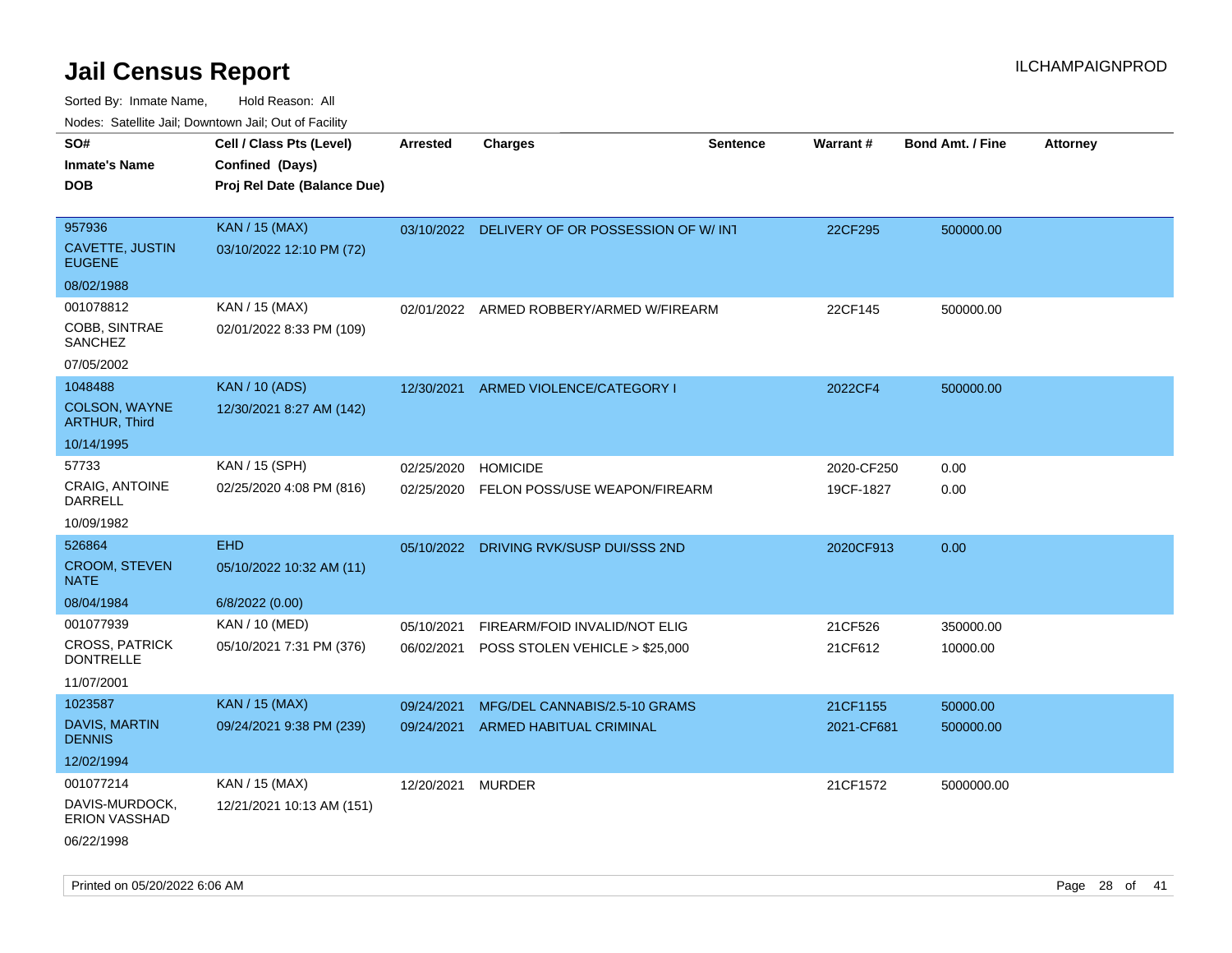Sorted By: Inmate Name, Hold Reason: All Nodes: Satellite Jail; Downtown Jail; Out of Facility

| roado. Catolino can, Bowritown can, Cat or Fability |                             |                 |                                                |                 |            |                         |                 |
|-----------------------------------------------------|-----------------------------|-----------------|------------------------------------------------|-----------------|------------|-------------------------|-----------------|
| SO#                                                 | Cell / Class Pts (Level)    | <b>Arrested</b> | <b>Charges</b>                                 | <b>Sentence</b> | Warrant#   | <b>Bond Amt. / Fine</b> | <b>Attorney</b> |
| <b>Inmate's Name</b>                                | Confined (Days)             |                 |                                                |                 |            |                         |                 |
| <b>DOB</b>                                          | Proj Rel Date (Balance Due) |                 |                                                |                 |            |                         |                 |
|                                                     |                             |                 |                                                |                 |            |                         |                 |
| 957936                                              | <b>KAN / 15 (MAX)</b>       |                 | 03/10/2022 DELIVERY OF OR POSSESSION OF W/ INT |                 | 22CF295    | 500000.00               |                 |
| CAVETTE, JUSTIN<br><b>EUGENE</b>                    | 03/10/2022 12:10 PM (72)    |                 |                                                |                 |            |                         |                 |
| 08/02/1988                                          |                             |                 |                                                |                 |            |                         |                 |
| 001078812                                           | KAN / 15 (MAX)              | 02/01/2022      | ARMED ROBBERY/ARMED W/FIREARM                  |                 | 22CF145    | 500000.00               |                 |
| COBB, SINTRAE<br>SANCHEZ                            | 02/01/2022 8:33 PM (109)    |                 |                                                |                 |            |                         |                 |
| 07/05/2002                                          |                             |                 |                                                |                 |            |                         |                 |
| 1048488                                             | <b>KAN / 10 (ADS)</b>       | 12/30/2021      | ARMED VIOLENCE/CATEGORY I                      |                 | 2022CF4    | 500000.00               |                 |
| COLSON, WAYNE<br><b>ARTHUR, Third</b>               | 12/30/2021 8:27 AM (142)    |                 |                                                |                 |            |                         |                 |
| 10/14/1995                                          |                             |                 |                                                |                 |            |                         |                 |
| 57733                                               | KAN / 15 (SPH)              | 02/25/2020      | <b>HOMICIDE</b>                                |                 | 2020-CF250 | 0.00                    |                 |
| <b>CRAIG, ANTOINE</b><br><b>DARRELL</b>             | 02/25/2020 4:08 PM (816)    | 02/25/2020      | FELON POSS/USE WEAPON/FIREARM                  |                 | 19CF-1827  | 0.00                    |                 |
| 10/09/1982                                          |                             |                 |                                                |                 |            |                         |                 |
| 526864                                              | <b>EHD</b>                  | 05/10/2022      | DRIVING RVK/SUSP DUI/SSS 2ND                   |                 | 2020CF913  | 0.00                    |                 |
| <b>CROOM, STEVEN</b><br><b>NATE</b>                 | 05/10/2022 10:32 AM (11)    |                 |                                                |                 |            |                         |                 |
| 08/04/1984                                          | 6/8/2022 (0.00)             |                 |                                                |                 |            |                         |                 |
| 001077939                                           | KAN / 10 (MED)              | 05/10/2021      | FIREARM/FOID INVALID/NOT ELIG                  |                 | 21CF526    | 350000.00               |                 |
| <b>CROSS, PATRICK</b><br><b>DONTRELLE</b>           | 05/10/2021 7:31 PM (376)    | 06/02/2021      | POSS STOLEN VEHICLE > \$25,000                 |                 | 21CF612    | 10000.00                |                 |
| 11/07/2001                                          |                             |                 |                                                |                 |            |                         |                 |
| 1023587                                             | KAN / 15 (MAX)              | 09/24/2021      | MFG/DEL CANNABIS/2.5-10 GRAMS                  |                 | 21CF1155   | 50000.00                |                 |
| DAVIS, MARTIN<br><b>DENNIS</b>                      | 09/24/2021 9:38 PM (239)    | 09/24/2021      | <b>ARMED HABITUAL CRIMINAL</b>                 |                 | 2021-CF681 | 500000.00               |                 |
| 12/02/1994                                          |                             |                 |                                                |                 |            |                         |                 |
| 001077214                                           | KAN / 15 (MAX)              | 12/20/2021      | <b>MURDER</b>                                  |                 | 21CF1572   | 5000000.00              |                 |
| DAVIS-MURDOCK,<br><b>ERION VASSHAD</b>              | 12/21/2021 10:13 AM (151)   |                 |                                                |                 |            |                         |                 |
|                                                     |                             |                 |                                                |                 |            |                         |                 |

06/22/1998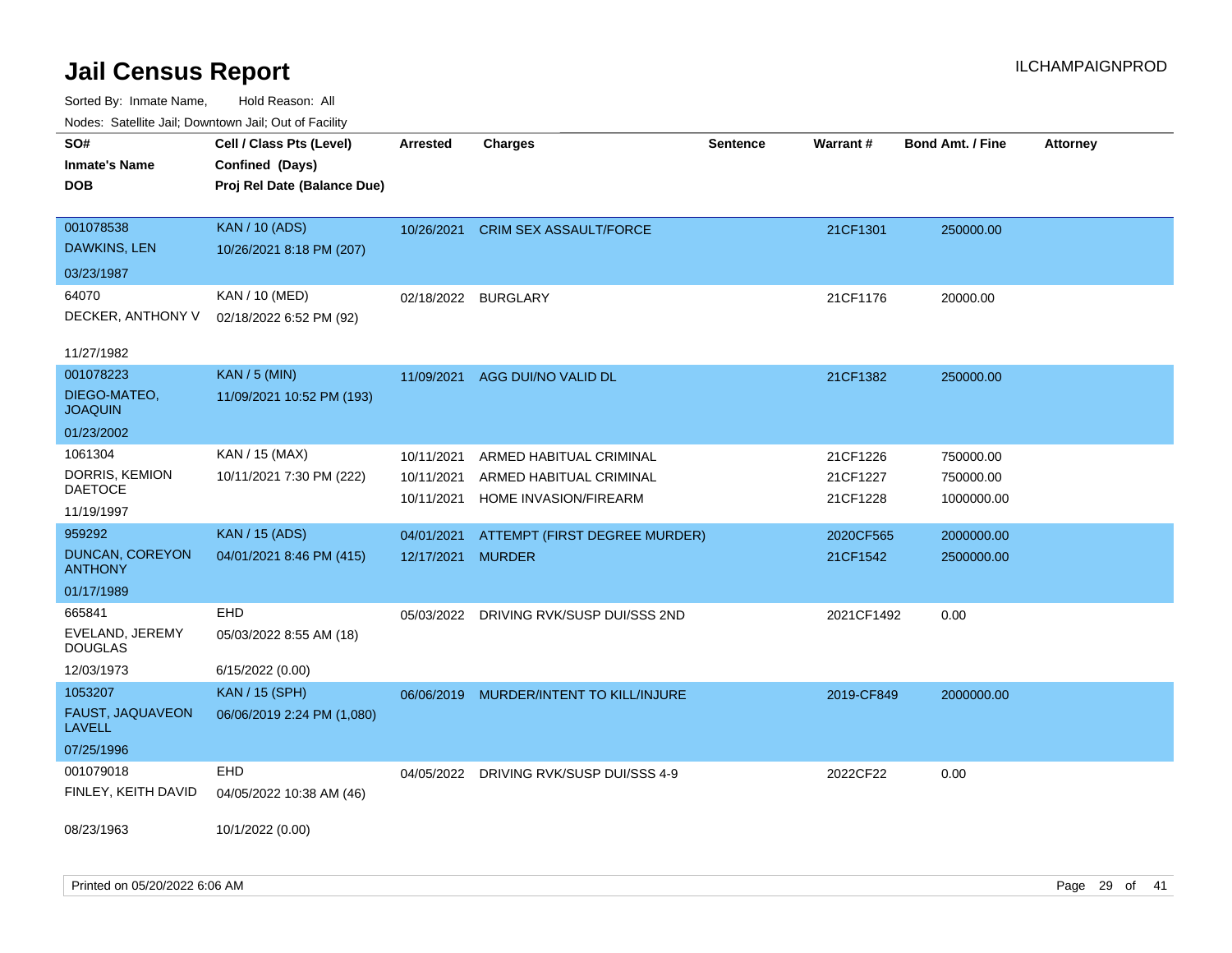| Noues. Sateme Jan, Downtown Jan, Out of Facility |                             |                     |                                         |                 |                 |                         |                 |
|--------------------------------------------------|-----------------------------|---------------------|-----------------------------------------|-----------------|-----------------|-------------------------|-----------------|
| SO#                                              | Cell / Class Pts (Level)    | Arrested            | <b>Charges</b>                          | <b>Sentence</b> | <b>Warrant#</b> | <b>Bond Amt. / Fine</b> | <b>Attorney</b> |
| <b>Inmate's Name</b>                             | Confined (Days)             |                     |                                         |                 |                 |                         |                 |
| <b>DOB</b>                                       | Proj Rel Date (Balance Due) |                     |                                         |                 |                 |                         |                 |
|                                                  |                             |                     |                                         |                 |                 |                         |                 |
| 001078538                                        | <b>KAN / 10 (ADS)</b>       | 10/26/2021          | <b>CRIM SEX ASSAULT/FORCE</b>           |                 | 21CF1301        | 250000.00               |                 |
| DAWKINS, LEN                                     | 10/26/2021 8:18 PM (207)    |                     |                                         |                 |                 |                         |                 |
| 03/23/1987                                       |                             |                     |                                         |                 |                 |                         |                 |
| 64070                                            | KAN / 10 (MED)              | 02/18/2022 BURGLARY |                                         |                 | 21CF1176        | 20000.00                |                 |
| DECKER, ANTHONY V                                | 02/18/2022 6:52 PM (92)     |                     |                                         |                 |                 |                         |                 |
|                                                  |                             |                     |                                         |                 |                 |                         |                 |
| 11/27/1982                                       |                             |                     |                                         |                 |                 |                         |                 |
| 001078223                                        | <b>KAN / 5 (MIN)</b>        |                     | 11/09/2021 AGG DUI/NO VALID DL          |                 | 21CF1382        | 250000.00               |                 |
| DIEGO-MATEO,<br><b>JOAQUIN</b>                   | 11/09/2021 10:52 PM (193)   |                     |                                         |                 |                 |                         |                 |
| 01/23/2002                                       |                             |                     |                                         |                 |                 |                         |                 |
| 1061304                                          | KAN / 15 (MAX)              | 10/11/2021          | ARMED HABITUAL CRIMINAL                 |                 | 21CF1226        | 750000.00               |                 |
| DORRIS, KEMION                                   | 10/11/2021 7:30 PM (222)    | 10/11/2021          | ARMED HABITUAL CRIMINAL                 |                 | 21CF1227        | 750000.00               |                 |
| DAETOCE                                          |                             | 10/11/2021          | HOME INVASION/FIREARM                   |                 | 21CF1228        | 1000000.00              |                 |
| 11/19/1997                                       |                             |                     |                                         |                 |                 |                         |                 |
| 959292                                           | <b>KAN / 15 (ADS)</b>       | 04/01/2021          | ATTEMPT (FIRST DEGREE MURDER)           |                 | 2020CF565       | 2000000.00              |                 |
| DUNCAN, COREYON<br><b>ANTHONY</b>                | 04/01/2021 8:46 PM (415)    | 12/17/2021          | <b>MURDER</b>                           |                 | 21CF1542        | 2500000.00              |                 |
| 01/17/1989                                       |                             |                     |                                         |                 |                 |                         |                 |
| 665841                                           | EHD                         | 05/03/2022          | DRIVING RVK/SUSP DUI/SSS 2ND            |                 | 2021CF1492      | 0.00                    |                 |
| EVELAND, JEREMY<br><b>DOUGLAS</b>                | 05/03/2022 8:55 AM (18)     |                     |                                         |                 |                 |                         |                 |
| 12/03/1973                                       | 6/15/2022 (0.00)            |                     |                                         |                 |                 |                         |                 |
| 1053207                                          | <b>KAN / 15 (SPH)</b>       | 06/06/2019          | MURDER/INTENT TO KILL/INJURE            |                 | 2019-CF849      | 2000000.00              |                 |
| FAUST, JAQUAVEON<br><b>LAVELL</b>                | 06/06/2019 2:24 PM (1,080)  |                     |                                         |                 |                 |                         |                 |
| 07/25/1996                                       |                             |                     |                                         |                 |                 |                         |                 |
| 001079018                                        | <b>EHD</b>                  |                     | 04/05/2022 DRIVING RVK/SUSP DUI/SSS 4-9 |                 | 2022CF22        | 0.00                    |                 |
| FINLEY, KEITH DAVID                              | 04/05/2022 10:38 AM (46)    |                     |                                         |                 |                 |                         |                 |
|                                                  |                             |                     |                                         |                 |                 |                         |                 |
| 08/23/1963                                       | 10/1/2022 (0.00)            |                     |                                         |                 |                 |                         |                 |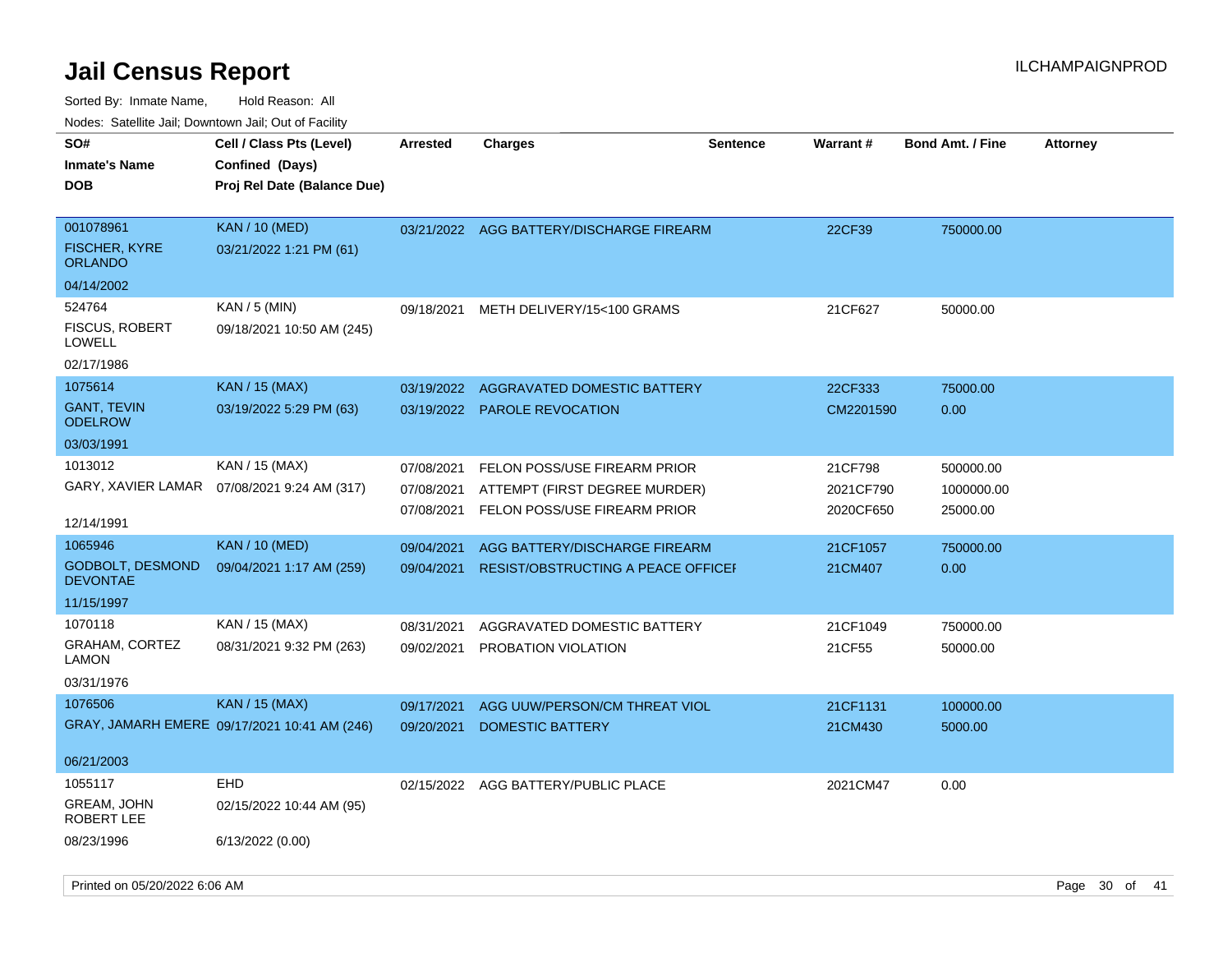| routs. Saltille Jali, Downlown Jali, Out of Facility<br>SO# | Cell / Class Pts (Level)                     | <b>Arrested</b> | <b>Charges</b>                            | <b>Sentence</b> | <b>Warrant#</b> | <b>Bond Amt. / Fine</b> | <b>Attorney</b> |
|-------------------------------------------------------------|----------------------------------------------|-----------------|-------------------------------------------|-----------------|-----------------|-------------------------|-----------------|
| <b>Inmate's Name</b>                                        | Confined (Days)                              |                 |                                           |                 |                 |                         |                 |
| <b>DOB</b>                                                  |                                              |                 |                                           |                 |                 |                         |                 |
|                                                             | Proj Rel Date (Balance Due)                  |                 |                                           |                 |                 |                         |                 |
| 001078961                                                   | KAN / 10 (MED)                               | 03/21/2022      | AGG BATTERY/DISCHARGE FIREARM             |                 | 22CF39          | 750000.00               |                 |
| <b>FISCHER, KYRE</b><br><b>ORLANDO</b>                      | 03/21/2022 1:21 PM (61)                      |                 |                                           |                 |                 |                         |                 |
| 04/14/2002                                                  |                                              |                 |                                           |                 |                 |                         |                 |
| 524764                                                      | KAN / 5 (MIN)                                | 09/18/2021      | METH DELIVERY/15<100 GRAMS                |                 | 21CF627         | 50000.00                |                 |
| <b>FISCUS, ROBERT</b><br>LOWELL                             | 09/18/2021 10:50 AM (245)                    |                 |                                           |                 |                 |                         |                 |
| 02/17/1986                                                  |                                              |                 |                                           |                 |                 |                         |                 |
| 1075614                                                     | <b>KAN / 15 (MAX)</b>                        | 03/19/2022      | AGGRAVATED DOMESTIC BATTERY               |                 | 22CF333         | 75000.00                |                 |
| <b>GANT, TEVIN</b><br><b>ODELROW</b>                        | 03/19/2022 5:29 PM (63)                      |                 | 03/19/2022 PAROLE REVOCATION              |                 | CM2201590       | 0.00                    |                 |
| 03/03/1991                                                  |                                              |                 |                                           |                 |                 |                         |                 |
| 1013012                                                     | KAN / 15 (MAX)                               | 07/08/2021      | FELON POSS/USE FIREARM PRIOR              |                 | 21CF798         | 500000.00               |                 |
|                                                             | GARY, XAVIER LAMAR  07/08/2021 9:24 AM (317) | 07/08/2021      | ATTEMPT (FIRST DEGREE MURDER)             |                 | 2021CF790       | 1000000.00              |                 |
| 12/14/1991                                                  |                                              | 07/08/2021      | FELON POSS/USE FIREARM PRIOR              |                 | 2020CF650       | 25000.00                |                 |
| 1065946                                                     | KAN / 10 (MED)                               | 09/04/2021      | AGG BATTERY/DISCHARGE FIREARM             |                 | 21CF1057        | 750000.00               |                 |
| <b>GODBOLT, DESMOND</b><br><b>DEVONTAE</b>                  | 09/04/2021 1:17 AM (259)                     | 09/04/2021      | <b>RESIST/OBSTRUCTING A PEACE OFFICEF</b> |                 | 21CM407         | 0.00                    |                 |
| 11/15/1997                                                  |                                              |                 |                                           |                 |                 |                         |                 |
| 1070118                                                     | KAN / 15 (MAX)                               | 08/31/2021      | AGGRAVATED DOMESTIC BATTERY               |                 | 21CF1049        | 750000.00               |                 |
| <b>GRAHAM, CORTEZ</b><br>LAMON                              | 08/31/2021 9:32 PM (263)                     | 09/02/2021      | PROBATION VIOLATION                       |                 | 21CF55          | 50000.00                |                 |
| 03/31/1976                                                  |                                              |                 |                                           |                 |                 |                         |                 |
| 1076506                                                     | <b>KAN</b> / 15 (MAX)                        | 09/17/2021      | AGG UUW/PERSON/CM THREAT VIOL             |                 | 21CF1131        | 100000.00               |                 |
|                                                             | GRAY, JAMARH EMERE 09/17/2021 10:41 AM (246) | 09/20/2021      | <b>DOMESTIC BATTERY</b>                   |                 | 21CM430         | 5000.00                 |                 |
| 06/21/2003                                                  |                                              |                 |                                           |                 |                 |                         |                 |
| 1055117                                                     | <b>EHD</b>                                   |                 | 02/15/2022 AGG BATTERY/PUBLIC PLACE       |                 | 2021CM47        | 0.00                    |                 |
| GREAM, JOHN<br>ROBERT LEE                                   | 02/15/2022 10:44 AM (95)                     |                 |                                           |                 |                 |                         |                 |
| 08/23/1996                                                  | 6/13/2022 (0.00)                             |                 |                                           |                 |                 |                         |                 |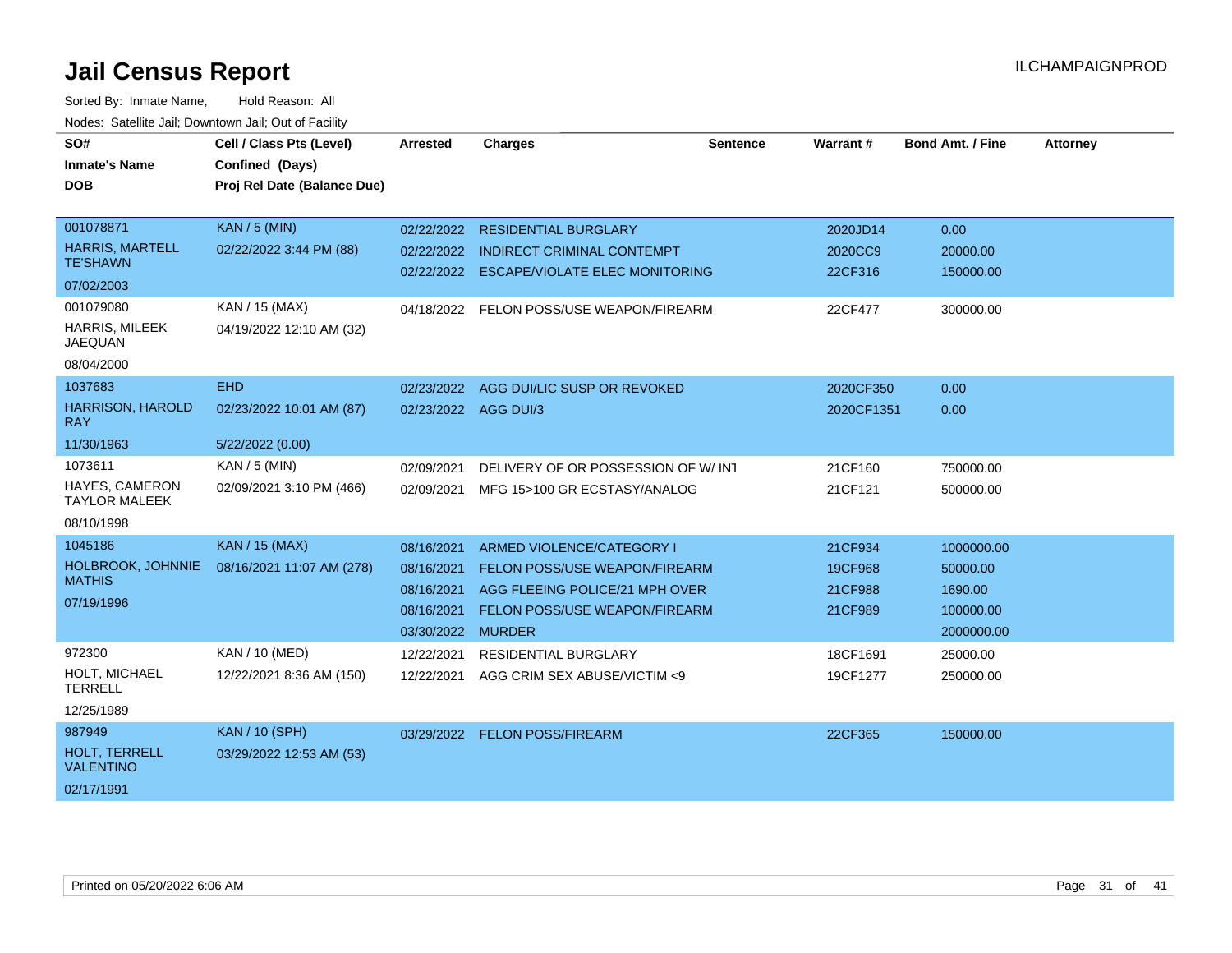| SO#                                       | Cell / Class Pts (Level)    | <b>Arrested</b>   | <b>Charges</b>                        | <b>Sentence</b> | Warrant#   | <b>Bond Amt. / Fine</b> | <b>Attorney</b> |
|-------------------------------------------|-----------------------------|-------------------|---------------------------------------|-----------------|------------|-------------------------|-----------------|
| <b>Inmate's Name</b>                      | Confined (Days)             |                   |                                       |                 |            |                         |                 |
| <b>DOB</b>                                | Proj Rel Date (Balance Due) |                   |                                       |                 |            |                         |                 |
|                                           |                             |                   |                                       |                 |            |                         |                 |
| 001078871                                 | <b>KAN / 5 (MIN)</b>        | 02/22/2022        | <b>RESIDENTIAL BURGLARY</b>           |                 | 2020JD14   | 0.00                    |                 |
| <b>HARRIS, MARTELL</b><br><b>TE'SHAWN</b> | 02/22/2022 3:44 PM (88)     | 02/22/2022        | <b>INDIRECT CRIMINAL CONTEMPT</b>     |                 | 2020CC9    | 20000.00                |                 |
| 07/02/2003                                |                             | 02/22/2022        | <b>ESCAPE/VIOLATE ELEC MONITORING</b> |                 | 22CF316    | 150000.00               |                 |
| 001079080                                 | KAN / 15 (MAX)              | 04/18/2022        | FELON POSS/USE WEAPON/FIREARM         |                 | 22CF477    | 300000.00               |                 |
| HARRIS, MILEEK<br><b>JAEQUAN</b>          | 04/19/2022 12:10 AM (32)    |                   |                                       |                 |            |                         |                 |
| 08/04/2000                                |                             |                   |                                       |                 |            |                         |                 |
| 1037683                                   | <b>EHD</b>                  | 02/23/2022        | AGG DUI/LIC SUSP OR REVOKED           |                 | 2020CF350  | 0.00                    |                 |
| <b>HARRISON, HAROLD</b><br><b>RAY</b>     | 02/23/2022 10:01 AM (87)    |                   | 02/23/2022 AGG DUI/3                  |                 | 2020CF1351 | 0.00                    |                 |
| 11/30/1963                                | 5/22/2022 (0.00)            |                   |                                       |                 |            |                         |                 |
| 1073611                                   | KAN / 5 (MIN)               | 02/09/2021        | DELIVERY OF OR POSSESSION OF W/INT    |                 | 21CF160    | 750000.00               |                 |
| HAYES, CAMERON<br><b>TAYLOR MALEEK</b>    | 02/09/2021 3:10 PM (466)    | 02/09/2021        | MFG 15>100 GR ECSTASY/ANALOG          |                 | 21CF121    | 500000.00               |                 |
| 08/10/1998                                |                             |                   |                                       |                 |            |                         |                 |
| 1045186                                   | <b>KAN / 15 (MAX)</b>       | 08/16/2021        | ARMED VIOLENCE/CATEGORY I             |                 | 21CF934    | 1000000.00              |                 |
| <b>HOLBROOK, JOHNNIE</b>                  | 08/16/2021 11:07 AM (278)   | 08/16/2021        | <b>FELON POSS/USE WEAPON/FIREARM</b>  |                 | 19CF968    | 50000.00                |                 |
| <b>MATHIS</b>                             |                             | 08/16/2021        | AGG FLEEING POLICE/21 MPH OVER        |                 | 21CF988    | 1690.00                 |                 |
| 07/19/1996                                |                             | 08/16/2021        | FELON POSS/USE WEAPON/FIREARM         |                 | 21CF989    | 100000.00               |                 |
|                                           |                             | 03/30/2022 MURDER |                                       |                 |            | 2000000.00              |                 |
| 972300                                    | KAN / 10 (MED)              | 12/22/2021        | <b>RESIDENTIAL BURGLARY</b>           |                 | 18CF1691   | 25000.00                |                 |
| HOLT, MICHAEL<br><b>TERRELL</b>           | 12/22/2021 8:36 AM (150)    | 12/22/2021        | AGG CRIM SEX ABUSE/VICTIM <9          |                 | 19CF1277   | 250000.00               |                 |
| 12/25/1989                                |                             |                   |                                       |                 |            |                         |                 |
| 987949                                    | <b>KAN / 10 (SPH)</b>       | 03/29/2022        | <b>FELON POSS/FIREARM</b>             |                 | 22CF365    | 150000.00               |                 |
| <b>HOLT. TERRELL</b><br><b>VALENTINO</b>  | 03/29/2022 12:53 AM (53)    |                   |                                       |                 |            |                         |                 |
| 02/17/1991                                |                             |                   |                                       |                 |            |                         |                 |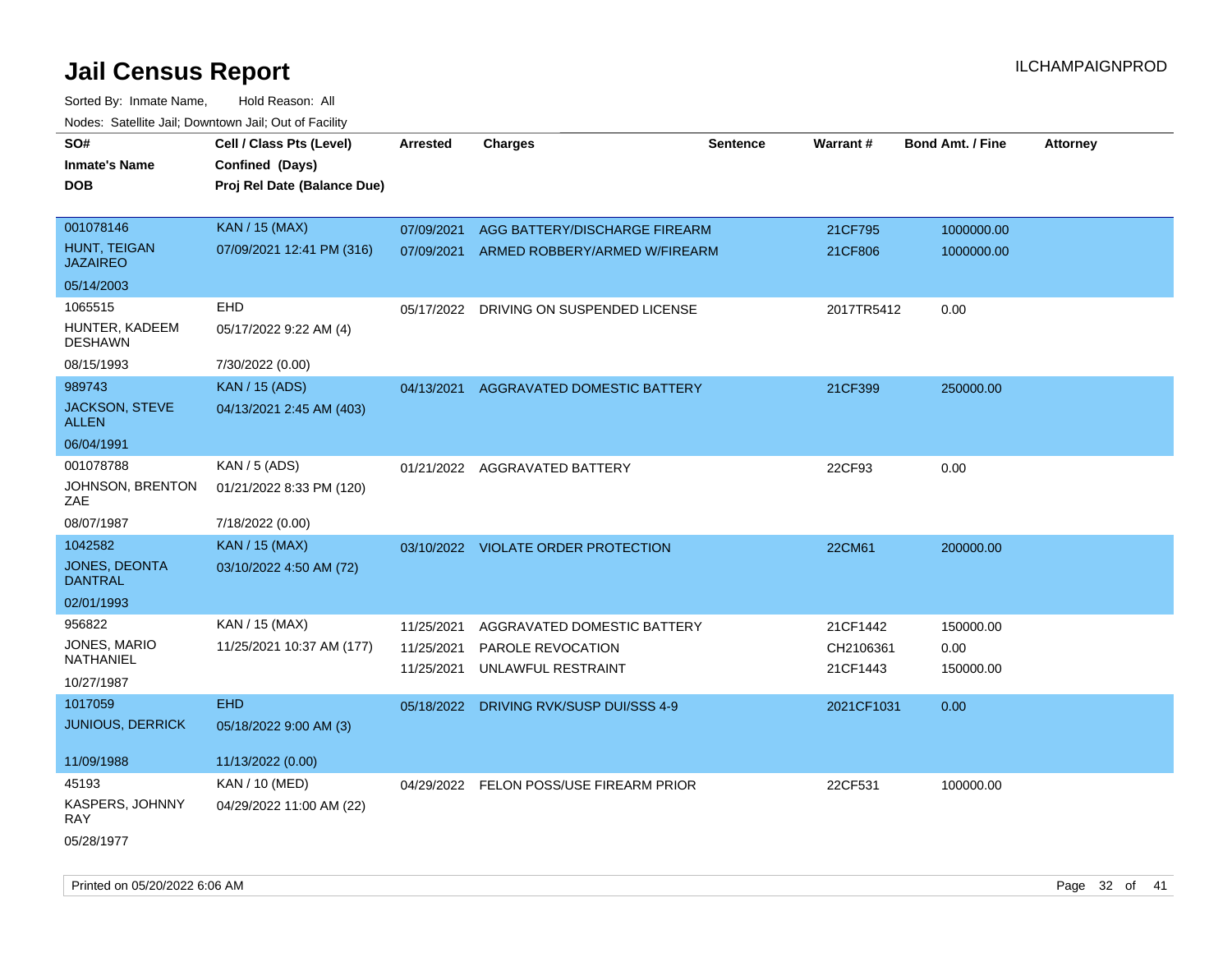| SO#                              | Cell / Class Pts (Level)    | <b>Arrested</b> | <b>Charges</b>                           | <b>Sentence</b> | Warrant#   | <b>Bond Amt. / Fine</b> | <b>Attorney</b> |
|----------------------------------|-----------------------------|-----------------|------------------------------------------|-----------------|------------|-------------------------|-----------------|
| <b>Inmate's Name</b>             | Confined (Days)             |                 |                                          |                 |            |                         |                 |
| <b>DOB</b>                       | Proj Rel Date (Balance Due) |                 |                                          |                 |            |                         |                 |
|                                  |                             |                 |                                          |                 |            |                         |                 |
| 001078146                        | <b>KAN / 15 (MAX)</b>       | 07/09/2021      | AGG BATTERY/DISCHARGE FIREARM            |                 | 21CF795    | 1000000.00              |                 |
| HUNT, TEIGAN<br><b>JAZAIREO</b>  | 07/09/2021 12:41 PM (316)   |                 | 07/09/2021 ARMED ROBBERY/ARMED W/FIREARM |                 | 21CF806    | 1000000.00              |                 |
| 05/14/2003                       |                             |                 |                                          |                 |            |                         |                 |
| 1065515                          | EHD                         |                 | 05/17/2022 DRIVING ON SUSPENDED LICENSE  |                 | 2017TR5412 | 0.00                    |                 |
| HUNTER, KADEEM<br><b>DESHAWN</b> | 05/17/2022 9:22 AM (4)      |                 |                                          |                 |            |                         |                 |
| 08/15/1993                       | 7/30/2022 (0.00)            |                 |                                          |                 |            |                         |                 |
| 989743                           | <b>KAN / 15 (ADS)</b>       | 04/13/2021      | AGGRAVATED DOMESTIC BATTERY              |                 | 21CF399    | 250000.00               |                 |
| JACKSON, STEVE<br>ALLEN          | 04/13/2021 2:45 AM (403)    |                 |                                          |                 |            |                         |                 |
| 06/04/1991                       |                             |                 |                                          |                 |            |                         |                 |
| 001078788                        | KAN / 5 (ADS)               |                 | 01/21/2022 AGGRAVATED BATTERY            |                 | 22CF93     | 0.00                    |                 |
| JOHNSON, BRENTON<br>ZAE          | 01/21/2022 8:33 PM (120)    |                 |                                          |                 |            |                         |                 |
| 08/07/1987                       | 7/18/2022 (0.00)            |                 |                                          |                 |            |                         |                 |
| 1042582                          | <b>KAN / 15 (MAX)</b>       |                 | 03/10/2022 VIOLATE ORDER PROTECTION      |                 | 22CM61     | 200000.00               |                 |
| JONES, DEONTA<br><b>DANTRAL</b>  | 03/10/2022 4:50 AM (72)     |                 |                                          |                 |            |                         |                 |
| 02/01/1993                       |                             |                 |                                          |                 |            |                         |                 |
| 956822                           | KAN / 15 (MAX)              | 11/25/2021      | AGGRAVATED DOMESTIC BATTERY              |                 | 21CF1442   | 150000.00               |                 |
| JONES, MARIO                     | 11/25/2021 10:37 AM (177)   | 11/25/2021      | PAROLE REVOCATION                        |                 | CH2106361  | 0.00                    |                 |
| NATHANIEL                        |                             | 11/25/2021      | UNLAWFUL RESTRAINT                       |                 | 21CF1443   | 150000.00               |                 |
| 10/27/1987                       |                             |                 |                                          |                 |            |                         |                 |
| 1017059                          | <b>EHD</b>                  | 05/18/2022      | <b>DRIVING RVK/SUSP DUI/SSS 4-9</b>      |                 | 2021CF1031 | 0.00                    |                 |
| <b>JUNIOUS, DERRICK</b>          | 05/18/2022 9:00 AM (3)      |                 |                                          |                 |            |                         |                 |
| 11/09/1988                       | 11/13/2022 (0.00)           |                 |                                          |                 |            |                         |                 |
| 45193                            | KAN / 10 (MED)              |                 | 04/29/2022 FELON POSS/USE FIREARM PRIOR  |                 | 22CF531    | 100000.00               |                 |
| KASPERS, JOHNNY<br>RAY           | 04/29/2022 11:00 AM (22)    |                 |                                          |                 |            |                         |                 |
| 05/28/1977                       |                             |                 |                                          |                 |            |                         |                 |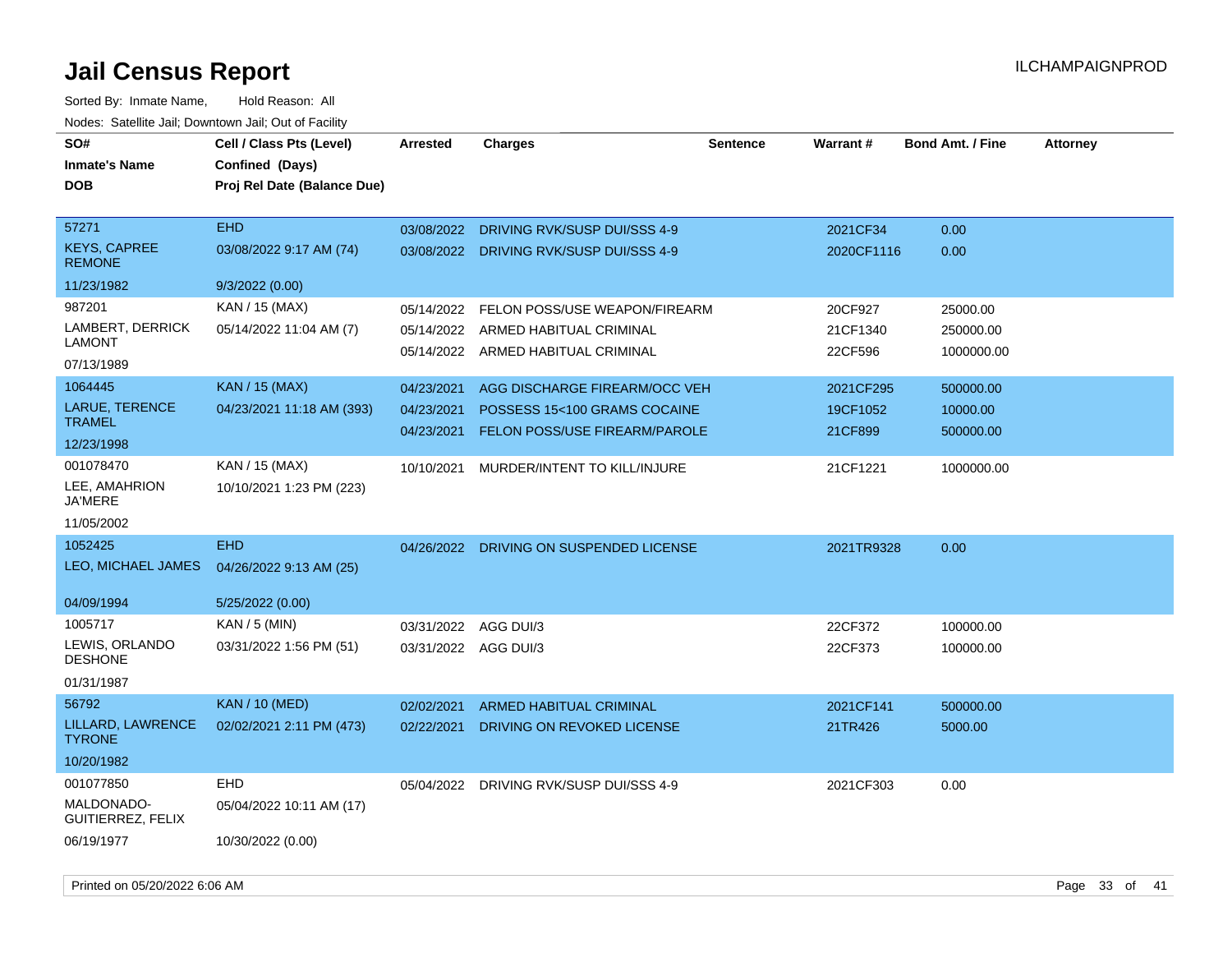| ivouss. Saleling Jali, Downlown Jali, Out of Facility |                             |                      |                                         |                 |            |                         |                 |
|-------------------------------------------------------|-----------------------------|----------------------|-----------------------------------------|-----------------|------------|-------------------------|-----------------|
| SO#                                                   | Cell / Class Pts (Level)    | <b>Arrested</b>      | <b>Charges</b>                          | <b>Sentence</b> | Warrant#   | <b>Bond Amt. / Fine</b> | <b>Attorney</b> |
| <b>Inmate's Name</b>                                  | Confined (Days)             |                      |                                         |                 |            |                         |                 |
| <b>DOB</b>                                            | Proj Rel Date (Balance Due) |                      |                                         |                 |            |                         |                 |
|                                                       |                             |                      |                                         |                 |            |                         |                 |
| 57271                                                 | <b>EHD</b>                  | 03/08/2022           | DRIVING RVK/SUSP DUI/SSS 4-9            |                 | 2021CF34   | 0.00                    |                 |
| <b>KEYS, CAPREE</b><br><b>REMONE</b>                  | 03/08/2022 9:17 AM (74)     |                      | 03/08/2022 DRIVING RVK/SUSP DUI/SSS 4-9 |                 | 2020CF1116 | 0.00                    |                 |
| 11/23/1982                                            | 9/3/2022(0.00)              |                      |                                         |                 |            |                         |                 |
| 987201                                                | KAN / 15 (MAX)              | 05/14/2022           | FELON POSS/USE WEAPON/FIREARM           |                 | 20CF927    | 25000.00                |                 |
| LAMBERT, DERRICK                                      | 05/14/2022 11:04 AM (7)     |                      | 05/14/2022 ARMED HABITUAL CRIMINAL      |                 | 21CF1340   | 250000.00               |                 |
| <b>LAMONT</b>                                         |                             |                      | 05/14/2022 ARMED HABITUAL CRIMINAL      |                 | 22CF596    | 1000000.00              |                 |
| 07/13/1989                                            |                             |                      |                                         |                 |            |                         |                 |
| 1064445                                               | <b>KAN / 15 (MAX)</b>       | 04/23/2021           | AGG DISCHARGE FIREARM/OCC VEH           |                 | 2021CF295  | 500000.00               |                 |
| LARUE, TERENCE                                        | 04/23/2021 11:18 AM (393)   | 04/23/2021           | POSSESS 15<100 GRAMS COCAINE            |                 | 19CF1052   | 10000.00                |                 |
| <b>TRAMEL</b>                                         |                             | 04/23/2021           | FELON POSS/USE FIREARM/PAROLE           |                 | 21CF899    | 500000.00               |                 |
| 12/23/1998                                            |                             |                      |                                         |                 |            |                         |                 |
| 001078470                                             | KAN / 15 (MAX)              | 10/10/2021           | MURDER/INTENT TO KILL/INJURE            |                 | 21CF1221   | 1000000.00              |                 |
| LEE, AMAHRION<br><b>JA'MERE</b>                       | 10/10/2021 1:23 PM (223)    |                      |                                         |                 |            |                         |                 |
|                                                       |                             |                      |                                         |                 |            |                         |                 |
| 11/05/2002                                            |                             |                      |                                         |                 |            |                         |                 |
| 1052425                                               | <b>EHD</b>                  |                      | 04/26/2022 DRIVING ON SUSPENDED LICENSE |                 | 2021TR9328 | 0.00                    |                 |
| LEO, MICHAEL JAMES                                    | 04/26/2022 9:13 AM (25)     |                      |                                         |                 |            |                         |                 |
| 04/09/1994                                            | 5/25/2022 (0.00)            |                      |                                         |                 |            |                         |                 |
| 1005717                                               | KAN / 5 (MIN)               | 03/31/2022           | AGG DUI/3                               |                 | 22CF372    | 100000.00               |                 |
| LEWIS, ORLANDO                                        | 03/31/2022 1:56 PM (51)     | 03/31/2022 AGG DUI/3 |                                         |                 | 22CF373    | 100000.00               |                 |
| <b>DESHONE</b>                                        |                             |                      |                                         |                 |            |                         |                 |
| 01/31/1987                                            |                             |                      |                                         |                 |            |                         |                 |
| 56792                                                 | <b>KAN</b> / 10 (MED)       | 02/02/2021           | ARMED HABITUAL CRIMINAL                 |                 | 2021CF141  | 500000.00               |                 |
| LILLARD, LAWRENCE<br><b>TYRONE</b>                    | 02/02/2021 2:11 PM (473)    | 02/22/2021           | DRIVING ON REVOKED LICENSE              |                 | 21TR426    | 5000.00                 |                 |
| 10/20/1982                                            |                             |                      |                                         |                 |            |                         |                 |
| 001077850                                             | <b>EHD</b>                  |                      | 05/04/2022 DRIVING RVK/SUSP DUI/SSS 4-9 |                 | 2021CF303  | 0.00                    |                 |
| MALDONADO-<br>GUITIERREZ, FELIX                       | 05/04/2022 10:11 AM (17)    |                      |                                         |                 |            |                         |                 |
| 06/19/1977                                            | 10/30/2022 (0.00)           |                      |                                         |                 |            |                         |                 |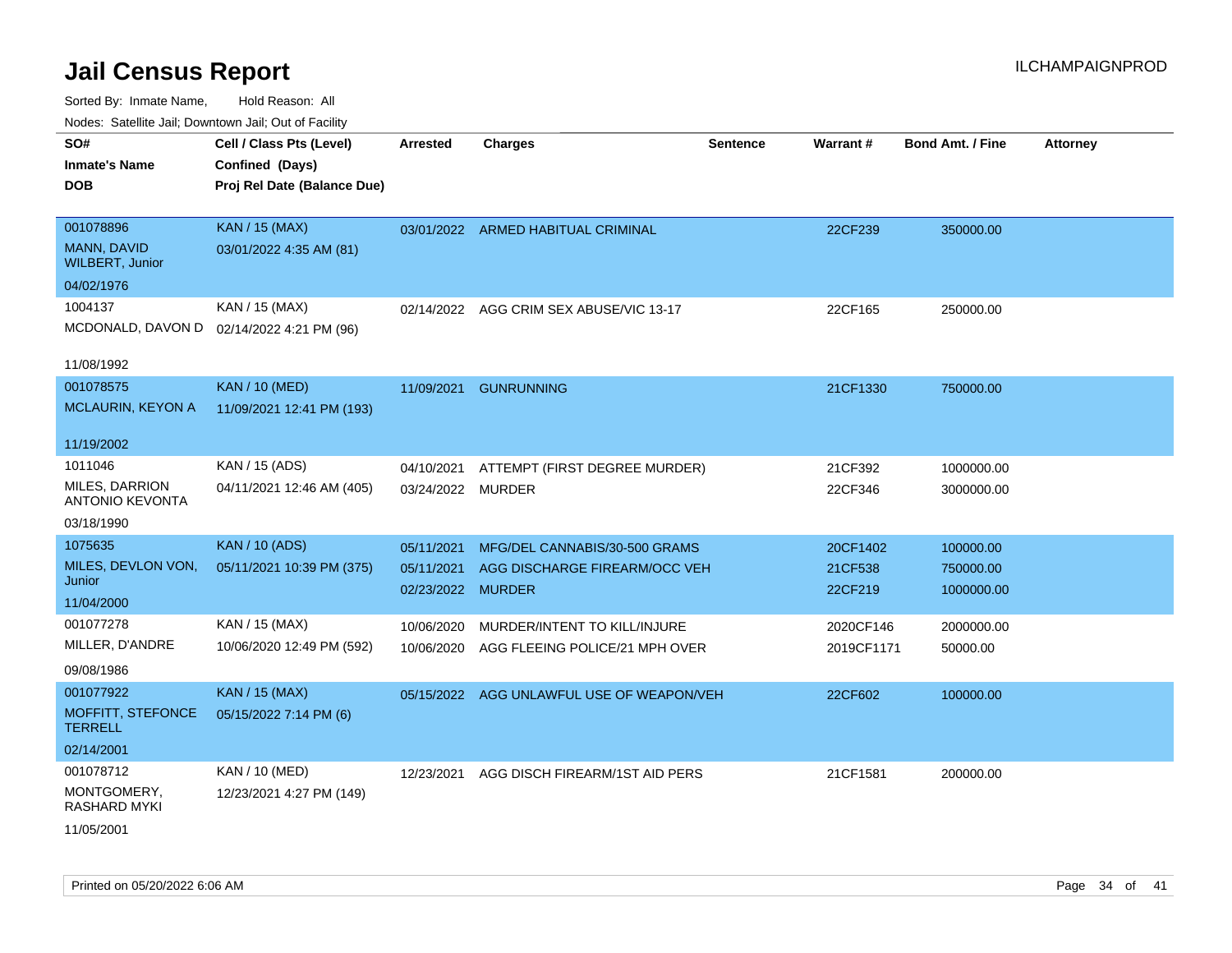Sorted By: Inmate Name, Hold Reason: All Nodes: Satellite Jail; Downtown Jail; Out of Facility

| SO#                                             | Cell / Class Pts (Level)                  | <b>Arrested</b>   | <b>Charges</b>                            | <b>Sentence</b> | Warrant#   | <b>Bond Amt. / Fine</b> | <b>Attorney</b> |
|-------------------------------------------------|-------------------------------------------|-------------------|-------------------------------------------|-----------------|------------|-------------------------|-----------------|
| <b>Inmate's Name</b>                            | Confined (Days)                           |                   |                                           |                 |            |                         |                 |
| <b>DOB</b>                                      | Proj Rel Date (Balance Due)               |                   |                                           |                 |            |                         |                 |
|                                                 |                                           |                   |                                           |                 |            |                         |                 |
| 001078896                                       | <b>KAN / 15 (MAX)</b>                     |                   | 03/01/2022 ARMED HABITUAL CRIMINAL        |                 | 22CF239    | 350000.00               |                 |
| MANN, DAVID<br><b>WILBERT, Junior</b>           | 03/01/2022 4:35 AM (81)                   |                   |                                           |                 |            |                         |                 |
| 04/02/1976                                      |                                           |                   |                                           |                 |            |                         |                 |
| 1004137                                         | KAN / 15 (MAX)                            |                   | 02/14/2022 AGG CRIM SEX ABUSE/VIC 13-17   |                 | 22CF165    | 250000.00               |                 |
|                                                 | MCDONALD, DAVON D 02/14/2022 4:21 PM (96) |                   |                                           |                 |            |                         |                 |
|                                                 |                                           |                   |                                           |                 |            |                         |                 |
| 11/08/1992                                      |                                           |                   |                                           |                 |            |                         |                 |
| 001078575                                       | <b>KAN / 10 (MED)</b>                     |                   | 11/09/2021 GUNRUNNING                     |                 | 21CF1330   | 750000.00               |                 |
| <b>MCLAURIN, KEYON A</b>                        | 11/09/2021 12:41 PM (193)                 |                   |                                           |                 |            |                         |                 |
|                                                 |                                           |                   |                                           |                 |            |                         |                 |
| 11/19/2002                                      |                                           |                   |                                           |                 |            |                         |                 |
| 1011046                                         | KAN / 15 (ADS)                            | 04/10/2021        | ATTEMPT (FIRST DEGREE MURDER)             |                 | 21CF392    | 1000000.00              |                 |
| <b>MILES, DARRION</b><br><b>ANTONIO KEVONTA</b> | 04/11/2021 12:46 AM (405)                 | 03/24/2022 MURDER |                                           |                 | 22CF346    | 3000000.00              |                 |
| 03/18/1990                                      |                                           |                   |                                           |                 |            |                         |                 |
| 1075635                                         | <b>KAN / 10 (ADS)</b>                     | 05/11/2021        | MFG/DEL CANNABIS/30-500 GRAMS             |                 | 20CF1402   | 100000.00               |                 |
| MILES, DEVLON VON,                              | 05/11/2021 10:39 PM (375)                 | 05/11/2021        | AGG DISCHARGE FIREARM/OCC VEH             |                 | 21CF538    | 750000.00               |                 |
| Junior                                          |                                           | 02/23/2022 MURDER |                                           |                 | 22CF219    | 1000000.00              |                 |
| 11/04/2000                                      |                                           |                   |                                           |                 |            |                         |                 |
| 001077278                                       | KAN / 15 (MAX)                            | 10/06/2020        | MURDER/INTENT TO KILL/INJURE              |                 | 2020CF146  | 2000000.00              |                 |
| MILLER, D'ANDRE                                 | 10/06/2020 12:49 PM (592)                 | 10/06/2020        | AGG FLEEING POLICE/21 MPH OVER            |                 | 2019CF1171 | 50000.00                |                 |
| 09/08/1986                                      |                                           |                   |                                           |                 |            |                         |                 |
| 001077922                                       | KAN / 15 (MAX)                            |                   | 05/15/2022 AGG UNLAWFUL USE OF WEAPON/VEH |                 | 22CF602    | 100000.00               |                 |
| MOFFITT, STEFONCE<br><b>TERRELL</b>             | 05/15/2022 7:14 PM (6)                    |                   |                                           |                 |            |                         |                 |
| 02/14/2001                                      |                                           |                   |                                           |                 |            |                         |                 |
| 001078712                                       | KAN / 10 (MED)                            | 12/23/2021        | AGG DISCH FIREARM/1ST AID PERS            |                 | 21CF1581   | 200000.00               |                 |
| MONTGOMERY,<br><b>RASHARD MYKI</b>              | 12/23/2021 4:27 PM (149)                  |                   |                                           |                 |            |                         |                 |
| 11/05/2001                                      |                                           |                   |                                           |                 |            |                         |                 |

Printed on 05/20/2022 6:06 AM Page 34 of 41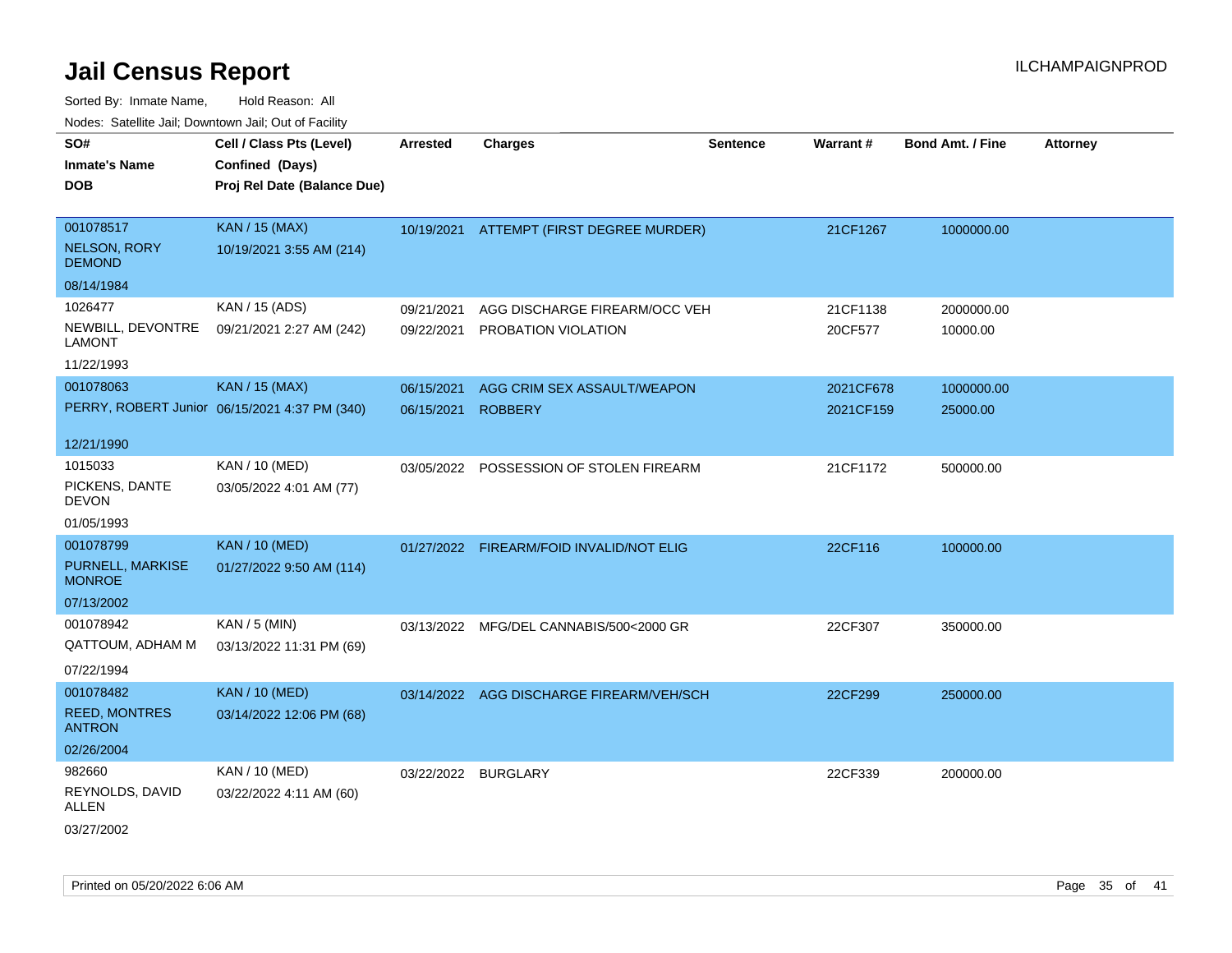| 10000. Catolino can, Domntonn can, Cat or I doint              |                                                                            |                          |                                                      |                 |                        |                         |                 |
|----------------------------------------------------------------|----------------------------------------------------------------------------|--------------------------|------------------------------------------------------|-----------------|------------------------|-------------------------|-----------------|
| SO#<br><b>Inmate's Name</b><br>DOB                             | Cell / Class Pts (Level)<br>Confined (Days)<br>Proj Rel Date (Balance Due) | <b>Arrested</b>          | <b>Charges</b>                                       | <b>Sentence</b> | Warrant#               | <b>Bond Amt. / Fine</b> | <b>Attorney</b> |
| 001078517<br><b>NELSON, RORY</b><br><b>DEMOND</b>              | <b>KAN / 15 (MAX)</b><br>10/19/2021 3:55 AM (214)                          |                          | 10/19/2021 ATTEMPT (FIRST DEGREE MURDER)             |                 | 21CF1267               | 1000000.00              |                 |
| 08/14/1984                                                     |                                                                            |                          |                                                      |                 |                        |                         |                 |
| 1026477<br>NEWBILL, DEVONTRE<br>LAMONT<br>11/22/1993           | KAN / 15 (ADS)<br>09/21/2021 2:27 AM (242)                                 | 09/21/2021<br>09/22/2021 | AGG DISCHARGE FIREARM/OCC VEH<br>PROBATION VIOLATION |                 | 21CF1138<br>20CF577    | 2000000.00<br>10000.00  |                 |
| 001078063                                                      | <b>KAN / 15 (MAX)</b><br>PERRY, ROBERT Junior 06/15/2021 4:37 PM (340)     | 06/15/2021<br>06/15/2021 | AGG CRIM SEX ASSAULT/WEAPON<br><b>ROBBERY</b>        |                 | 2021CF678<br>2021CF159 | 1000000.00<br>25000.00  |                 |
| 12/21/1990<br>1015033<br>PICKENS, DANTE<br>DEVON<br>01/05/1993 | KAN / 10 (MED)<br>03/05/2022 4:01 AM (77)                                  | 03/05/2022               | POSSESSION OF STOLEN FIREARM                         |                 | 21CF1172               | 500000.00               |                 |
| 001078799<br>PURNELL, MARKISE<br>MONROE<br>07/13/2002          | <b>KAN / 10 (MED)</b><br>01/27/2022 9:50 AM (114)                          | 01/27/2022               | FIREARM/FOID INVALID/NOT ELIG                        |                 | 22CF116                | 100000.00               |                 |
| 001078942<br>QATTOUM, ADHAM M<br>07/22/1994                    | KAN / 5 (MIN)<br>03/13/2022 11:31 PM (69)                                  |                          | 03/13/2022 MFG/DEL CANNABIS/500<2000 GR              |                 | 22CF307                | 350000.00               |                 |
| 001078482<br><b>REED, MONTRES</b><br>ANTRON                    | <b>KAN / 10 (MED)</b><br>03/14/2022 12:06 PM (68)                          | 03/14/2022               | AGG DISCHARGE FIREARM/VEH/SCH                        |                 | 22CF299                | 250000.00               |                 |
| 02/26/2004<br>982660<br>REYNOLDS, DAVID<br>ALLEN<br>03/27/2002 | KAN / 10 (MED)<br>03/22/2022 4:11 AM (60)                                  | 03/22/2022               | BURGLARY                                             |                 | 22CF339                | 200000.00               |                 |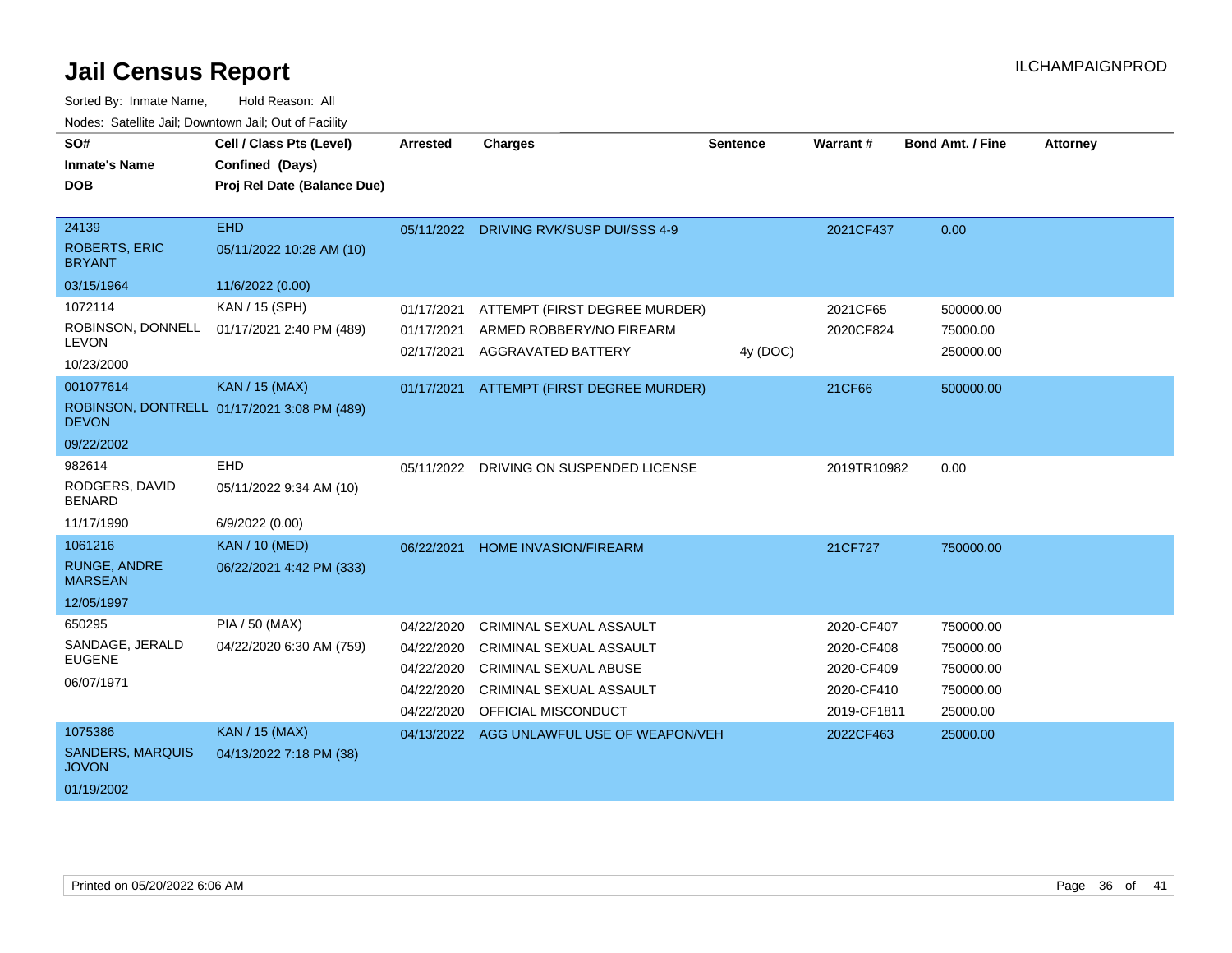| SO#<br><b>Inmate's Name</b>                                      | Cell / Class Pts (Level)<br>Confined (Days)                   | Arrested                                                           | <b>Charges</b>                                                                                                                                     | <b>Sentence</b> | Warrant#                                                            | <b>Bond Amt. / Fine</b>                                      | <b>Attorney</b> |
|------------------------------------------------------------------|---------------------------------------------------------------|--------------------------------------------------------------------|----------------------------------------------------------------------------------------------------------------------------------------------------|-----------------|---------------------------------------------------------------------|--------------------------------------------------------------|-----------------|
| <b>DOB</b>                                                       | Proj Rel Date (Balance Due)                                   |                                                                    |                                                                                                                                                    |                 |                                                                     |                                                              |                 |
| 24139<br><b>ROBERTS, ERIC</b><br><b>BRYANT</b><br>03/15/1964     | <b>EHD</b><br>05/11/2022 10:28 AM (10)<br>11/6/2022 (0.00)    |                                                                    | 05/11/2022 DRIVING RVK/SUSP DUI/SSS 4-9                                                                                                            |                 | 2021CF437                                                           | 0.00                                                         |                 |
| 1072114<br>ROBINSON, DONNELL<br><b>LEVON</b><br>10/23/2000       | KAN / 15 (SPH)<br>01/17/2021 2:40 PM (489)                    | 01/17/2021<br>01/17/2021<br>02/17/2021                             | ATTEMPT (FIRST DEGREE MURDER)<br>ARMED ROBBERY/NO FIREARM<br><b>AGGRAVATED BATTERY</b>                                                             | 4y (DOC)        | 2021CF65<br>2020CF824                                               | 500000.00<br>75000.00<br>250000.00                           |                 |
| 001077614<br><b>DEVON</b><br>09/22/2002                          | KAN / 15 (MAX)<br>ROBINSON, DONTRELL 01/17/2021 3:08 PM (489) | 01/17/2021                                                         | ATTEMPT (FIRST DEGREE MURDER)                                                                                                                      |                 | 21CF66                                                              | 500000.00                                                    |                 |
| 982614<br>RODGERS, DAVID<br><b>BENARD</b><br>11/17/1990          | EHD<br>05/11/2022 9:34 AM (10)<br>6/9/2022 (0.00)             |                                                                    | 05/11/2022 DRIVING ON SUSPENDED LICENSE                                                                                                            |                 | 2019TR10982                                                         | 0.00                                                         |                 |
| 1061216<br><b>RUNGE, ANDRE</b><br><b>MARSEAN</b><br>12/05/1997   | <b>KAN / 10 (MED)</b><br>06/22/2021 4:42 PM (333)             | 06/22/2021                                                         | HOME INVASION/FIREARM                                                                                                                              |                 | 21CF727                                                             | 750000.00                                                    |                 |
| 650295<br>SANDAGE, JERALD<br><b>EUGENE</b><br>06/07/1971         | <b>PIA / 50 (MAX)</b><br>04/22/2020 6:30 AM (759)             | 04/22/2020<br>04/22/2020<br>04/22/2020<br>04/22/2020<br>04/22/2020 | <b>CRIMINAL SEXUAL ASSAULT</b><br><b>CRIMINAL SEXUAL ASSAULT</b><br><b>CRIMINAL SEXUAL ABUSE</b><br>CRIMINAL SEXUAL ASSAULT<br>OFFICIAL MISCONDUCT |                 | 2020-CF407<br>2020-CF408<br>2020-CF409<br>2020-CF410<br>2019-CF1811 | 750000.00<br>750000.00<br>750000.00<br>750000.00<br>25000.00 |                 |
| 1075386<br><b>SANDERS, MARQUIS</b><br><b>JOVON</b><br>01/19/2002 | <b>KAN / 15 (MAX)</b><br>04/13/2022 7:18 PM (38)              | 04/13/2022                                                         | AGG UNLAWFUL USE OF WEAPON/VEH                                                                                                                     |                 | 2022CF463                                                           | 25000.00                                                     |                 |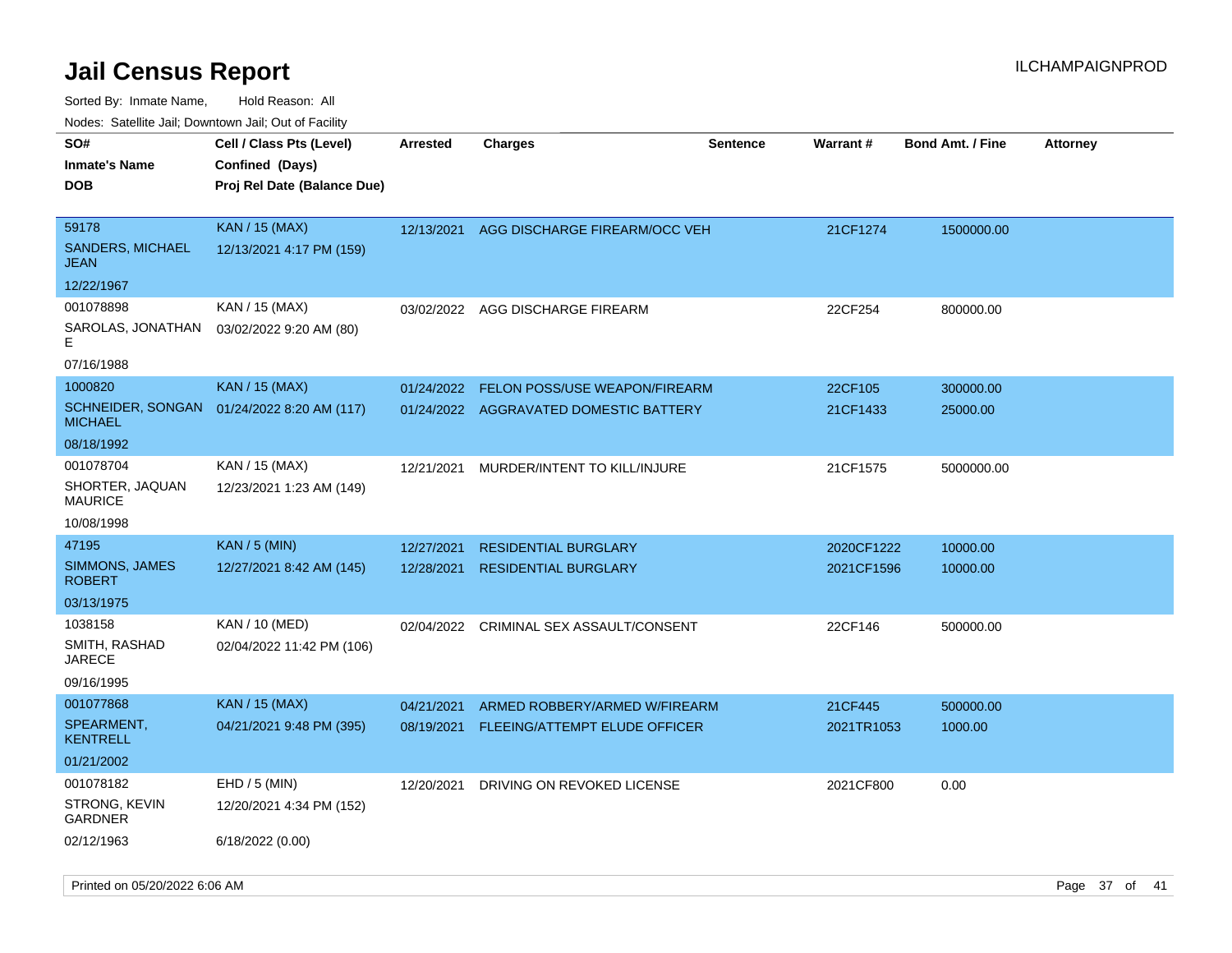| SO#<br><b>Inmate's Name</b><br><b>DOB</b> | Cell / Class Pts (Level)<br>Confined (Days)<br>Proj Rel Date (Balance Due) | Arrested   | <b>Charges</b>                          | <b>Sentence</b> | <b>Warrant#</b> | <b>Bond Amt. / Fine</b> | <b>Attorney</b> |
|-------------------------------------------|----------------------------------------------------------------------------|------------|-----------------------------------------|-----------------|-----------------|-------------------------|-----------------|
| 59178<br><b>SANDERS, MICHAEL</b><br>JEAN  | <b>KAN / 15 (MAX)</b><br>12/13/2021 4:17 PM (159)                          | 12/13/2021 | AGG DISCHARGE FIREARM/OCC VEH           |                 | 21CF1274        | 1500000.00              |                 |
| 12/22/1967                                |                                                                            |            |                                         |                 |                 |                         |                 |
| 001078898                                 | KAN / 15 (MAX)                                                             |            | 03/02/2022 AGG DISCHARGE FIREARM        |                 | 22CF254         | 800000.00               |                 |
| SAROLAS, JONATHAN<br>E                    | 03/02/2022 9:20 AM (80)                                                    |            |                                         |                 |                 |                         |                 |
| 07/16/1988                                |                                                                            |            |                                         |                 |                 |                         |                 |
| 1000820                                   | <b>KAN / 15 (MAX)</b>                                                      | 01/24/2022 | FELON POSS/USE WEAPON/FIREARM           |                 | 22CF105         | 300000.00               |                 |
| SCHNEIDER, SONGAN<br>MICHAEL              | 01/24/2022 8:20 AM (117)                                                   |            | 01/24/2022 AGGRAVATED DOMESTIC BATTERY  |                 | 21CF1433        | 25000.00                |                 |
| 08/18/1992                                |                                                                            |            |                                         |                 |                 |                         |                 |
| 001078704                                 | KAN / 15 (MAX)                                                             | 12/21/2021 | MURDER/INTENT TO KILL/INJURE            |                 | 21CF1575        | 5000000.00              |                 |
| SHORTER, JAQUAN<br>MAURICE                | 12/23/2021 1:23 AM (149)                                                   |            |                                         |                 |                 |                         |                 |
| 10/08/1998                                |                                                                            |            |                                         |                 |                 |                         |                 |
| 47195                                     | <b>KAN / 5 (MIN)</b>                                                       | 12/27/2021 | <b>RESIDENTIAL BURGLARY</b>             |                 | 2020CF1222      | 10000.00                |                 |
| SIMMONS, JAMES<br>ROBERT                  | 12/27/2021 8:42 AM (145)                                                   | 12/28/2021 | <b>RESIDENTIAL BURGLARY</b>             |                 | 2021CF1596      | 10000.00                |                 |
| 03/13/1975                                |                                                                            |            |                                         |                 |                 |                         |                 |
| 1038158                                   | KAN / 10 (MED)                                                             |            | 02/04/2022 CRIMINAL SEX ASSAULT/CONSENT |                 | 22CF146         | 500000.00               |                 |
| SMITH, RASHAD<br>JARECE                   | 02/04/2022 11:42 PM (106)                                                  |            |                                         |                 |                 |                         |                 |
| 09/16/1995                                |                                                                            |            |                                         |                 |                 |                         |                 |
| 001077868                                 | <b>KAN / 15 (MAX)</b>                                                      | 04/21/2021 | ARMED ROBBERY/ARMED W/FIREARM           |                 | 21CF445         | 500000.00               |                 |
| SPEARMENT,<br><b>KENTRELL</b>             | 04/21/2021 9:48 PM (395)                                                   | 08/19/2021 | FLEEING/ATTEMPT ELUDE OFFICER           |                 | 2021TR1053      | 1000.00                 |                 |
| 01/21/2002                                |                                                                            |            |                                         |                 |                 |                         |                 |
| 001078182                                 | $EHD / 5$ (MIN)                                                            | 12/20/2021 | DRIVING ON REVOKED LICENSE              |                 | 2021CF800       | 0.00                    |                 |
| STRONG, KEVIN<br>GARDNER                  | 12/20/2021 4:34 PM (152)                                                   |            |                                         |                 |                 |                         |                 |
| 02/12/1963                                | 6/18/2022 (0.00)                                                           |            |                                         |                 |                 |                         |                 |
|                                           |                                                                            |            |                                         |                 |                 |                         |                 |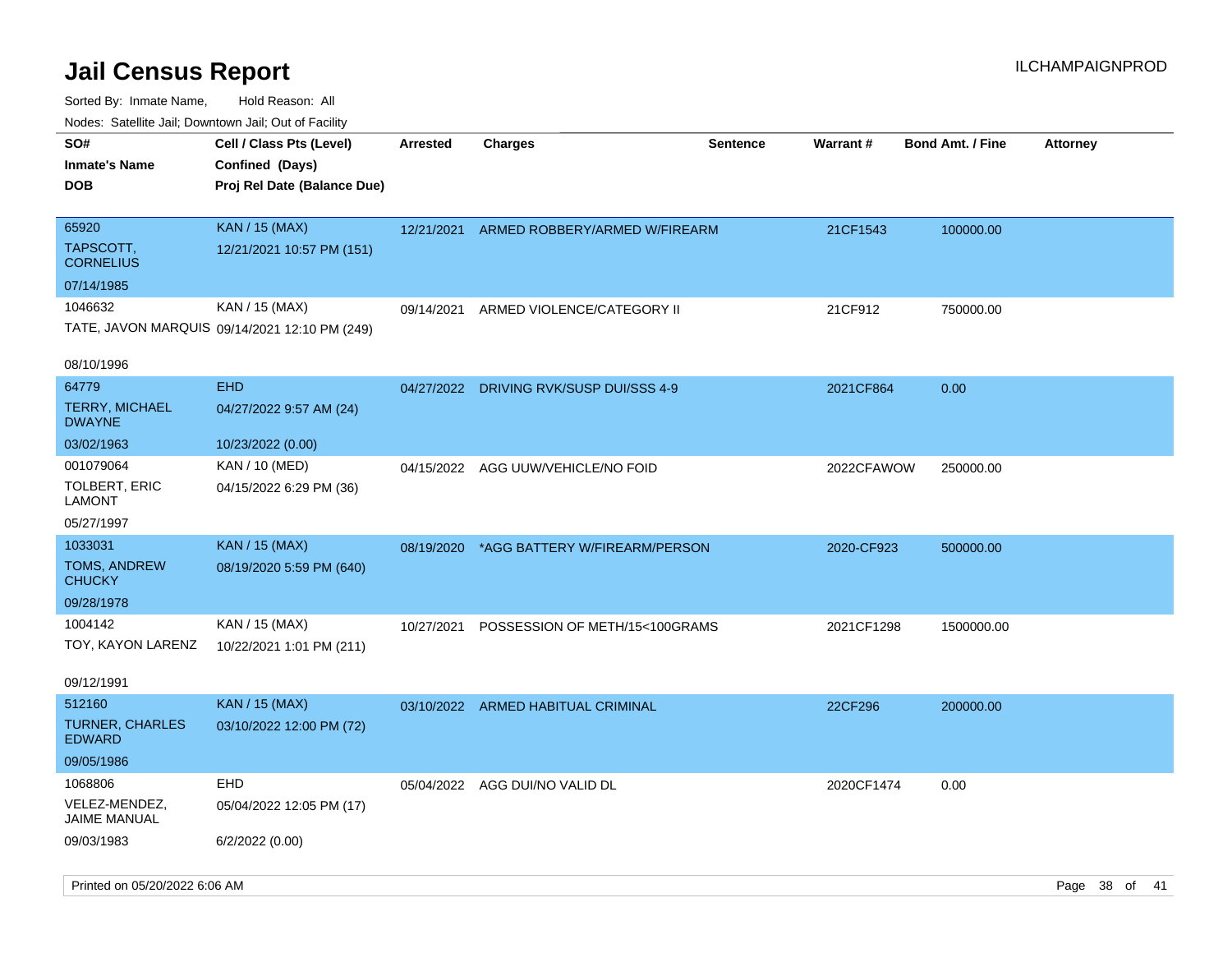| rougs. Calcing Jan, Downtown Jan, Out of Facility               |                                                                            |                 |                                    |                 |            |                         |                 |
|-----------------------------------------------------------------|----------------------------------------------------------------------------|-----------------|------------------------------------|-----------------|------------|-------------------------|-----------------|
| SO#<br><b>Inmate's Name</b><br><b>DOB</b>                       | Cell / Class Pts (Level)<br>Confined (Days)<br>Proj Rel Date (Balance Due) | <b>Arrested</b> | Charges                            | <b>Sentence</b> | Warrant#   | <b>Bond Amt. / Fine</b> | <b>Attorney</b> |
| 65920<br>TAPSCOTT,<br><b>CORNELIUS</b><br>07/14/1985            | <b>KAN / 15 (MAX)</b><br>12/21/2021 10:57 PM (151)                         | 12/21/2021      | ARMED ROBBERY/ARMED W/FIREARM      |                 | 21CF1543   | 100000.00               |                 |
| 1046632<br>08/10/1996                                           | KAN / 15 (MAX)<br>TATE, JAVON MARQUIS 09/14/2021 12:10 PM (249)            | 09/14/2021      | ARMED VIOLENCE/CATEGORY II         |                 | 21CF912    | 750000.00               |                 |
| 64779<br><b>TERRY, MICHAEL</b><br><b>DWAYNE</b><br>03/02/1963   | <b>EHD</b><br>04/27/2022 9:57 AM (24)<br>10/23/2022 (0.00)                 | 04/27/2022      | DRIVING RVK/SUSP DUI/SSS 4-9       |                 | 2021CF864  | 0.00                    |                 |
| 001079064<br>TOLBERT, ERIC<br><b>LAMONT</b><br>05/27/1997       | KAN / 10 (MED)<br>04/15/2022 6:29 PM (36)                                  |                 | 04/15/2022 AGG UUW/VEHICLE/NO FOID |                 | 2022CFAWOW | 250000.00               |                 |
| 1033031<br><b>TOMS, ANDREW</b><br><b>CHUCKY</b><br>09/28/1978   | <b>KAN / 15 (MAX)</b><br>08/19/2020 5:59 PM (640)                          | 08/19/2020      | *AGG BATTERY W/FIREARM/PERSON      |                 | 2020-CF923 | 500000.00               |                 |
| 1004142<br>TOY, KAYON LARENZ<br>09/12/1991                      | KAN / 15 (MAX)<br>10/22/2021 1:01 PM (211)                                 | 10/27/2021      | POSSESSION OF METH/15<100GRAMS     |                 | 2021CF1298 | 1500000.00              |                 |
| 512160<br><b>TURNER, CHARLES</b><br><b>EDWARD</b><br>09/05/1986 | <b>KAN / 15 (MAX)</b><br>03/10/2022 12:00 PM (72)                          |                 | 03/10/2022 ARMED HABITUAL CRIMINAL |                 | 22CF296    | 200000.00               |                 |
| 1068806<br>VELEZ-MENDEZ,<br><b>JAIME MANUAL</b><br>09/03/1983   | <b>EHD</b><br>05/04/2022 12:05 PM (17)<br>6/2/2022 (0.00)                  |                 | 05/04/2022 AGG DUI/NO VALID DL     |                 | 2020CF1474 | 0.00                    |                 |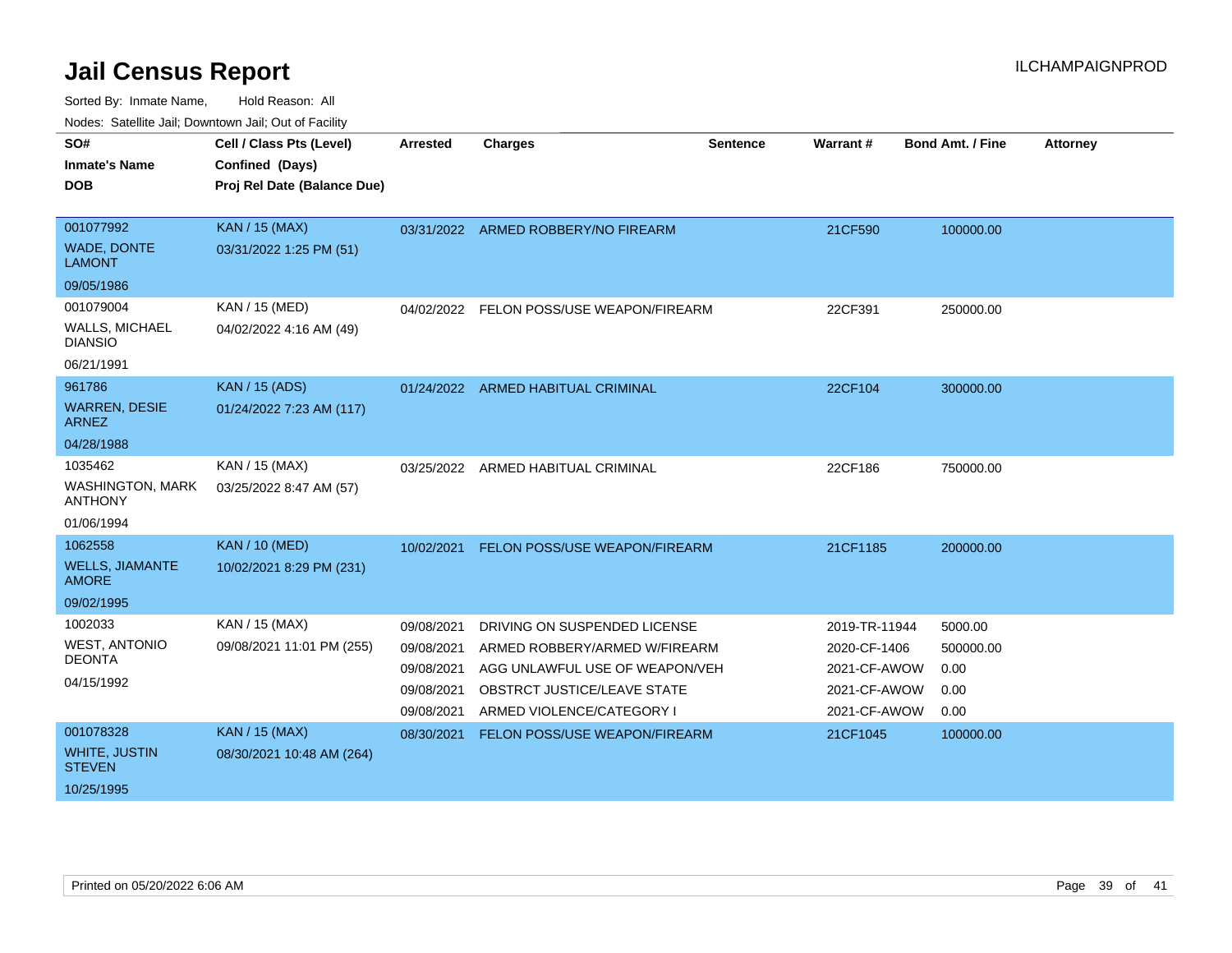| SO#<br><b>Inmate's Name</b>               | Cell / Class Pts (Level)<br>Confined (Days) | <b>Arrested</b> | <b>Charges</b>                      | <b>Sentence</b> | Warrant#      | <b>Bond Amt. / Fine</b> | <b>Attorney</b> |
|-------------------------------------------|---------------------------------------------|-----------------|-------------------------------------|-----------------|---------------|-------------------------|-----------------|
| <b>DOB</b>                                | Proj Rel Date (Balance Due)                 |                 |                                     |                 |               |                         |                 |
|                                           |                                             |                 |                                     |                 |               |                         |                 |
| 001077992                                 | <b>KAN / 15 (MAX)</b>                       |                 | 03/31/2022 ARMED ROBBERY/NO FIREARM |                 | 21CF590       | 100000.00               |                 |
| <b>WADE, DONTE</b><br><b>LAMONT</b>       | 03/31/2022 1:25 PM (51)                     |                 |                                     |                 |               |                         |                 |
| 09/05/1986                                |                                             |                 |                                     |                 |               |                         |                 |
| 001079004                                 | KAN / 15 (MED)                              | 04/02/2022      | FELON POSS/USE WEAPON/FIREARM       |                 | 22CF391       | 250000.00               |                 |
| <b>WALLS, MICHAEL</b><br><b>DIANSIO</b>   | 04/02/2022 4:16 AM (49)                     |                 |                                     |                 |               |                         |                 |
| 06/21/1991                                |                                             |                 |                                     |                 |               |                         |                 |
| 961786                                    | <b>KAN / 15 (ADS)</b>                       |                 | 01/24/2022 ARMED HABITUAL CRIMINAL  |                 | 22CF104       | 300000.00               |                 |
| <b>WARREN, DESIE</b><br><b>ARNEZ</b>      | 01/24/2022 7:23 AM (117)                    |                 |                                     |                 |               |                         |                 |
| 04/28/1988                                |                                             |                 |                                     |                 |               |                         |                 |
| 1035462                                   | KAN / 15 (MAX)                              |                 | 03/25/2022 ARMED HABITUAL CRIMINAL  |                 | 22CF186       | 750000.00               |                 |
| <b>WASHINGTON, MARK</b><br><b>ANTHONY</b> | 03/25/2022 8:47 AM (57)                     |                 |                                     |                 |               |                         |                 |
| 01/06/1994                                |                                             |                 |                                     |                 |               |                         |                 |
| 1062558                                   | <b>KAN / 10 (MED)</b>                       | 10/02/2021      | FELON POSS/USE WEAPON/FIREARM       |                 | 21CF1185      | 200000.00               |                 |
| <b>WELLS, JIAMANTE</b><br><b>AMORE</b>    | 10/02/2021 8:29 PM (231)                    |                 |                                     |                 |               |                         |                 |
| 09/02/1995                                |                                             |                 |                                     |                 |               |                         |                 |
| 1002033                                   | KAN / 15 (MAX)                              | 09/08/2021      | DRIVING ON SUSPENDED LICENSE        |                 | 2019-TR-11944 | 5000.00                 |                 |
| <b>WEST, ANTONIO</b>                      | 09/08/2021 11:01 PM (255)                   | 09/08/2021      | ARMED ROBBERY/ARMED W/FIREARM       |                 | 2020-CF-1406  | 500000.00               |                 |
| <b>DEONTA</b>                             |                                             | 09/08/2021      | AGG UNLAWFUL USE OF WEAPON/VEH      |                 | 2021-CF-AWOW  | 0.00                    |                 |
| 04/15/1992                                |                                             | 09/08/2021      | OBSTRCT JUSTICE/LEAVE STATE         |                 | 2021-CF-AWOW  | 0.00                    |                 |
|                                           |                                             | 09/08/2021      | ARMED VIOLENCE/CATEGORY I           |                 | 2021-CF-AWOW  | 0.00                    |                 |
| 001078328                                 | <b>KAN / 15 (MAX)</b>                       | 08/30/2021      | FELON POSS/USE WEAPON/FIREARM       |                 | 21CF1045      | 100000.00               |                 |
| <b>WHITE, JUSTIN</b><br><b>STEVEN</b>     | 08/30/2021 10:48 AM (264)                   |                 |                                     |                 |               |                         |                 |
| 10/25/1995                                |                                             |                 |                                     |                 |               |                         |                 |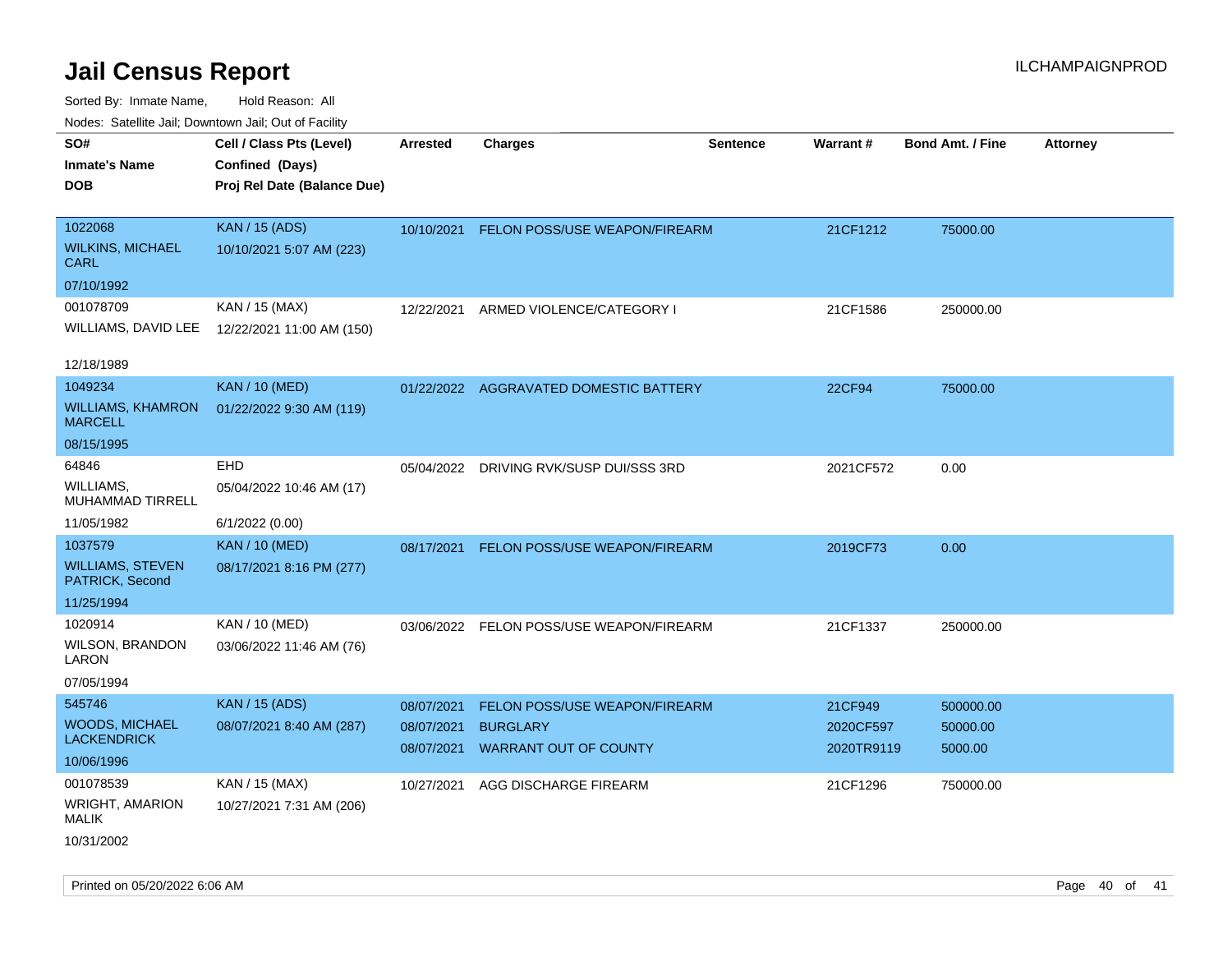| ivoues. Salellite Jali, Downtown Jali, Out of Facility |                                             |                          |                                                 |                 |                         |                         |                 |
|--------------------------------------------------------|---------------------------------------------|--------------------------|-------------------------------------------------|-----------------|-------------------------|-------------------------|-----------------|
| SO#<br>Inmate's Name<br><b>DOB</b>                     | Cell / Class Pts (Level)<br>Confined (Days) | <b>Arrested</b>          | <b>Charges</b>                                  | <b>Sentence</b> | Warrant#                | <b>Bond Amt. / Fine</b> | <b>Attorney</b> |
|                                                        | Proj Rel Date (Balance Due)                 |                          |                                                 |                 |                         |                         |                 |
| 1022068                                                | <b>KAN / 15 (ADS)</b>                       | 10/10/2021               | FELON POSS/USE WEAPON/FIREARM                   |                 | 21CF1212                | 75000.00                |                 |
| WILKINS, MICHAEL<br>CARL                               | 10/10/2021 5:07 AM (223)                    |                          |                                                 |                 |                         |                         |                 |
| 07/10/1992                                             |                                             |                          |                                                 |                 |                         |                         |                 |
| 001078709                                              | KAN / 15 (MAX)                              | 12/22/2021               | ARMED VIOLENCE/CATEGORY I                       |                 | 21CF1586                | 250000.00               |                 |
| WILLIAMS, DAVID LEE                                    | 12/22/2021 11:00 AM (150)                   |                          |                                                 |                 |                         |                         |                 |
| 12/18/1989                                             |                                             |                          |                                                 |                 |                         |                         |                 |
| 1049234                                                | <b>KAN / 10 (MED)</b>                       |                          | 01/22/2022 AGGRAVATED DOMESTIC BATTERY          |                 | <b>22CF94</b>           | 75000.00                |                 |
| <b>WILLIAMS, KHAMRON</b><br>MARCELL                    | 01/22/2022 9:30 AM (119)                    |                          |                                                 |                 |                         |                         |                 |
| 08/15/1995                                             |                                             |                          |                                                 |                 |                         |                         |                 |
| 64846                                                  | EHD                                         | 05/04/2022               | DRIVING RVK/SUSP DUI/SSS 3RD                    |                 | 2021CF572               | 0.00                    |                 |
| WILLIAMS.<br>MUHAMMAD TIRRELL                          | 05/04/2022 10:46 AM (17)                    |                          |                                                 |                 |                         |                         |                 |
| 11/05/1982                                             | 6/1/2022 (0.00)                             |                          |                                                 |                 |                         |                         |                 |
| 1037579                                                | <b>KAN / 10 (MED)</b>                       | 08/17/2021               | <b>FELON POSS/USE WEAPON/FIREARM</b>            |                 | 2019CF73                | 0.00                    |                 |
| <b>WILLIAMS, STEVEN</b><br>PATRICK, Second             | 08/17/2021 8:16 PM (277)                    |                          |                                                 |                 |                         |                         |                 |
| 11/25/1994                                             |                                             |                          |                                                 |                 |                         |                         |                 |
| 1020914                                                | KAN / 10 (MED)                              |                          | 03/06/2022 FELON POSS/USE WEAPON/FIREARM        |                 | 21CF1337                | 250000.00               |                 |
| WILSON, BRANDON<br>LARON                               | 03/06/2022 11:46 AM (76)                    |                          |                                                 |                 |                         |                         |                 |
| 07/05/1994                                             |                                             |                          |                                                 |                 |                         |                         |                 |
| 545746                                                 | <b>KAN / 15 (ADS)</b>                       | 08/07/2021               | <b>FELON POSS/USE WEAPON/FIREARM</b>            |                 | 21CF949                 | 500000.00               |                 |
| WOODS, MICHAEL<br>LACKENDRICK                          | 08/07/2021 8:40 AM (287)                    | 08/07/2021<br>08/07/2021 | <b>BURGLARY</b><br><b>WARRANT OUT OF COUNTY</b> |                 | 2020CF597<br>2020TR9119 | 50000.00<br>5000.00     |                 |
| 10/06/1996                                             |                                             |                          |                                                 |                 |                         |                         |                 |
| 001078539                                              | KAN / 15 (MAX)                              | 10/27/2021               | AGG DISCHARGE FIREARM                           |                 | 21CF1296                | 750000.00               |                 |
| <b>WRIGHT, AMARION</b><br>MALIK                        | 10/27/2021 7:31 AM (206)                    |                          |                                                 |                 |                         |                         |                 |
| 10/31/2002                                             |                                             |                          |                                                 |                 |                         |                         |                 |